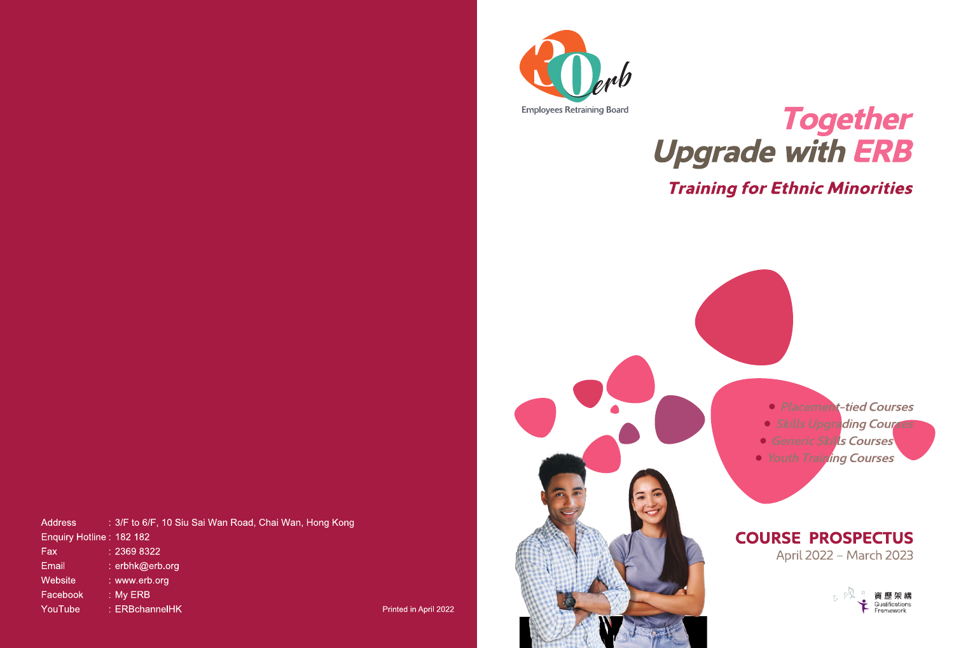

# Together **Upgrade with ERB**

# **Training for Ethnic Minorities**



• Placement-tied Courses

- · Skills Upgrading Courses
- **Generic Skills Courses**
- *Youth Training Courses*

### **COURSE PROSPECTUS** April 2022 - March 2023

 $E^{\text{B}}$ 資 歷 架 構 Qualifications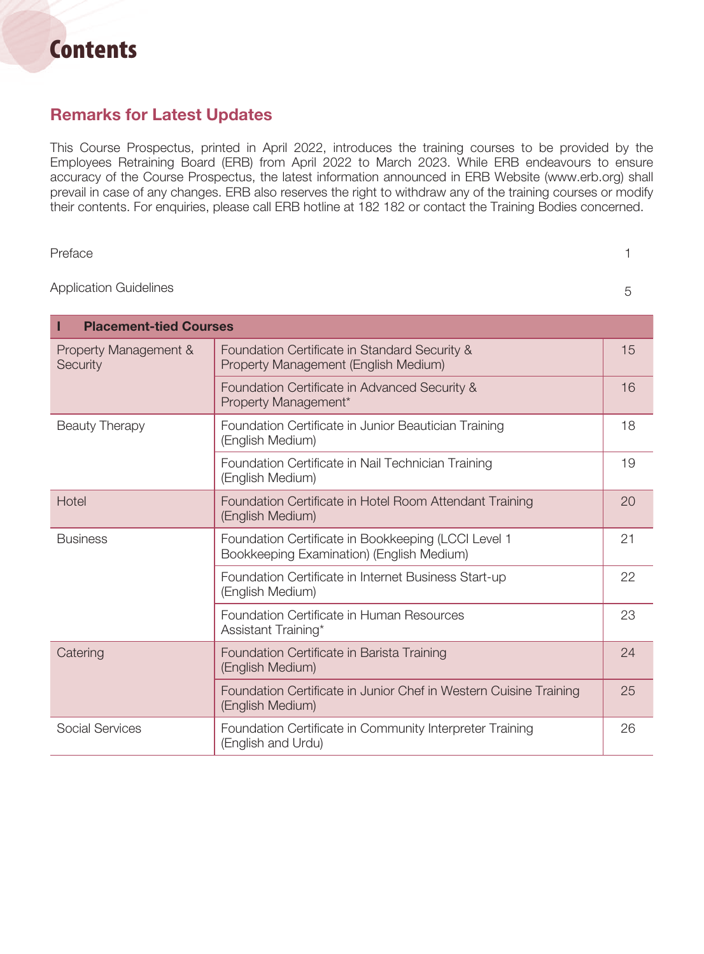# **Contents**

#### Remarks for Latest Updates

This Course Prospectus, printed in April 2022, introduces the training courses to be provided by the Employees Retraining Board (ERB) from April 2022 to March 2023. While ERB endeavours to ensure accuracy of the Course Prospectus, the latest information announced in ERB Website (www.erb.org) shall prevail in case of any changes. ERB also reserves the right to withdraw any of the training courses or modify their contents. For enquiries, please call ERB hotline at 182 182 or contact the Training Bodies concerned.

Preface and the contract of the contract of the contract of the contract of the contract of the contract of the contract of the contract of the contract of the contract of the contract of the contract of the contract of th

Application Guidelines 5

| <b>Placement-tied Courses</b><br>I |                                                                                                  |    |
|------------------------------------|--------------------------------------------------------------------------------------------------|----|
| Property Management &<br>Security  | Foundation Certificate in Standard Security &<br>Property Management (English Medium)            | 15 |
|                                    | Foundation Certificate in Advanced Security &<br>Property Management*                            | 16 |
| <b>Beauty Therapy</b>              | Foundation Certificate in Junior Beautician Training<br>(English Medium)                         | 18 |
|                                    | Foundation Certificate in Nail Technician Training<br>(English Medium)                           | 19 |
| Hotel                              | Foundation Certificate in Hotel Room Attendant Training<br>(English Medium)                      | 20 |
| <b>Business</b>                    | Foundation Certificate in Bookkeeping (LCCI Level 1<br>Bookkeeping Examination) (English Medium) | 21 |
|                                    | Foundation Certificate in Internet Business Start-up<br>(English Medium)                         | 22 |
|                                    | Foundation Certificate in Human Resources<br>Assistant Training*                                 | 23 |
| Catering                           | Foundation Certificate in Barista Training<br>(English Medium)                                   | 24 |
|                                    | Foundation Certificate in Junior Chef in Western Cuisine Training<br>(English Medium)            | 25 |
| <b>Social Services</b>             | Foundation Certificate in Community Interpreter Training<br>(English and Urdu)                   | 26 |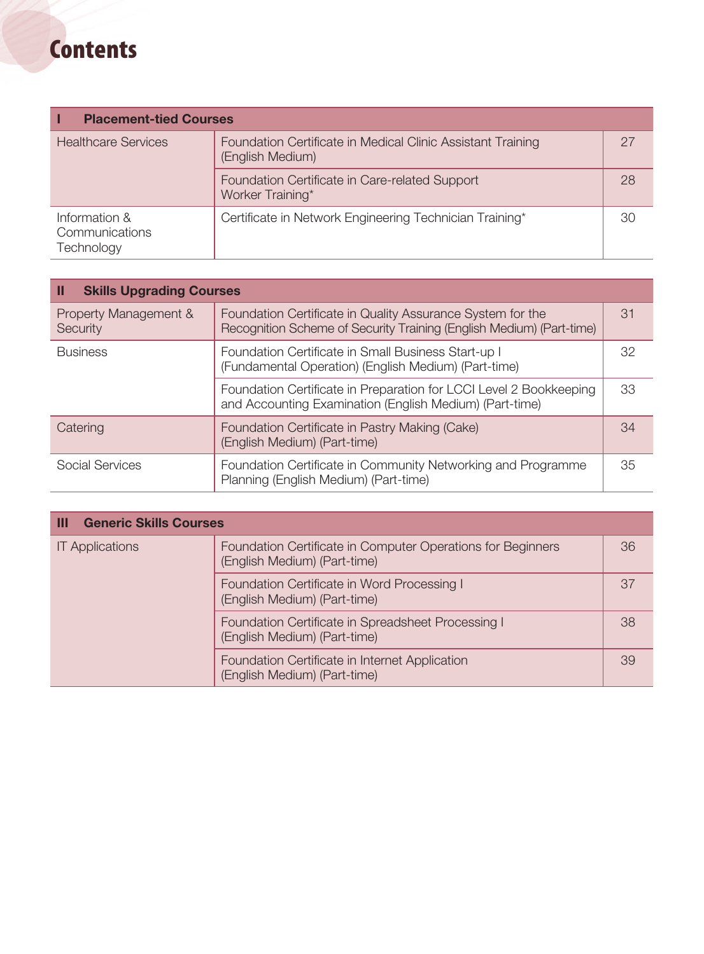# **Contents**

| <b>Placement-tied Courses</b>                 |                                                                                 |    |
|-----------------------------------------------|---------------------------------------------------------------------------------|----|
| <b>Healthcare Services</b>                    | Foundation Certificate in Medical Clinic Assistant Training<br>(English Medium) | 27 |
|                                               | Foundation Certificate in Care-related Support<br>Worker Training*              | 28 |
| Information &<br>Communications<br>Technology | Certificate in Network Engineering Technician Training*                         | 30 |

| <b>Skills Upgrading Courses</b><br>Ш |                                                                                                                                    |    |
|--------------------------------------|------------------------------------------------------------------------------------------------------------------------------------|----|
| Property Management &<br>Security    | Foundation Certificate in Quality Assurance System for the<br>Recognition Scheme of Security Training (English Medium) (Part-time) | 31 |
| <b>Business</b>                      | Foundation Certificate in Small Business Start-up I<br>(Fundamental Operation) (English Medium) (Part-time)                        | 32 |
|                                      | Foundation Certificate in Preparation for LCCI Level 2 Bookkeeping<br>and Accounting Examination (English Medium) (Part-time)      | 33 |
| Catering                             | Foundation Certificate in Pastry Making (Cake)<br>(English Medium) (Part-time)                                                     | 34 |
| Social Services                      | Foundation Certificate in Community Networking and Programme<br>Planning (English Medium) (Part-time)                              | 35 |

| <b>Generic Skills Courses</b><br>Ш |                                                                                             |    |
|------------------------------------|---------------------------------------------------------------------------------------------|----|
| <b>IT Applications</b>             | Foundation Certificate in Computer Operations for Beginners<br>(English Medium) (Part-time) | 36 |
|                                    | Foundation Certificate in Word Processing I<br>(English Medium) (Part-time)                 | 37 |
|                                    | Foundation Certificate in Spreadsheet Processing I<br>(English Medium) (Part-time)          | 38 |
|                                    | Foundation Certificate in Internet Application<br>(English Medium) (Part-time)              | 39 |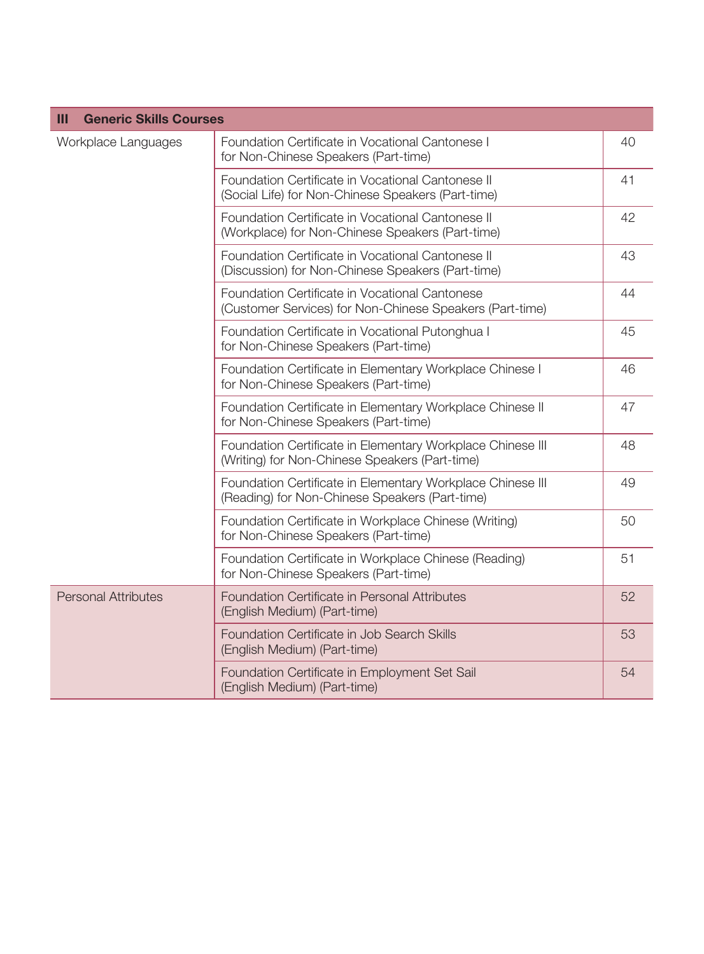| <b>Generic Skills Courses</b><br>Ш |                                                                                                              |    |
|------------------------------------|--------------------------------------------------------------------------------------------------------------|----|
| Workplace Languages                | Foundation Certificate in Vocational Cantonese I<br>for Non-Chinese Speakers (Part-time)                     | 40 |
|                                    | Foundation Certificate in Vocational Cantonese II<br>(Social Life) for Non-Chinese Speakers (Part-time)      | 41 |
|                                    | Foundation Certificate in Vocational Cantonese II<br>(Workplace) for Non-Chinese Speakers (Part-time)        | 42 |
|                                    | Foundation Certificate in Vocational Cantonese II<br>(Discussion) for Non-Chinese Speakers (Part-time)       | 43 |
|                                    | Foundation Certificate in Vocational Cantonese<br>(Customer Services) for Non-Chinese Speakers (Part-time)   | 44 |
|                                    | Foundation Certificate in Vocational Putonghua I<br>for Non-Chinese Speakers (Part-time)                     | 45 |
|                                    | Foundation Certificate in Elementary Workplace Chinese I<br>for Non-Chinese Speakers (Part-time)             | 46 |
|                                    | Foundation Certificate in Elementary Workplace Chinese II<br>for Non-Chinese Speakers (Part-time)            | 47 |
|                                    | Foundation Certificate in Elementary Workplace Chinese III<br>(Writing) for Non-Chinese Speakers (Part-time) | 48 |
|                                    | Foundation Certificate in Elementary Workplace Chinese III<br>(Reading) for Non-Chinese Speakers (Part-time) | 49 |
|                                    | Foundation Certificate in Workplace Chinese (Writing)<br>for Non-Chinese Speakers (Part-time)                | 50 |
|                                    | Foundation Certificate in Workplace Chinese (Reading)<br>for Non-Chinese Speakers (Part-time)                | 51 |
| <b>Personal Attributes</b>         | Foundation Certificate in Personal Attributes<br>(English Medium) (Part-time)                                | 52 |
|                                    | Foundation Certificate in Job Search Skills<br>(English Medium) (Part-time)                                  | 53 |
|                                    | Foundation Certificate in Employment Set Sail<br>(English Medium) (Part-time)                                | 54 |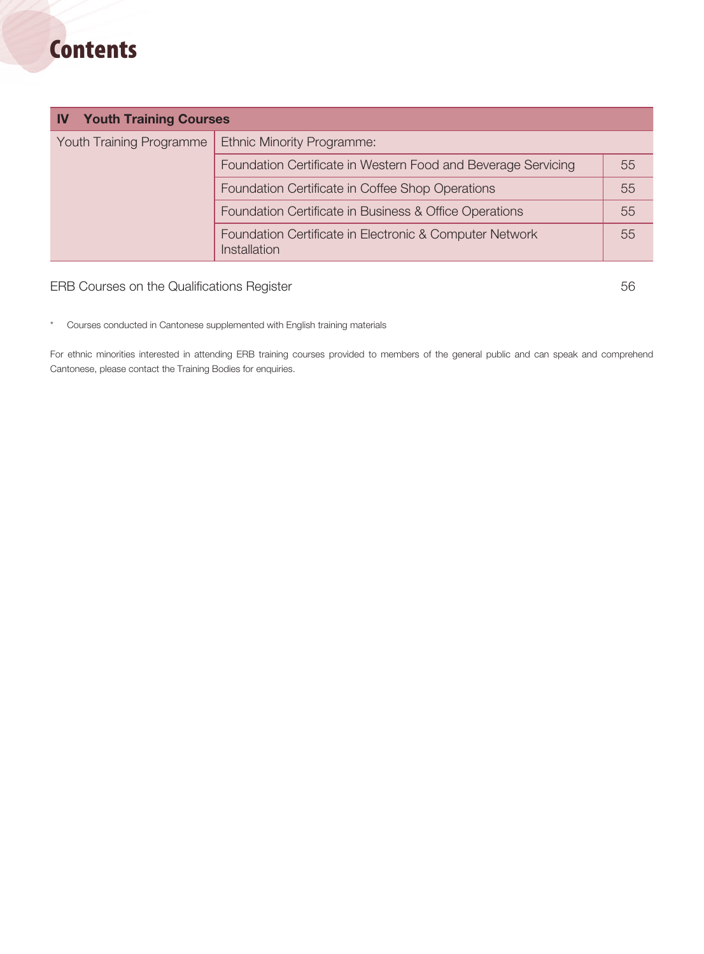# **Contents**

| <b>Youth Training Courses</b><br><b>IV</b> |                                                                         |    |
|--------------------------------------------|-------------------------------------------------------------------------|----|
| <b>Youth Training Programme</b>            | <b>Ethnic Minority Programme:</b>                                       |    |
|                                            | Foundation Certificate in Western Food and Beverage Servicing           | 55 |
|                                            | Foundation Certificate in Coffee Shop Operations                        | 55 |
|                                            | Foundation Certificate in Business & Office Operations                  | 55 |
|                                            | Foundation Certificate in Electronic & Computer Network<br>Installation | 55 |

#### ERB Courses on the Qualifications Register 56 and 200 minutes of 56 and 30 minutes of 56 and 30 minutes of 56

\* Courses conducted in Cantonese supplemented with English training materials

For ethnic minorities interested in attending ERB training courses provided to members of the general public and can speak and comprehend Cantonese, please contact the Training Bodies for enquiries.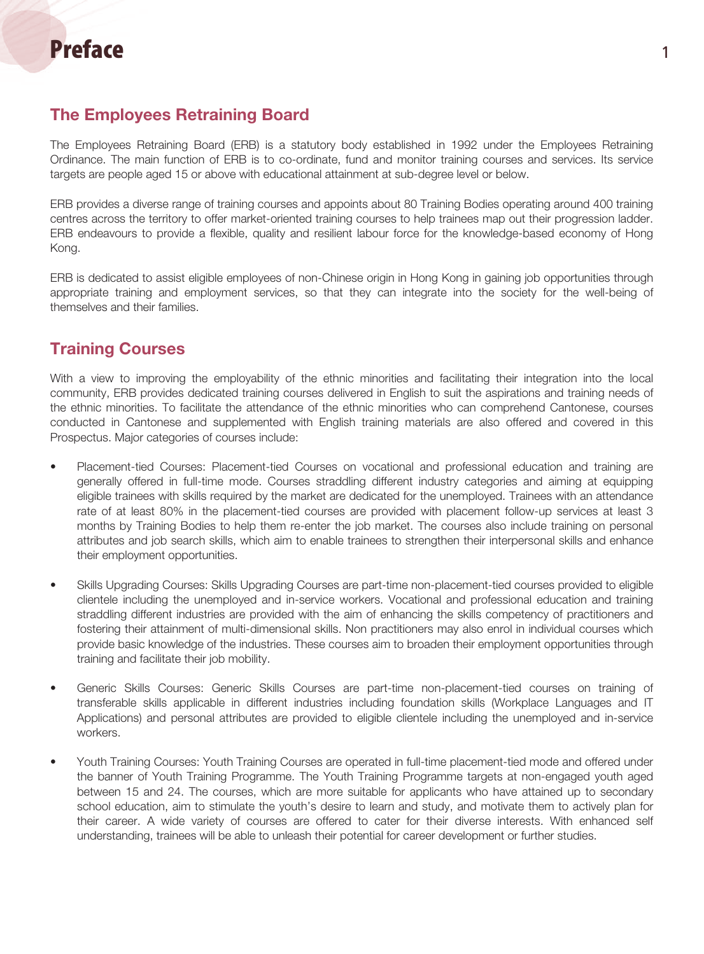#### The Employees Retraining Board

The Employees Retraining Board (ERB) is a statutory body established in 1992 under the Employees Retraining Ordinance. The main function of ERB is to co-ordinate, fund and monitor training courses and services. Its service targets are people aged 15 or above with educational attainment at sub-degree level or below.

ERB provides a diverse range of training courses and appoints about 80 Training Bodies operating around 400 training centres across the territory to offer market-oriented training courses to help trainees map out their progression ladder. ERB endeavours to provide a flexible, quality and resilient labour force for the knowledge-based economy of Hong Kong.

ERB is dedicated to assist eligible employees of non-Chinese origin in Hong Kong in gaining job opportunities through appropriate training and employment services, so that they can integrate into the society for the well-being of themselves and their families.

#### Training Courses

With a view to improving the employability of the ethnic minorities and facilitating their integration into the local community, ERB provides dedicated training courses delivered in English to suit the aspirations and training needs of the ethnic minorities. To facilitate the attendance of the ethnic minorities who can comprehend Cantonese, courses conducted in Cantonese and supplemented with English training materials are also offered and covered in this Prospectus. Major categories of courses include:

- Placement-tied Courses: Placement-tied Courses on vocational and professional education and training are generally offered in full-time mode. Courses straddling different industry categories and aiming at equipping eligible trainees with skills required by the market are dedicated for the unemployed. Trainees with an attendance rate of at least 80% in the placement-tied courses are provided with placement follow-up services at least 3 months by Training Bodies to help them re-enter the job market. The courses also include training on personal attributes and job search skills, which aim to enable trainees to strengthen their interpersonal skills and enhance their employment opportunities.
- Skills Upgrading Courses: Skills Upgrading Courses are part-time non-placement-tied courses provided to eligible clientele including the unemployed and in-service workers. Vocational and professional education and training straddling different industries are provided with the aim of enhancing the skills competency of practitioners and fostering their attainment of multi-dimensional skills. Non practitioners may also enrol in individual courses which provide basic knowledge of the industries. These courses aim to broaden their employment opportunities through training and facilitate their job mobility.
- • Generic Skills Courses: Generic Skills Courses are part-time non-placement-tied courses on training of transferable skills applicable in different industries including foundation skills (Workplace Languages and IT Applications) and personal attributes are provided to eligible clientele including the unemployed and in-service workers.
- Youth Training Courses: Youth Training Courses are operated in full-time placement-tied mode and offered under the banner of Youth Training Programme. The Youth Training Programme targets at non-engaged youth aged between 15 and 24. The courses, which are more suitable for applicants who have attained up to secondary school education, aim to stimulate the youth's desire to learn and study, and motivate them to actively plan for their career. A wide variety of courses are offered to cater for their diverse interests. With enhanced self understanding, trainees will be able to unleash their potential for career development or further studies.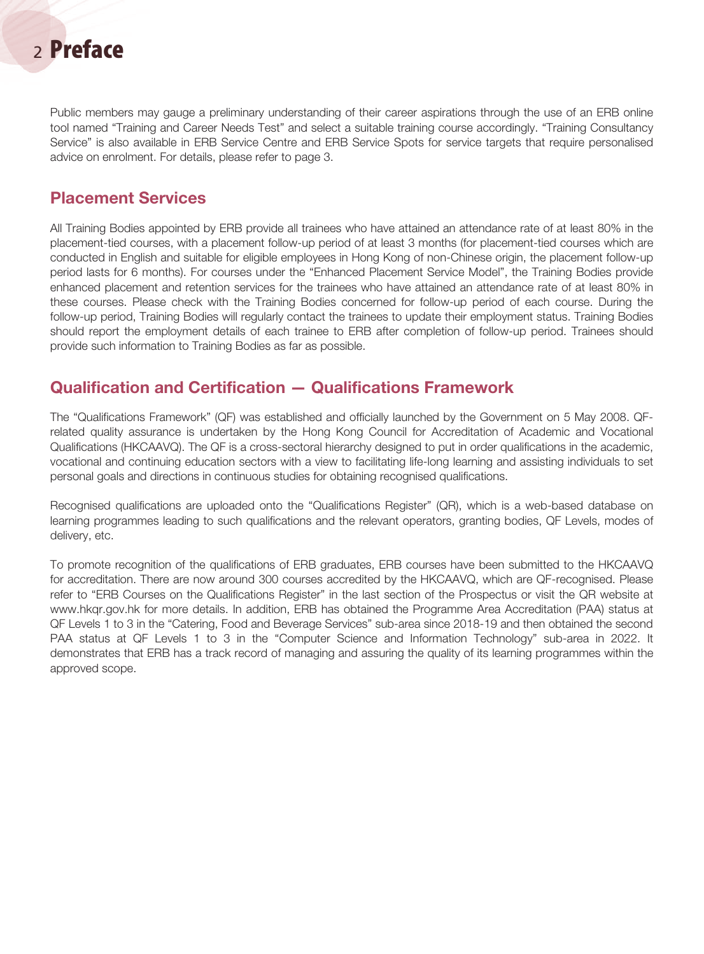## <sup>2</sup> Preface

Public members may gauge a preliminary understanding of their career aspirations through the use of an ERB online tool named "Training and Career Needs Test" and select a suitable training course accordingly. "Training Consultancy Service" is also available in ERB Service Centre and ERB Service Spots for service targets that require personalised advice on enrolment. For details, please refer to page 3.

#### Placement Services

All Training Bodies appointed by ERB provide all trainees who have attained an attendance rate of at least 80% in the placement-tied courses, with a placement follow-up period of at least 3 months (for placement-tied courses which are conducted in English and suitable for eligible employees in Hong Kong of non-Chinese origin, the placement follow-up period lasts for 6 months). For courses under the "Enhanced Placement Service Model", the Training Bodies provide enhanced placement and retention services for the trainees who have attained an attendance rate of at least 80% in these courses. Please check with the Training Bodies concerned for follow-up period of each course. During the follow-up period, Training Bodies will regularly contact the trainees to update their employment status. Training Bodies should report the employment details of each trainee to ERB after completion of follow-up period. Trainees should provide such information to Training Bodies as far as possible.

#### Qualification and Certification — Qualifications Framework

The "Qualifications Framework" (QF) was established and officially launched by the Government on 5 May 2008. QFrelated quality assurance is undertaken by the Hong Kong Council for Accreditation of Academic and Vocational Qualifications (HKCAAVQ). The QF is a cross-sectoral hierarchy designed to put in order qualifications in the academic, vocational and continuing education sectors with a view to facilitating life-long learning and assisting individuals to set personal goals and directions in continuous studies for obtaining recognised qualifications.

Recognised qualifications are uploaded onto the "Qualifications Register" (QR), which is a web-based database on learning programmes leading to such qualifications and the relevant operators, granting bodies, QF Levels, modes of delivery, etc.

To promote recognition of the qualifications of ERB graduates, ERB courses have been submitted to the HKCAAVQ for accreditation. There are now around 300 courses accredited by the HKCAAVQ, which are QF-recognised. Please refer to "ERB Courses on the Qualifications Register" in the last section of the Prospectus or visit the QR website at www.hkqr.gov.hk for more details. In addition, ERB has obtained the Programme Area Accreditation (PAA) status at QF Levels 1 to 3 in the "Catering, Food and Beverage Services" sub-area since 2018-19 and then obtained the second PAA status at QF Levels 1 to 3 in the "Computer Science and Information Technology" sub-area in 2022. It demonstrates that ERB has a track record of managing and assuring the quality of its learning programmes within the approved scope.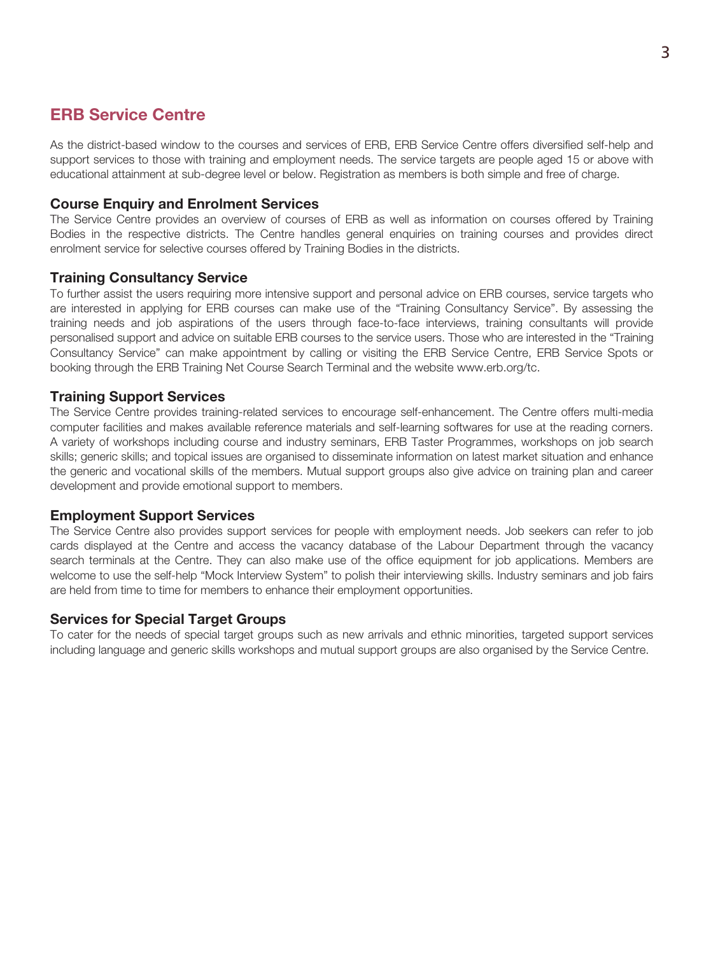#### ERB Service Centre

As the district-based window to the courses and services of ERB, ERB Service Centre offers diversified self-help and support services to those with training and employment needs. The service targets are people aged 15 or above with educational attainment at sub-degree level or below. Registration as members is both simple and free of charge.

#### Course Enquiry and Enrolment Services

The Service Centre provides an overview of courses of ERB as well as information on courses offered by Training Bodies in the respective districts. The Centre handles general enquiries on training courses and provides direct enrolment service for selective courses offered by Training Bodies in the districts.

#### Training Consultancy Service

To further assist the users requiring more intensive support and personal advice on ERB courses, service targets who are interested in applying for ERB courses can make use of the "Training Consultancy Service". By assessing the training needs and job aspirations of the users through face-to-face interviews, training consultants will provide personalised support and advice on suitable ERB courses to the service users. Those who are interested in the "Training Consultancy Service" can make appointment by calling or visiting the ERB Service Centre, ERB Service Spots or booking through the ERB Training Net Course Search Terminal and the website www.erb.org/tc.

#### Training Support Services

The Service Centre provides training-related services to encourage self-enhancement. The Centre offers multi-media computer facilities and makes available reference materials and self-learning softwares for use at the reading corners. A variety of workshops including course and industry seminars, ERB Taster Programmes, workshops on job search skills; generic skills; and topical issues are organised to disseminate information on latest market situation and enhance the generic and vocational skills of the members. Mutual support groups also give advice on training plan and career development and provide emotional support to members.

#### Employment Support Services

The Service Centre also provides support services for people with employment needs. Job seekers can refer to job cards displayed at the Centre and access the vacancy database of the Labour Department through the vacancy search terminals at the Centre. They can also make use of the office equipment for job applications. Members are welcome to use the self-help "Mock Interview System" to polish their interviewing skills. Industry seminars and job fairs are held from time to time for members to enhance their employment opportunities.

#### Services for Special Target Groups

To cater for the needs of special target groups such as new arrivals and ethnic minorities, targeted support services including language and generic skills workshops and mutual support groups are also organised by the Service Centre.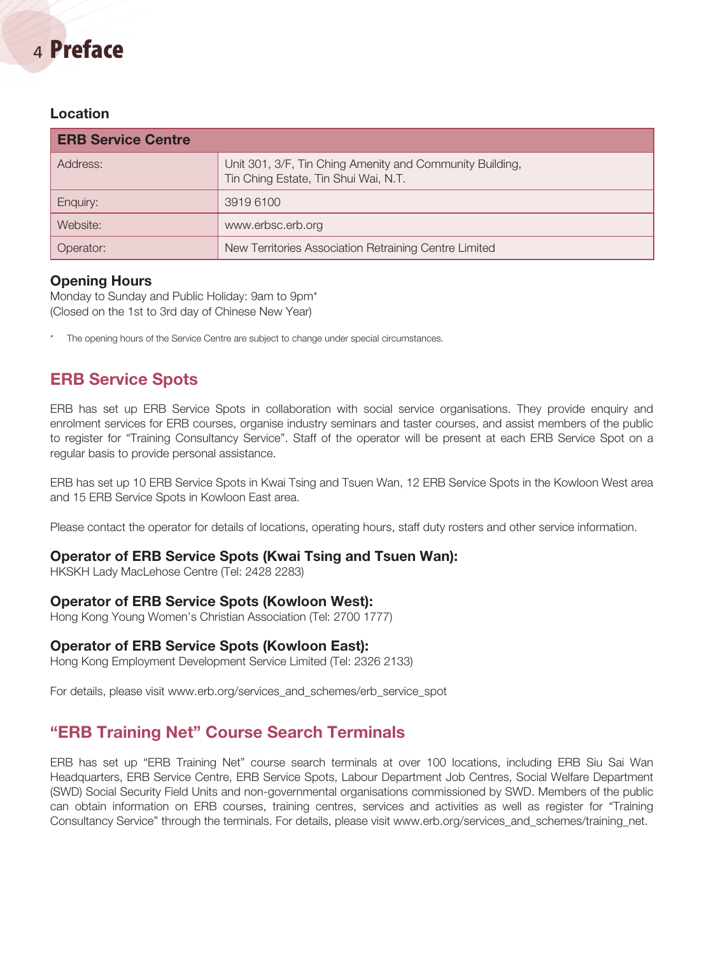# <sup>4</sup> Preface

#### Location

| <b>ERB Service Centre</b> |                                                                                                  |
|---------------------------|--------------------------------------------------------------------------------------------------|
| Address:                  | Unit 301, 3/F, Tin Ching Amenity and Community Building,<br>Tin Ching Estate, Tin Shui Wai, N.T. |
| Enquiry:                  | 3919 6100                                                                                        |
| Website:                  | www.erbsc.erb.org                                                                                |
| Operator:                 | New Territories Association Retraining Centre Limited                                            |

#### Opening Hours

Monday to Sunday and Public Holiday: 9am to 9pm\* (Closed on the 1st to 3rd day of Chinese New Year)

The opening hours of the Service Centre are subject to change under special circumstances.

#### ERB Service Spots

ERB has set up ERB Service Spots in collaboration with social service organisations. They provide enquiry and enrolment services for ERB courses, organise industry seminars and taster courses, and assist members of the public to register for "Training Consultancy Service". Staff of the operator will be present at each ERB Service Spot on a regular basis to provide personal assistance.

ERB has set up 10 ERB Service Spots in Kwai Tsing and Tsuen Wan, 12 ERB Service Spots in the Kowloon West area and 15 ERB Service Spots in Kowloon East area.

Please contact the operator for details of locations, operating hours, staff duty rosters and other service information.

#### Operator of ERB Service Spots (Kwai Tsing and Tsuen Wan):

HKSKH Lady MacLehose Centre (Tel: 2428 2283)

#### Operator of ERB Service Spots (Kowloon West):

Hong Kong Young Women's Christian Association (Tel: 2700 1777)

#### Operator of ERB Service Spots (Kowloon East):

Hong Kong Employment Development Service Limited (Tel: 2326 2133)

For details, please visit www.erb.org/services\_and\_schemes/erb\_service\_spot

#### "ERB Training Net" Course Search Terminals

ERB has set up "ERB Training Net" course search terminals at over 100 locations, including ERB Siu Sai Wan Headquarters, ERB Service Centre, ERB Service Spots, Labour Department Job Centres, Social Welfare Department (SWD) Social Security Field Units and non-governmental organisations commissioned by SWD. Members of the public can obtain information on ERB courses, training centres, services and activities as well as register for "Training Consultancy Service" through the terminals. For details, please visit www.erb.org/services\_and\_schemes/training\_net.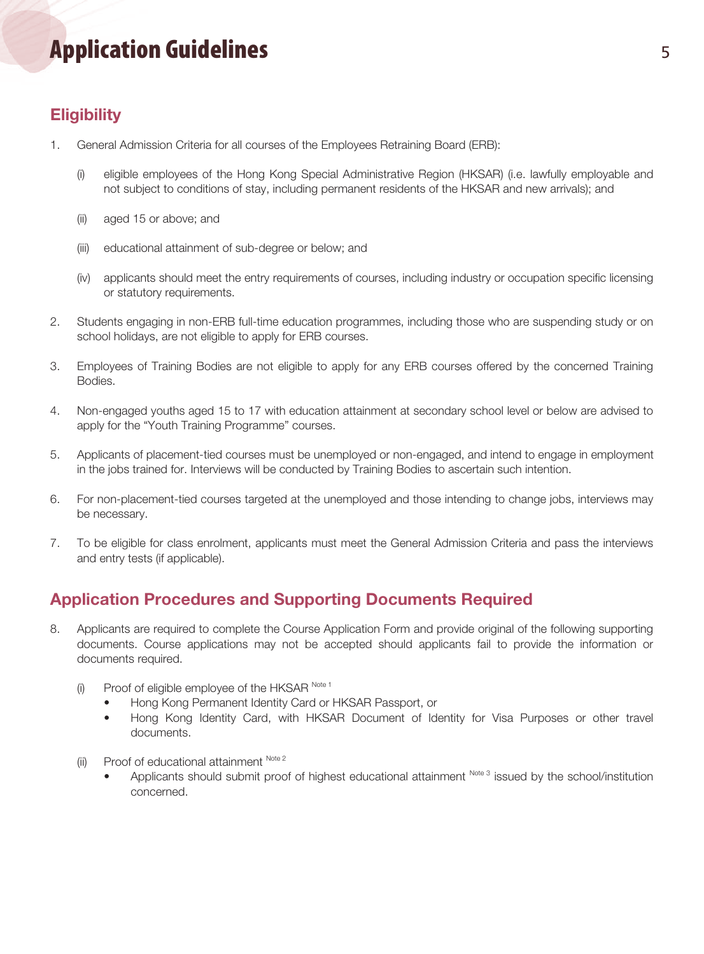# Application Guidelines and the state of the state of the state of the state of the state of the state of the s

### **Eligibility**

- 1. General Admission Criteria for all courses of the Employees Retraining Board (ERB):
	- (i) eligible employees of the Hong Kong Special Administrative Region (HKSAR) (i.e. lawfully employable and not subject to conditions of stay, including permanent residents of the HKSAR and new arrivals); and
	- (ii) aged 15 or above; and
	- (iii) educational attainment of sub-degree or below; and
	- (iv) applicants should meet the entry requirements of courses, including industry or occupation specific licensing or statutory requirements.
- 2. Students engaging in non-ERB full-time education programmes, including those who are suspending study or on school holidays, are not eligible to apply for ERB courses.
- 3. Employees of Training Bodies are not eligible to apply for any ERB courses offered by the concerned Training Bodies.
- 4. Non-engaged youths aged 15 to 17 with education attainment at secondary school level or below are advised to apply for the "Youth Training Programme" courses.
- 5. Applicants of placement-tied courses must be unemployed or non-engaged, and intend to engage in employment in the jobs trained for. Interviews will be conducted by Training Bodies to ascertain such intention.
- 6. For non-placement-tied courses targeted at the unemployed and those intending to change jobs, interviews may be necessary.
- 7. To be eligible for class enrolment, applicants must meet the General Admission Criteria and pass the interviews and entry tests (if applicable).

#### Application Procedures and Supporting Documents Required

- 8. Applicants are required to complete the Course Application Form and provide original of the following supporting documents. Course applications may not be accepted should applicants fail to provide the information or documents required.
	- (i) Proof of eligible employee of the HKSAR  $N_{\text{obs }1}$ 
		- Hong Kong Permanent Identity Card or HKSAR Passport, or
		- Hong Kong Identity Card, with HKSAR Document of Identity for Visa Purposes or other travel documents.
	- (ii) Proof of educational attainment  $N_{\text{ote }2}$ 
		- Applicants should submit proof of highest educational attainment Note 3 issued by the school/institution concerned.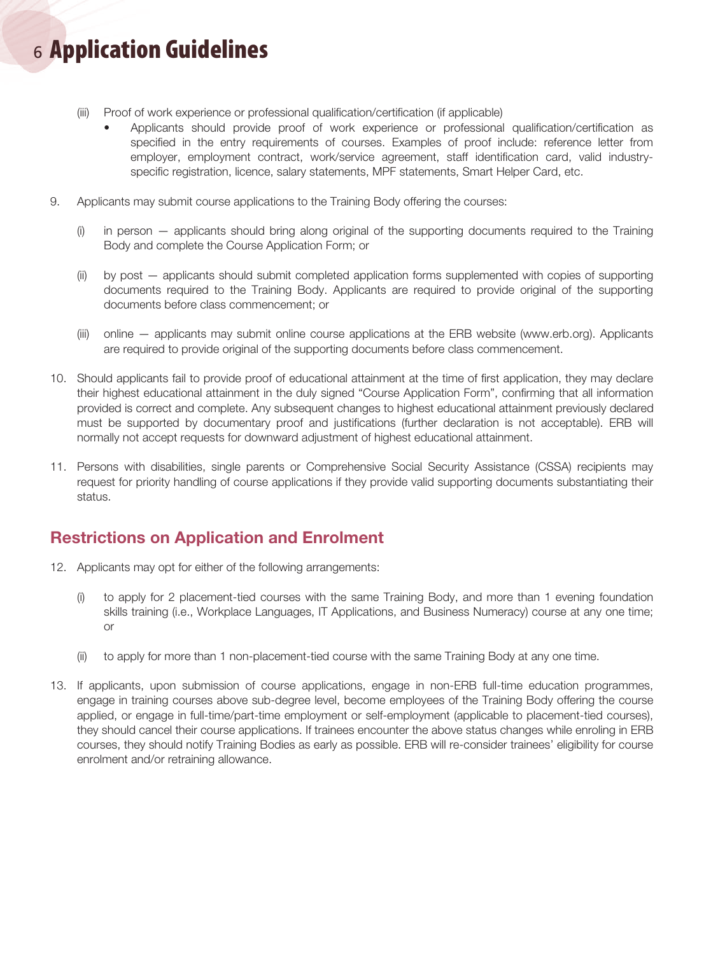# <sup>6</sup> Application Guidelines

- (iii) Proof of work experience or professional qualification/certification (if applicable)
	- Applicants should provide proof of work experience or professional qualification/certification as specified in the entry requirements of courses. Examples of proof include: reference letter from employer, employment contract, work/service agreement, staff identification card, valid industryspecific registration, licence, salary statements, MPF statements, Smart Helper Card, etc.
- 9. Applicants may submit course applications to the Training Body offering the courses:
	- (i) in person applicants should bring along original of the supporting documents required to the Training Body and complete the Course Application Form; or
	- (ii) by post applicants should submit completed application forms supplemented with copies of supporting documents required to the Training Body. Applicants are required to provide original of the supporting documents before class commencement; or
	- (iii) online applicants may submit online course applications at the ERB website (www.erb.org). Applicants are required to provide original of the supporting documents before class commencement.
- 10. Should applicants fail to provide proof of educational attainment at the time of first application, they may declare their highest educational attainment in the duly signed "Course Application Form", confirming that all information provided is correct and complete. Any subsequent changes to highest educational attainment previously declared must be supported by documentary proof and justifications (further declaration is not acceptable). ERB will normally not accept requests for downward adjustment of highest educational attainment.
- 11. Persons with disabilities, single parents or Comprehensive Social Security Assistance (CSSA) recipients may request for priority handling of course applications if they provide valid supporting documents substantiating their status.

#### Restrictions on Application and Enrolment

- 12. Applicants may opt for either of the following arrangements:
	- (i) to apply for 2 placement-tied courses with the same Training Body, and more than 1 evening foundation skills training (i.e., Workplace Languages, IT Applications, and Business Numeracy) course at any one time; or
	- (ii) to apply for more than 1 non-placement-tied course with the same Training Body at any one time.
- 13. If applicants, upon submission of course applications, engage in non-ERB full-time education programmes, engage in training courses above sub-degree level, become employees of the Training Body offering the course applied, or engage in full-time/part-time employment or self-employment (applicable to placement-tied courses), they should cancel their course applications. If trainees encounter the above status changes while enroling in ERB courses, they should notify Training Bodies as early as possible. ERB will re-consider trainees' eligibility for course enrolment and/or retraining allowance.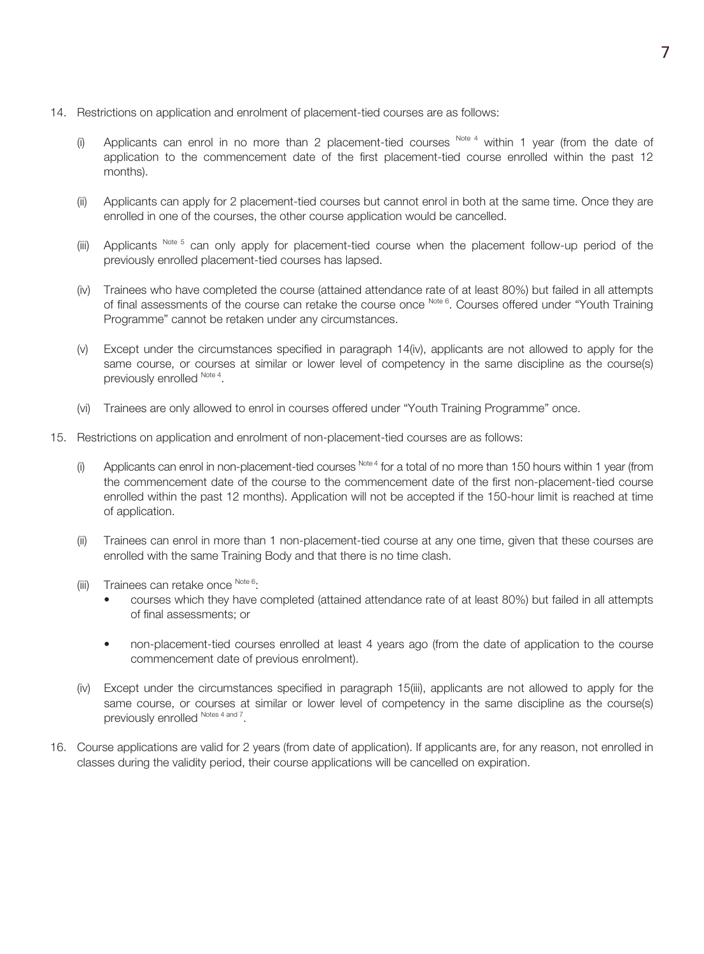- 14. Restrictions on application and enrolment of placement-tied courses are as follows:
	- (i) Applicants can enrol in no more than 2 placement-tied courses  $N_{\text{ot}}$  within 1 year (from the date of application to the commencement date of the first placement-tied course enrolled within the past 12 months).
	- (ii) Applicants can apply for 2 placement-tied courses but cannot enrol in both at the same time. Once they are enrolled in one of the courses, the other course application would be cancelled.
	- (iii) Applicants  $N_{\text{obs}}$  5 can only apply for placement-tied course when the placement follow-up period of the previously enrolled placement-tied courses has lapsed.
	- (iv) Trainees who have completed the course (attained attendance rate of at least 80%) but failed in all attempts of final assessments of the course can retake the course once Note 6. Courses offered under "Youth Training Programme" cannot be retaken under any circumstances.
	- (v) Except under the circumstances specified in paragraph 14(iv), applicants are not allowed to apply for the same course, or courses at similar or lower level of competency in the same discipline as the course(s) previously enrolled Note 4.
	- (vi) Trainees are only allowed to enrol in courses offered under "Youth Training Programme" once.
- 15. Restrictions on application and enrolment of non-placement-tied courses are as follows:
	- (i) Applicants can enrol in non-placement-tied courses  $N_{\text{obs}}$ <sup>4</sup> for a total of no more than 150 hours within 1 year (from the commencement date of the course to the commencement date of the first non-placement-tied course enrolled within the past 12 months). Application will not be accepted if the 150-hour limit is reached at time of application.
	- (ii) Trainees can enrol in more than 1 non-placement-tied course at any one time, given that these courses are enrolled with the same Training Body and that there is no time clash.
	- (iii) Trainees can retake once  $N_{\text{ode}}$  6:
		- courses which they have completed (attained attendance rate of at least 80%) but failed in all attempts of final assessments; or
		- non-placement-tied courses enrolled at least 4 years ago (from the date of application to the course commencement date of previous enrolment).
	- (iv) Except under the circumstances specified in paragraph 15(iii), applicants are not allowed to apply for the same course, or courses at similar or lower level of competency in the same discipline as the course(s) previously enrolled Notes 4 and 7.
- 16. Course applications are valid for 2 years (from date of application). If applicants are, for any reason, not enrolled in classes during the validity period, their course applications will be cancelled on expiration.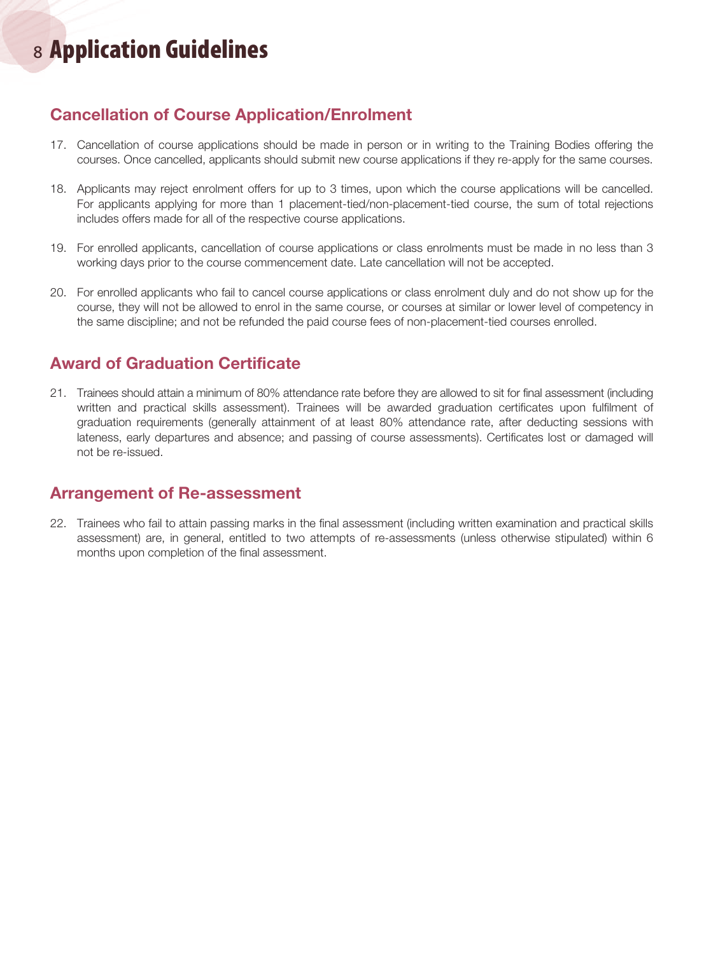# <sup>8</sup> Application Guidelines

#### Cancellation of Course Application/Enrolment

- 17. Cancellation of course applications should be made in person or in writing to the Training Bodies offering the courses. Once cancelled, applicants should submit new course applications if they re-apply for the same courses.
- 18. Applicants may reject enrolment offers for up to 3 times, upon which the course applications will be cancelled. For applicants applying for more than 1 placement-tied/non-placement-tied course, the sum of total rejections includes offers made for all of the respective course applications.
- 19. For enrolled applicants, cancellation of course applications or class enrolments must be made in no less than 3 working days prior to the course commencement date. Late cancellation will not be accepted.
- 20. For enrolled applicants who fail to cancel course applications or class enrolment duly and do not show up for the course, they will not be allowed to enrol in the same course, or courses at similar or lower level of competency in the same discipline; and not be refunded the paid course fees of non-placement-tied courses enrolled.

#### Award of Graduation Certificate

21. Trainees should attain a minimum of 80% attendance rate before they are allowed to sit for final assessment (including written and practical skills assessment). Trainees will be awarded graduation certificates upon fulfilment of graduation requirements (generally attainment of at least 80% attendance rate, after deducting sessions with lateness, early departures and absence; and passing of course assessments). Certificates lost or damaged will not be re-issued.

#### Arrangement of Re-assessment

22. Trainees who fail to attain passing marks in the final assessment (including written examination and practical skills assessment) are, in general, entitled to two attempts of re-assessments (unless otherwise stipulated) within 6 months upon completion of the final assessment.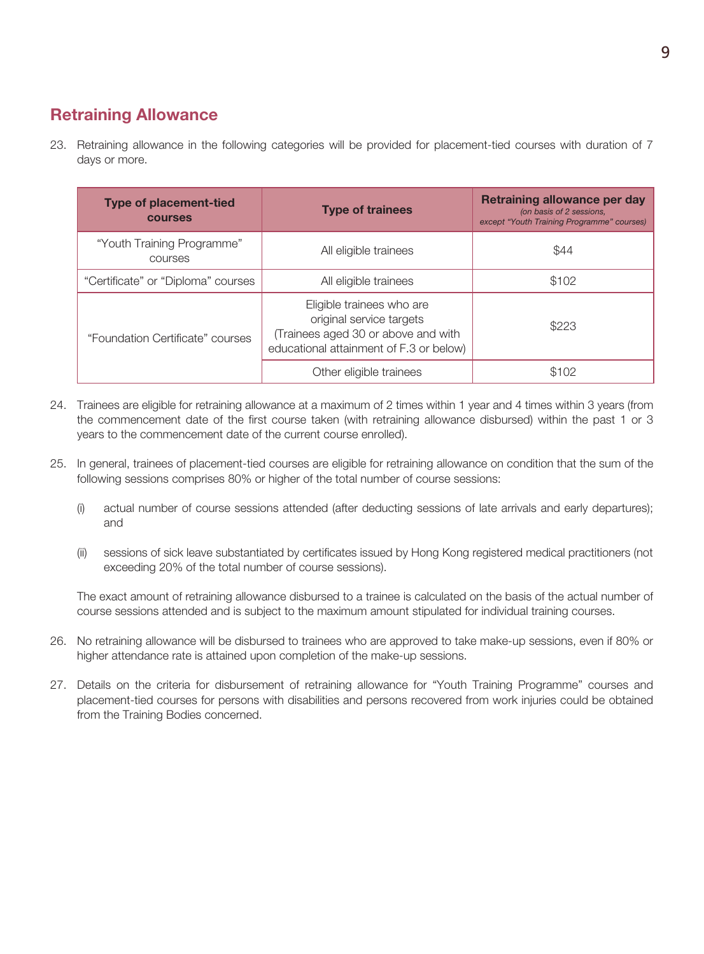#### Retraining Allowance

23. Retraining allowance in the following categories will be provided for placement-tied courses with duration of 7 days or more.

| <b>Type of placement-tied</b><br><b>COULSES</b> | <b>Type of trainees</b>                                                                                                                 | <b>Retraining allowance per day</b><br>(on basis of 2 sessions,<br>except "Youth Training Programme" courses) |
|-------------------------------------------------|-----------------------------------------------------------------------------------------------------------------------------------------|---------------------------------------------------------------------------------------------------------------|
| "Youth Training Programme"<br><b>COULSES</b>    | All eligible trainees                                                                                                                   | \$44                                                                                                          |
| "Certificate" or "Diploma" courses              | All eligible trainees                                                                                                                   | \$102                                                                                                         |
| "Foundation Certificate" courses                | Eligible trainees who are<br>original service targets<br>(Trainees aged 30 or above and with<br>educational attainment of F.3 or below) | \$223                                                                                                         |
|                                                 | Other eligible trainees                                                                                                                 | \$102                                                                                                         |

- 24. Trainees are eligible for retraining allowance at a maximum of 2 times within 1 year and 4 times within 3 years (from the commencement date of the first course taken (with retraining allowance disbursed) within the past 1 or 3 years to the commencement date of the current course enrolled).
- 25. In general, trainees of placement-tied courses are eligible for retraining allowance on condition that the sum of the following sessions comprises 80% or higher of the total number of course sessions:
	- (i) actual number of course sessions attended (after deducting sessions of late arrivals and early departures); and
	- (ii) sessions of sick leave substantiated by certificates issued by Hong Kong registered medical practitioners (not exceeding 20% of the total number of course sessions).

The exact amount of retraining allowance disbursed to a trainee is calculated on the basis of the actual number of course sessions attended and is subject to the maximum amount stipulated for individual training courses.

- 26. No retraining allowance will be disbursed to trainees who are approved to take make-up sessions, even if 80% or higher attendance rate is attained upon completion of the make-up sessions.
- 27. Details on the criteria for disbursement of retraining allowance for "Youth Training Programme" courses and placement-tied courses for persons with disabilities and persons recovered from work injuries could be obtained from the Training Bodies concerned.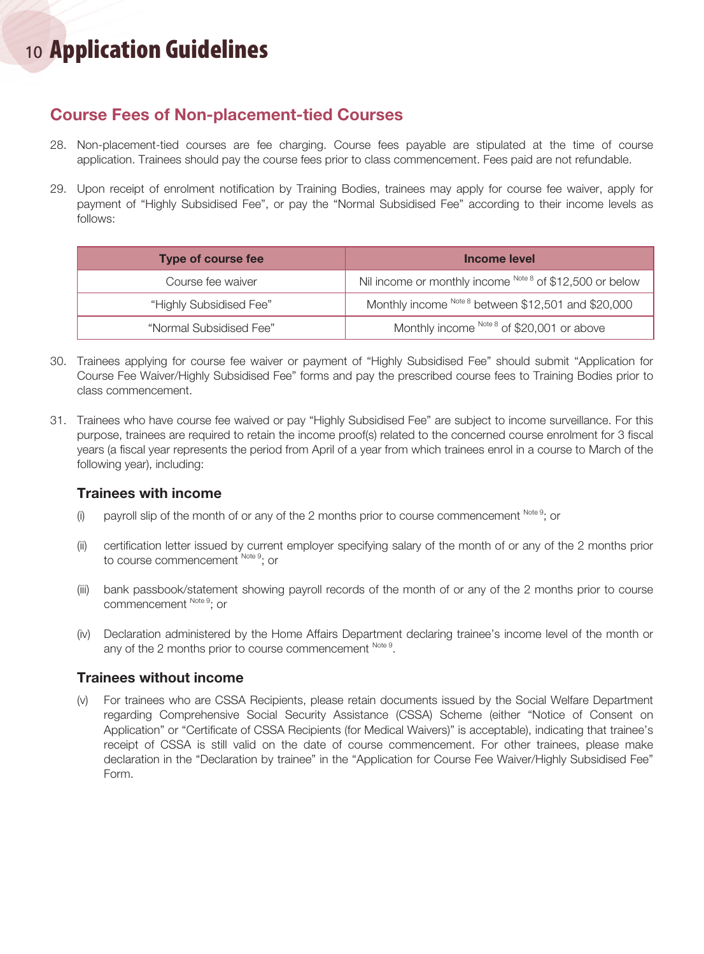# <sup>10</sup> Application Guidelines

#### Course Fees of Non-placement-tied Courses

- 28. Non-placement-tied courses are fee charging. Course fees payable are stipulated at the time of course application. Trainees should pay the course fees prior to class commencement. Fees paid are not refundable.
- 29. Upon receipt of enrolment notification by Training Bodies, trainees may apply for course fee waiver, apply for payment of "Highly Subsidised Fee", or pay the "Normal Subsidised Fee" according to their income levels as follows:

| <b>Type of course fee</b> | Income level                                             |
|---------------------------|----------------------------------------------------------|
| Course fee waiver         | Nil income or monthly income Note 8 of \$12,500 or below |
| "Highly Subsidised Fee"   | Monthly income Note 8 between \$12,501 and \$20,000      |
| "Normal Subsidised Fee"   | Monthly income Note 8 of \$20,001 or above               |

- 30. Trainees applying for course fee waiver or payment of "Highly Subsidised Fee" should submit "Application for Course Fee Waiver/Highly Subsidised Fee" forms and pay the prescribed course fees to Training Bodies prior to class commencement.
- 31. Trainees who have course fee waived or pay "Highly Subsidised Fee" are subject to income surveillance. For this purpose, trainees are required to retain the income proof(s) related to the concerned course enrolment for 3 fiscal years (a fiscal year represents the period from April of a year from which trainees enrol in a course to March of the following year), including:

#### Trainees with income

- (i) payroll slip of the month of or any of the 2 months prior to course commencement  $Note<sup>9</sup>$ ; or
- (ii) certification letter issued by current employer specifying salary of the month of or any of the 2 months prior to course commencement Note 9; or
- (iii) bank passbook/statement showing payroll records of the month of or any of the 2 months prior to course commencement Note 9; or
- (iv) Declaration administered by the Home Affairs Department declaring trainee's income level of the month or any of the 2 months prior to course commencement Note 9.

#### Trainees without income

(v) For trainees who are CSSA Recipients, please retain documents issued by the Social Welfare Department regarding Comprehensive Social Security Assistance (CSSA) Scheme (either "Notice of Consent on Application" or "Certificate of CSSA Recipients (for Medical Waivers)" is acceptable), indicating that trainee's receipt of CSSA is still valid on the date of course commencement. For other trainees, please make declaration in the "Declaration by trainee" in the "Application for Course Fee Waiver/Highly Subsidised Fee" Form.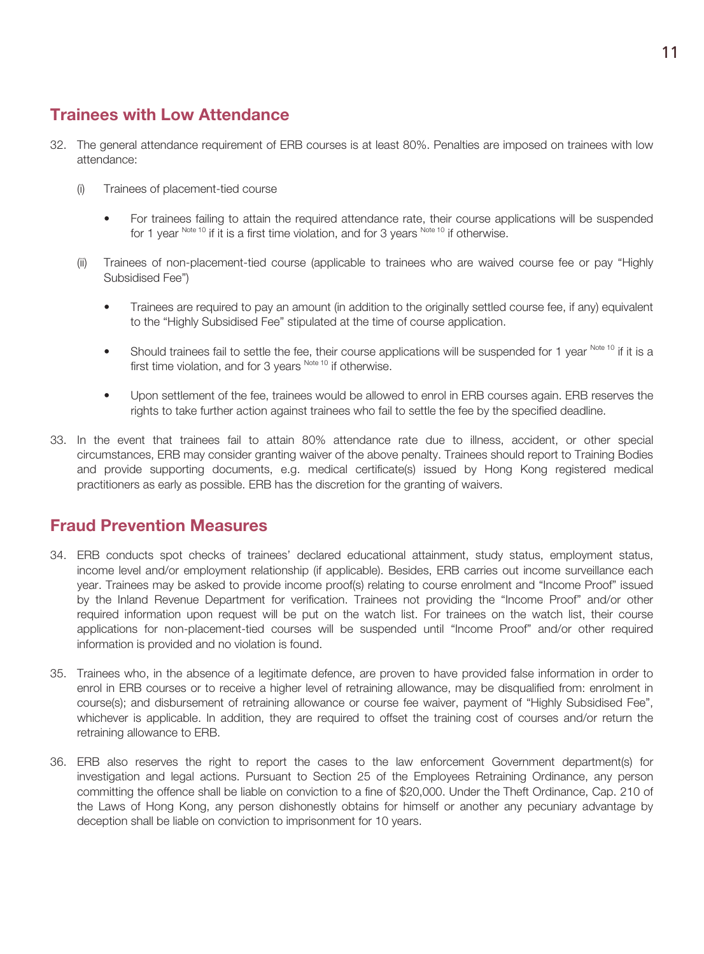#### Trainees with Low Attendance

- 32. The general attendance requirement of ERB courses is at least 80%. Penalties are imposed on trainees with low attendance:
	- (i) Trainees of placement-tied course
		- For trainees failing to attain the required attendance rate, their course applications will be suspended for 1 year  $^{Note 10}$  if it is a first time violation, and for 3 years  $^{Note 10}$  if otherwise.
	- (ii) Trainees of non-placement-tied course (applicable to trainees who are waived course fee or pay "Highly Subsidised Fee")
		- Trainees are required to pay an amount (in addition to the originally settled course fee, if any) equivalent to the "Highly Subsidised Fee" stipulated at the time of course application.
		- Should trainees fail to settle the fee, their course applications will be suspended for 1 year Note 10 if it is a first time violation, and for 3 years  $N^{Oote~10}$  if otherwise.
		- • Upon settlement of the fee, trainees would be allowed to enrol in ERB courses again. ERB reserves the rights to take further action against trainees who fail to settle the fee by the specified deadline.
- 33. In the event that trainees fail to attain 80% attendance rate due to illness, accident, or other special circumstances, ERB may consider granting waiver of the above penalty. Trainees should report to Training Bodies and provide supporting documents, e.g. medical certificate(s) issued by Hong Kong registered medical practitioners as early as possible. ERB has the discretion for the granting of waivers.

#### Fraud Prevention Measures

- 34. ERB conducts spot checks of trainees' declared educational attainment, study status, employment status, income level and/or employment relationship (if applicable). Besides, ERB carries out income surveillance each year. Trainees may be asked to provide income proof(s) relating to course enrolment and "Income Proof" issued by the Inland Revenue Department for verification. Trainees not providing the "Income Proof" and/or other required information upon request will be put on the watch list. For trainees on the watch list, their course applications for non-placement-tied courses will be suspended until "Income Proof" and/or other required information is provided and no violation is found.
- 35. Trainees who, in the absence of a legitimate defence, are proven to have provided false information in order to enrol in ERB courses or to receive a higher level of retraining allowance, may be disqualified from: enrolment in course(s); and disbursement of retraining allowance or course fee waiver, payment of "Highly Subsidised Fee", whichever is applicable. In addition, they are required to offset the training cost of courses and/or return the retraining allowance to ERB.
- 36. ERB also reserves the right to report the cases to the law enforcement Government department(s) for investigation and legal actions. Pursuant to Section 25 of the Employees Retraining Ordinance, any person committing the offence shall be liable on conviction to a fine of \$20,000. Under the Theft Ordinance, Cap. 210 of the Laws of Hong Kong, any person dishonestly obtains for himself or another any pecuniary advantage by deception shall be liable on conviction to imprisonment for 10 years.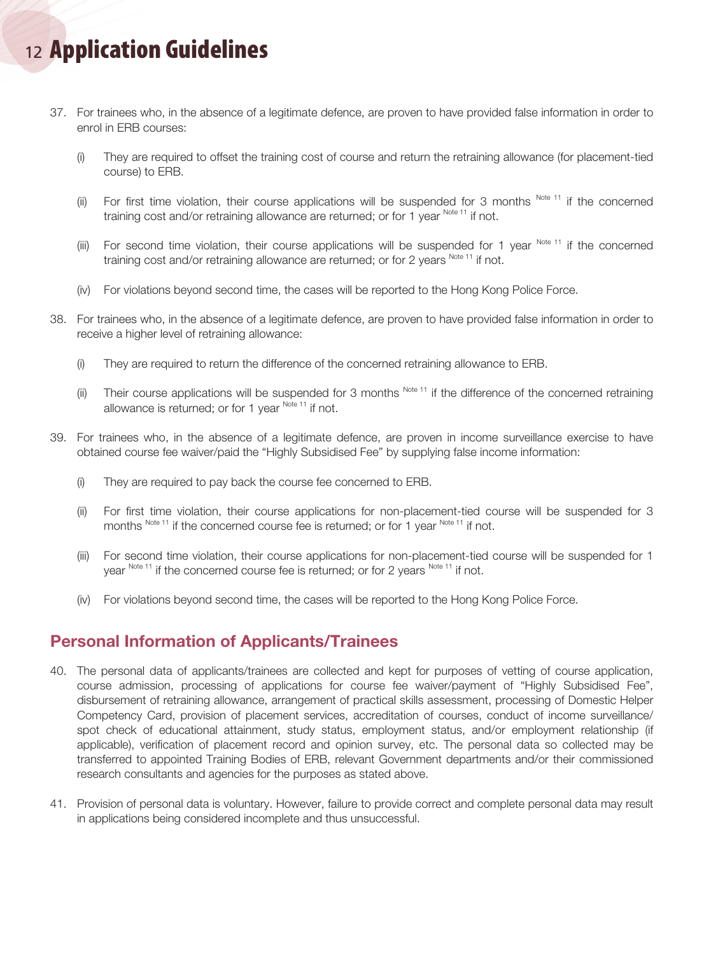# <sup>12</sup> Application Guidelines

- 37. For trainees who, in the absence of a legitimate defence, are proven to have provided false information in order to enrol in ERB courses:
	- (i) They are required to offset the training cost of course and return the retraining allowance (for placement-tied course) to ERB.
	- (ii) For first time violation, their course applications will be suspended for 3 months  $^{Note 11}$  if the concerned training cost and/or retraining allowance are returned; or for 1 year  $N_{\text{obs}}$  1 if not.
	- (iii) For second time violation, their course applications will be suspended for 1 year  $N<sup>other 11</sup>$  if the concerned training cost and/or retraining allowance are returned; or for 2 years Note 11 if not.
	- (iv) For violations beyond second time, the cases will be reported to the Hong Kong Police Force.
- 38. For trainees who, in the absence of a legitimate defence, are proven to have provided false information in order to receive a higher level of retraining allowance:
	- (i) They are required to return the difference of the concerned retraining allowance to ERB.
	- (ii) Their course applications will be suspended for 3 months  $^{Note 11}$  if the difference of the concerned retraining allowance is returned; or for 1 year  $N_{\text{obs}}$  11 if not.
- 39. For trainees who, in the absence of a legitimate defence, are proven in income surveillance exercise to have obtained course fee waiver/paid the "Highly Subsidised Fee" by supplying false income information:
	- (i) They are required to pay back the course fee concerned to ERB.
	- (ii) For first time violation, their course applications for non-placement-tied course will be suspended for 3 months Note 11 if the concerned course fee is returned; or for 1 year Note 11 if not.
	- (iii) For second time violation, their course applications for non-placement-tied course will be suspended for 1 year Note 11 if the concerned course fee is returned; or for 2 years Note 11 if not.
	- (iv) For violations beyond second time, the cases will be reported to the Hong Kong Police Force.

#### Personal Information of Applicants/Trainees

- 40. The personal data of applicants/trainees are collected and kept for purposes of vetting of course application, course admission, processing of applications for course fee waiver/payment of "Highly Subsidised Fee", disbursement of retraining allowance, arrangement of practical skills assessment, processing of Domestic Helper Competency Card, provision of placement services, accreditation of courses, conduct of income surveillance/ spot check of educational attainment, study status, employment status, and/or employment relationship (if applicable), verification of placement record and opinion survey, etc. The personal data so collected may be transferred to appointed Training Bodies of ERB, relevant Government departments and/or their commissioned research consultants and agencies for the purposes as stated above.
- 41. Provision of personal data is voluntary. However, failure to provide correct and complete personal data may result in applications being considered incomplete and thus unsuccessful.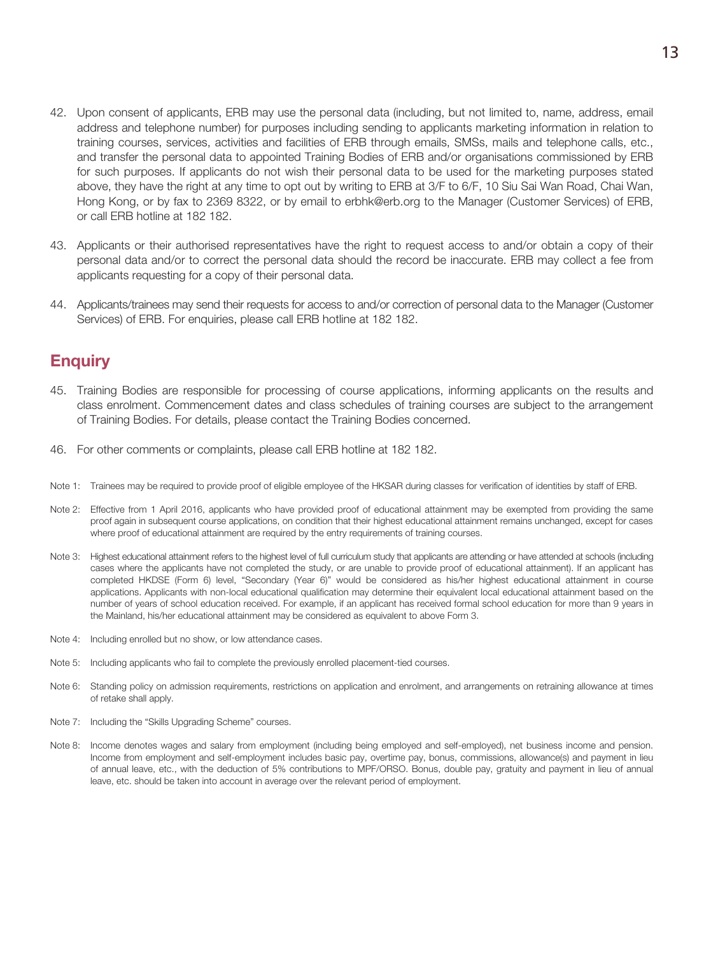- 42. Upon consent of applicants, ERB may use the personal data (including, but not limited to, name, address, email address and telephone number) for purposes including sending to applicants marketing information in relation to training courses, services, activities and facilities of ERB through emails, SMSs, mails and telephone calls, etc., and transfer the personal data to appointed Training Bodies of ERB and/or organisations commissioned by ERB for such purposes. If applicants do not wish their personal data to be used for the marketing purposes stated above, they have the right at any time to opt out by writing to ERB at 3/F to 6/F, 10 Siu Sai Wan Road, Chai Wan, Hong Kong, or by fax to 2369 8322, or by email to erbhk@erb.org to the Manager (Customer Services) of ERB, or call ERB hotline at 182 182.
- 43. Applicants or their authorised representatives have the right to request access to and/or obtain a copy of their personal data and/or to correct the personal data should the record be inaccurate. ERB may collect a fee from applicants requesting for a copy of their personal data.
- 44. Applicants/trainees may send their requests for access to and/or correction of personal data to the Manager (Customer Services) of ERB. For enquiries, please call ERB hotline at 182 182.

#### **Enquiry**

- 45. Training Bodies are responsible for processing of course applications, informing applicants on the results and class enrolment. Commencement dates and class schedules of training courses are subject to the arrangement of Training Bodies. For details, please contact the Training Bodies concerned.
- 46. For other comments or complaints, please call ERB hotline at 182 182.
- Note 1: Trainees may be required to provide proof of eligible employee of the HKSAR during classes for verification of identities by staff of ERB.
- Note 2: Effective from 1 April 2016, applicants who have provided proof of educational attainment may be exempted from providing the same proof again in subsequent course applications, on condition that their highest educational attainment remains unchanged, except for cases where proof of educational attainment are required by the entry requirements of training courses.
- Note 3: Highest educational attainment refers to the highest level of full curriculum study that applicants are attending or have attended at schools (including cases where the applicants have not completed the study, or are unable to provide proof of educational attainment). If an applicant has completed HKDSE (Form 6) level, "Secondary (Year 6)" would be considered as his/her highest educational attainment in course applications. Applicants with non-local educational qualification may determine their equivalent local educational attainment based on the number of years of school education received. For example, if an applicant has received formal school education for more than 9 years in the Mainland, his/her educational attainment may be considered as equivalent to above Form 3.
- Note 4: Including enrolled but no show, or low attendance cases.
- Note 5: Including applicants who fail to complete the previously enrolled placement-tied courses.
- Note 6: Standing policy on admission requirements, restrictions on application and enrolment, and arrangements on retraining allowance at times of retake shall apply.
- Note 7: Including the "Skills Upgrading Scheme" courses.
- Note 8: Income denotes wages and salary from employment (including being employed and self-employed), net business income and pension. Income from employment and self-employment includes basic pay, overtime pay, bonus, commissions, allowance(s) and payment in lieu of annual leave, etc., with the deduction of 5% contributions to MPF/ORSO. Bonus, double pay, gratuity and payment in lieu of annual leave, etc. should be taken into account in average over the relevant period of employment.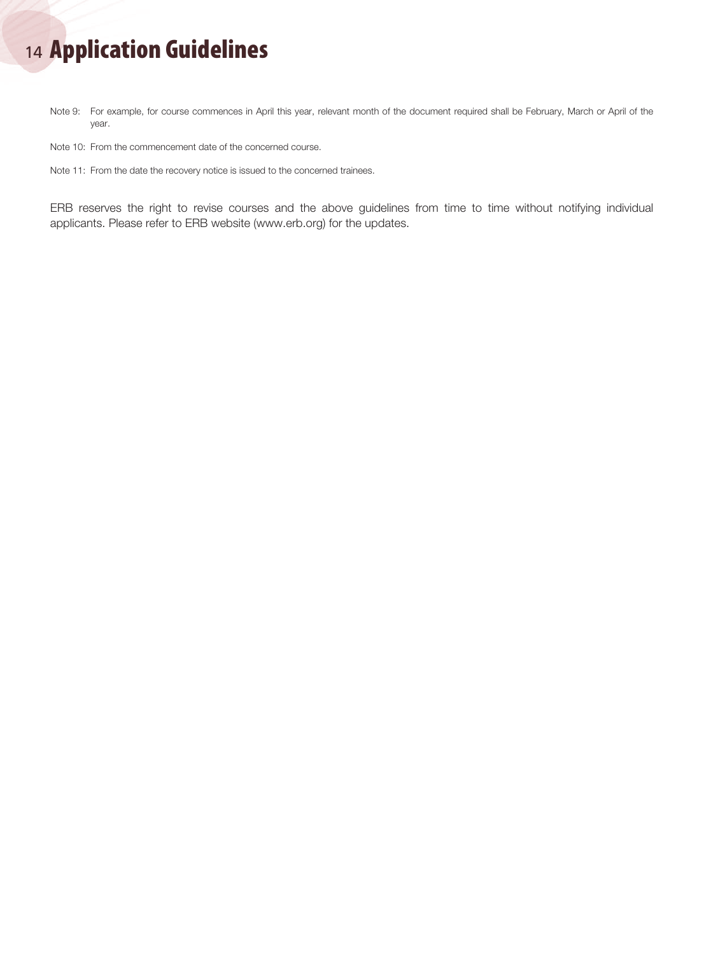# <sup>14</sup> Application Guidelines

Note 9: For example, for course commences in April this year, relevant month of the document required shall be February, March or April of the year.

Note 10: From the commencement date of the concerned course.

Note 11: From the date the recovery notice is issued to the concerned trainees.

ERB reserves the right to revise courses and the above guidelines from time to time without notifying individual applicants. Please refer to ERB website (www.erb.org) for the updates.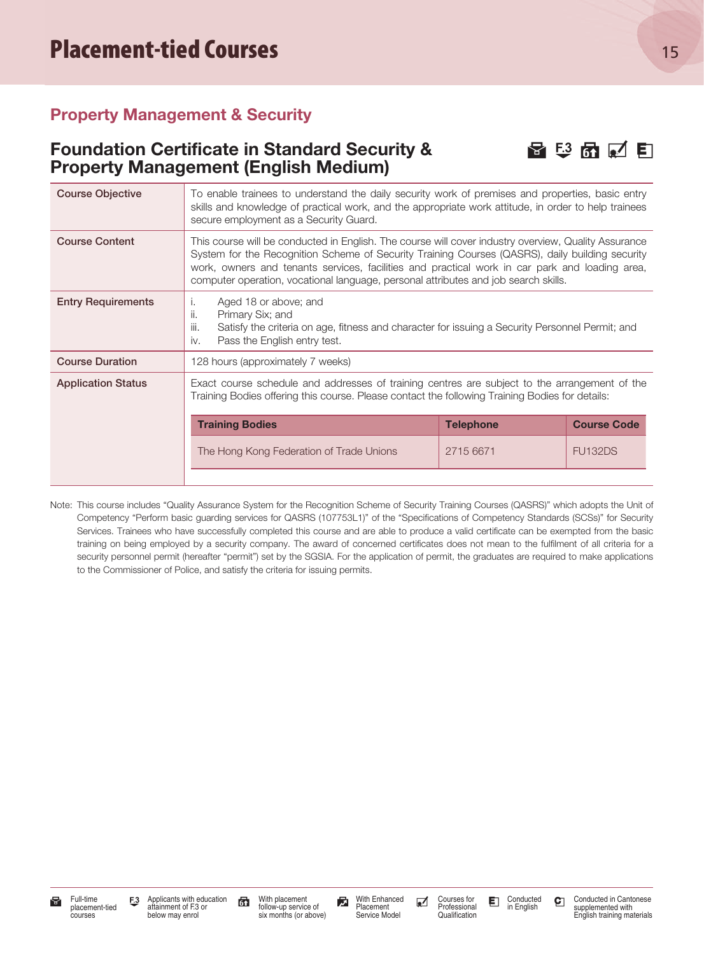#### Property Management & Security

#### Foundation Certificate in Standard Security &  $\Box$   $\Box$   $\Box$   $\Box$   $\Box$ Property Management (English Medium)

| <b>Course Objective</b>   | To enable trainees to understand the daily security work of premises and properties, basic entry<br>skills and knowledge of practical work, and the appropriate work attitude, in order to help trainees<br>secure employment as a Security Guard.                                                                                                                                               |           |                |
|---------------------------|--------------------------------------------------------------------------------------------------------------------------------------------------------------------------------------------------------------------------------------------------------------------------------------------------------------------------------------------------------------------------------------------------|-----------|----------------|
| <b>Course Content</b>     | This course will be conducted in English. The course will cover industry overview, Quality Assurance<br>System for the Recognition Scheme of Security Training Courses (QASRS), daily building security<br>work, owners and tenants services, facilities and practical work in car park and loading area,<br>computer operation, vocational language, personal attributes and job search skills. |           |                |
| <b>Entry Requirements</b> | Aged 18 or above; and<br>Π.<br>Primary Six; and<br>ii.<br>iii.<br>Satisfy the criteria on age, fitness and character for issuing a Security Personnel Permit; and<br>Pass the English entry test.<br>iv.                                                                                                                                                                                         |           |                |
| <b>Course Duration</b>    | 128 hours (approximately 7 weeks)                                                                                                                                                                                                                                                                                                                                                                |           |                |
| <b>Application Status</b> | Exact course schedule and addresses of training centres are subject to the arrangement of the<br>Training Bodies offering this course. Please contact the following Training Bodies for details:<br><b>Training Bodies</b><br><b>Telephone</b><br><b>Course Code</b>                                                                                                                             |           |                |
|                           | The Hong Kong Federation of Trade Unions                                                                                                                                                                                                                                                                                                                                                         | 2715 6671 | <b>FU132DS</b> |
|                           |                                                                                                                                                                                                                                                                                                                                                                                                  |           |                |

Note: This course includes "Quality Assurance System for the Recognition Scheme of Security Training Courses (QASRS)" which adopts the Unit of Competency "Perform basic guarding services for QASRS (107753L1)" of the "Specifications of Competency Standards (SCSs)" for Security Services. Trainees who have successfully completed this course and are able to produce a valid certificate can be exempted from the basic training on being employed by a security company. The award of concerned certificates does not mean to the fulfilment of all criteria for a security personnel permit (hereafter "permit") set by the SGSIA. For the application of permit, the graduates are required to make applications to the Commissioner of Police, and satisfy the criteria for issuing permits.

With placement follow-up service of six months (or above)

With Enhanced Placement Service Model

Courses for Professional Qualification

Conducted in English

Conducted in Cantonese supplemented with English training materials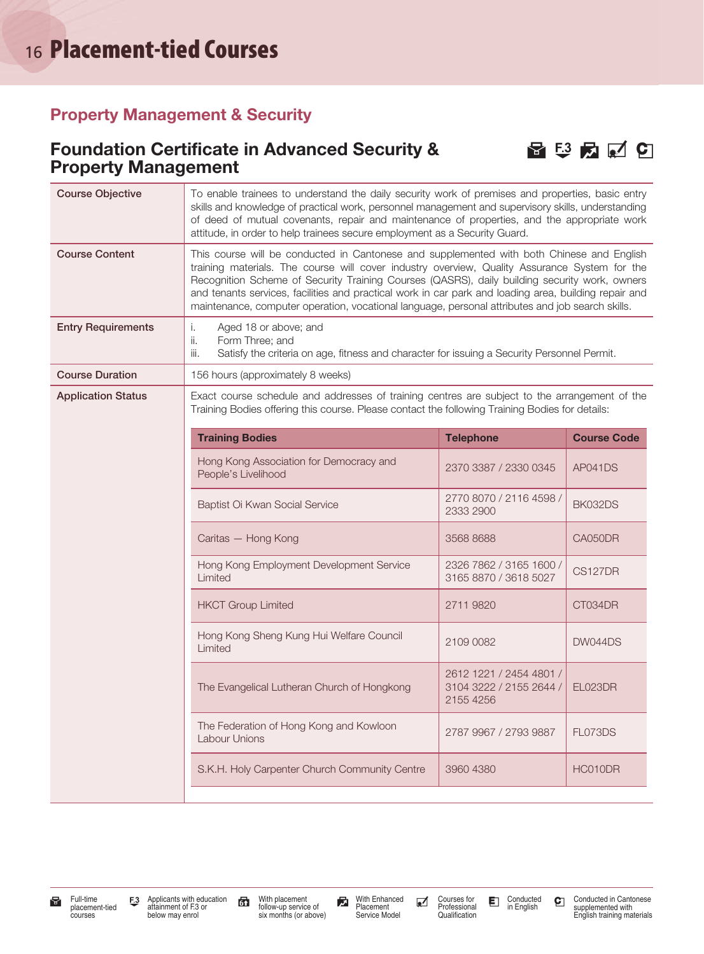#### Property Management & Security

#### Foundation Certificate in Advanced Security &  $\Box$   $\Box$   $\Box$   $\Box$   $\Box$ Property Management



| <b>Course Objective</b>   | To enable trainees to understand the daily security work of premises and properties, basic entry<br>skills and knowledge of practical work, personnel management and supervisory skills, understanding<br>of deed of mutual covenants, repair and maintenance of properties, and the appropriate work<br>attitude, in order to help trainees secure employment as a Security Guard.                                                                                                                      |                                                                 |                    |
|---------------------------|----------------------------------------------------------------------------------------------------------------------------------------------------------------------------------------------------------------------------------------------------------------------------------------------------------------------------------------------------------------------------------------------------------------------------------------------------------------------------------------------------------|-----------------------------------------------------------------|--------------------|
| <b>Course Content</b>     | This course will be conducted in Cantonese and supplemented with both Chinese and English<br>training materials. The course will cover industry overview, Quality Assurance System for the<br>Recognition Scheme of Security Training Courses (QASRS), daily building security work, owners<br>and tenants services, facilities and practical work in car park and loading area, building repair and<br>maintenance, computer operation, vocational language, personal attributes and job search skills. |                                                                 |                    |
| <b>Entry Requirements</b> | Aged 18 or above; and<br>i.<br>Form Three; and<br>ii.<br>Satisfy the criteria on age, fitness and character for issuing a Security Personnel Permit.<br>iii.                                                                                                                                                                                                                                                                                                                                             |                                                                 |                    |
| <b>Course Duration</b>    | 156 hours (approximately 8 weeks)                                                                                                                                                                                                                                                                                                                                                                                                                                                                        |                                                                 |                    |
| <b>Application Status</b> | Exact course schedule and addresses of training centres are subject to the arrangement of the<br>Training Bodies offering this course. Please contact the following Training Bodies for details:                                                                                                                                                                                                                                                                                                         |                                                                 |                    |
|                           | <b>Training Bodies</b>                                                                                                                                                                                                                                                                                                                                                                                                                                                                                   | <b>Telephone</b>                                                | <b>Course Code</b> |
|                           | Hong Kong Association for Democracy and<br>People's Livelihood                                                                                                                                                                                                                                                                                                                                                                                                                                           | 2370 3387 / 2330 0345                                           | AP041DS            |
|                           | Baptist Oi Kwan Social Service                                                                                                                                                                                                                                                                                                                                                                                                                                                                           | 2770 8070 / 2116 4598 /<br>2333 2900                            | BK032DS            |
|                           | Caritas - Hong Kong                                                                                                                                                                                                                                                                                                                                                                                                                                                                                      | 3568 8688                                                       | CA050DR            |
|                           | Hong Kong Employment Development Service<br>Limited                                                                                                                                                                                                                                                                                                                                                                                                                                                      | 2326 7862 / 3165 1600 /<br>3165 8870 / 3618 5027                | CS127DR            |
|                           | <b>HKCT Group Limited</b>                                                                                                                                                                                                                                                                                                                                                                                                                                                                                | 2711 9820                                                       | CT034DR            |
|                           | Hong Kong Sheng Kung Hui Welfare Council<br>Limited                                                                                                                                                                                                                                                                                                                                                                                                                                                      | 2109 0082                                                       | DW044DS            |
|                           | The Evangelical Lutheran Church of Hongkong                                                                                                                                                                                                                                                                                                                                                                                                                                                              | 2612 1221 / 2454 4801 /<br>3104 3222 / 2155 2644 /<br>2155 4256 | EL023DR            |
|                           | The Federation of Hong Kong and Kowloon<br><b>Labour Unions</b>                                                                                                                                                                                                                                                                                                                                                                                                                                          | 2787 9967 / 2793 9887                                           | FL073DS            |
|                           | S.K.H. Holy Carpenter Church Community Centre                                                                                                                                                                                                                                                                                                                                                                                                                                                            | 3960 4380                                                       | HC010DR            |

With placement follow-up service of six months (or above)

With Enhanced Placement Service Model

Courses for Professional **Qualification**  Conducted C Conducted in Cantonese<br>in English Supplemented with<br>English training materials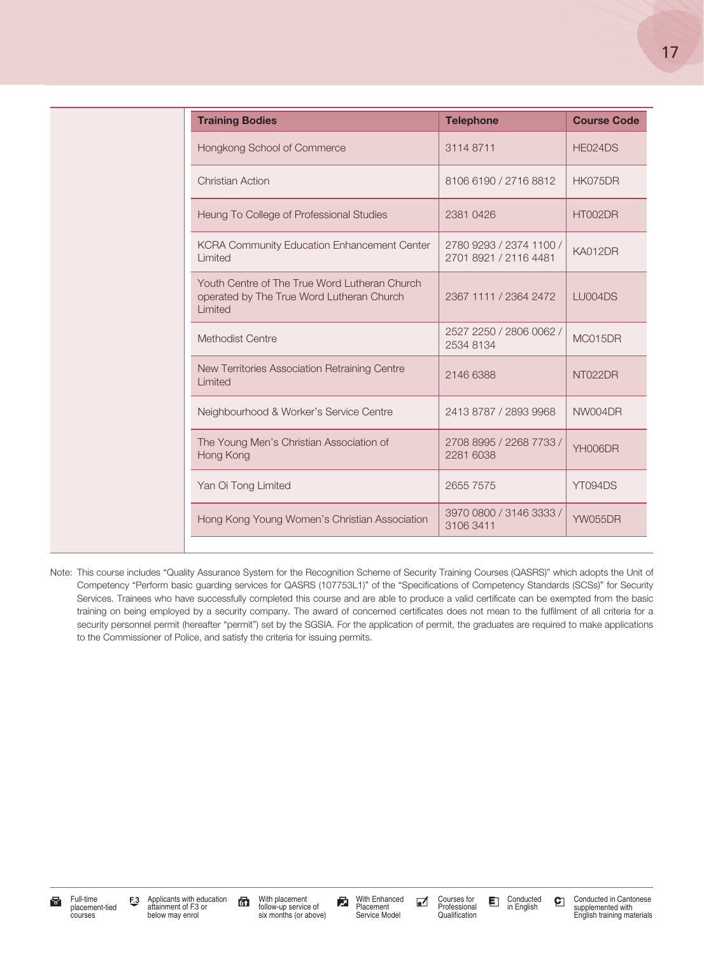| <b>Training Bodies</b>                                                                                | <b>Telephone</b>                                 | <b>Course Code</b> |
|-------------------------------------------------------------------------------------------------------|--------------------------------------------------|--------------------|
| Hongkong School of Commerce                                                                           | 31148711                                         | HE024DS            |
| <b>Christian Action</b>                                                                               | 8106 6190 / 2716 8812                            | HK075DR            |
| Heung To College of Professional Studies                                                              | 2381 0426                                        | HT002DR            |
| <b>KCRA Community Education Enhancement Center</b><br>Limited                                         | 2780 9293 / 2374 1100 /<br>2701 8921 / 2116 4481 | KA012DR            |
| Youth Centre of The True Word Lutheran Church<br>operated by The True Word Lutheran Church<br>Limited | 2367 1111 / 2364 2472                            | LU004DS            |
| Methodist Centre                                                                                      | 2527 2250 / 2806 0062 /<br>2534 8134             | MC015DR            |
| New Territories Association Retraining Centre<br>Limited                                              | 2146 6388                                        | NT022DR            |
| Neighbourhood & Worker's Service Centre                                                               | 2413 8787 / 2893 9968                            | NW004DR            |
| The Young Men's Christian Association of<br>Hong Kong                                                 | 2708 8995 / 2268 7733 /<br>2281 6038             | YH006DR            |
| Yan Oi Tong Limited                                                                                   | 2655 7575                                        | YT094DS            |
| Hong Kong Young Women's Christian Association                                                         | 3970 0800 / 3146 3333 /<br>3106 3411             | <b>YW055DR</b>     |

Note: This course includes "Quality Assurance System for the Recognition Scheme of Security Training Courses (QASRS)" which adopts the Unit of Competency "Perform basic guarding services for QASRS (107753L1)" of the "Specifications of Competency Standards (SCSs)" for Security Services. Trainees who have successfully completed this course and are able to produce a valid certificate can be exempted from the basic training on being employed by a security company. The award of concerned certificates does not mean to the fulfilment of all criteria for a security personnel permit (hereafter "permit") set by the SGSIA. For the application of permit, the graduates are required to make applications to the Commissioner of Police, and satisfy the criteria for issuing permits.

With placement follow-up service of six months (or above)

With Enhanced Placement Service Model

Courses for Professional Qualification

Conducted in English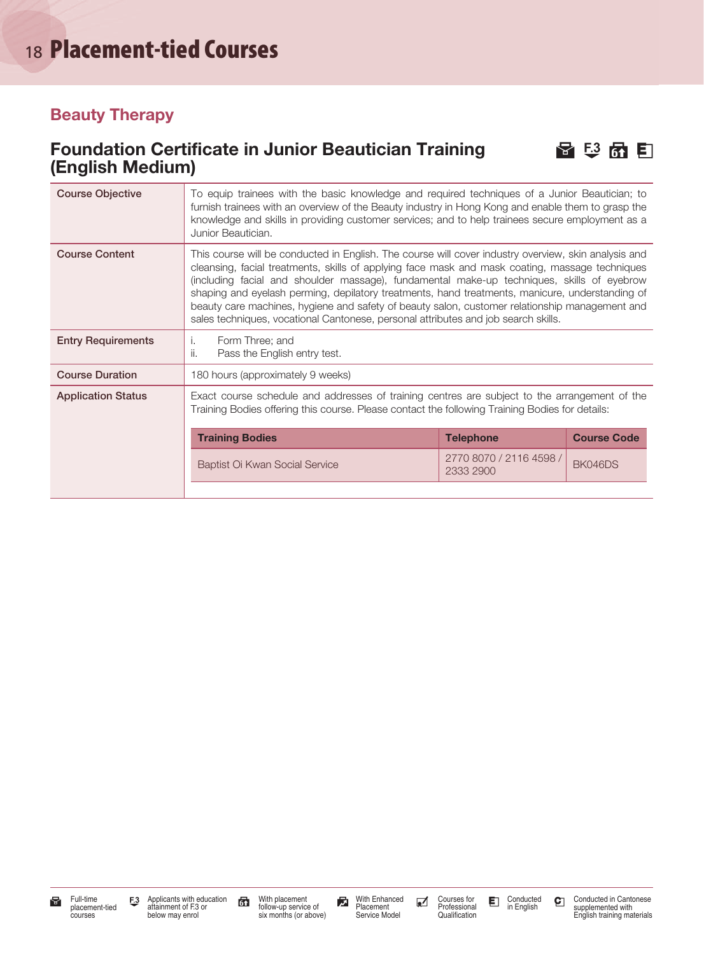#### Beauty Therapy

#### Foundation Certificate in Junior Beautician Training  $\Box$   $\Box$   $\Box$ (English Medium)



| <b>Course Objective</b>   | To equip trainees with the basic knowledge and required techniques of a Junior Beautician; to<br>furnish trainees with an overview of the Beauty industry in Hong Kong and enable them to grasp the<br>knowledge and skills in providing customer services; and to help trainees secure employment as a<br>Junior Beautician.                                                                                                                                                                                                                                                                    |                                      |                    |
|---------------------------|--------------------------------------------------------------------------------------------------------------------------------------------------------------------------------------------------------------------------------------------------------------------------------------------------------------------------------------------------------------------------------------------------------------------------------------------------------------------------------------------------------------------------------------------------------------------------------------------------|--------------------------------------|--------------------|
| <b>Course Content</b>     | This course will be conducted in English. The course will cover industry overview, skin analysis and<br>cleansing, facial treatments, skills of applying face mask and mask coating, massage techniques<br>(including facial and shoulder massage), fundamental make-up techniques, skills of eyebrow<br>shaping and eyelash perming, depilatory treatments, hand treatments, manicure, understanding of<br>beauty care machines, hygiene and safety of beauty salon, customer relationship management and<br>sales techniques, vocational Cantonese, personal attributes and job search skills. |                                      |                    |
| <b>Entry Requirements</b> | Form Three; and<br>Τ.<br>ii.<br>Pass the English entry test.                                                                                                                                                                                                                                                                                                                                                                                                                                                                                                                                     |                                      |                    |
| <b>Course Duration</b>    | 180 hours (approximately 9 weeks)                                                                                                                                                                                                                                                                                                                                                                                                                                                                                                                                                                |                                      |                    |
| <b>Application Status</b> | Exact course schedule and addresses of training centres are subject to the arrangement of the<br>Training Bodies offering this course. Please contact the following Training Bodies for details:                                                                                                                                                                                                                                                                                                                                                                                                 |                                      |                    |
|                           | <b>Training Bodies</b>                                                                                                                                                                                                                                                                                                                                                                                                                                                                                                                                                                           | <b>Telephone</b>                     | <b>Course Code</b> |
|                           | Baptist Oi Kwan Social Service                                                                                                                                                                                                                                                                                                                                                                                                                                                                                                                                                                   | 2770 8070 / 2116 4598 /<br>2333 2900 | BK046DS            |
|                           |                                                                                                                                                                                                                                                                                                                                                                                                                                                                                                                                                                                                  |                                      |                    |

With placement follow-up service of six months (or above)

With Enhanced Placement Service Model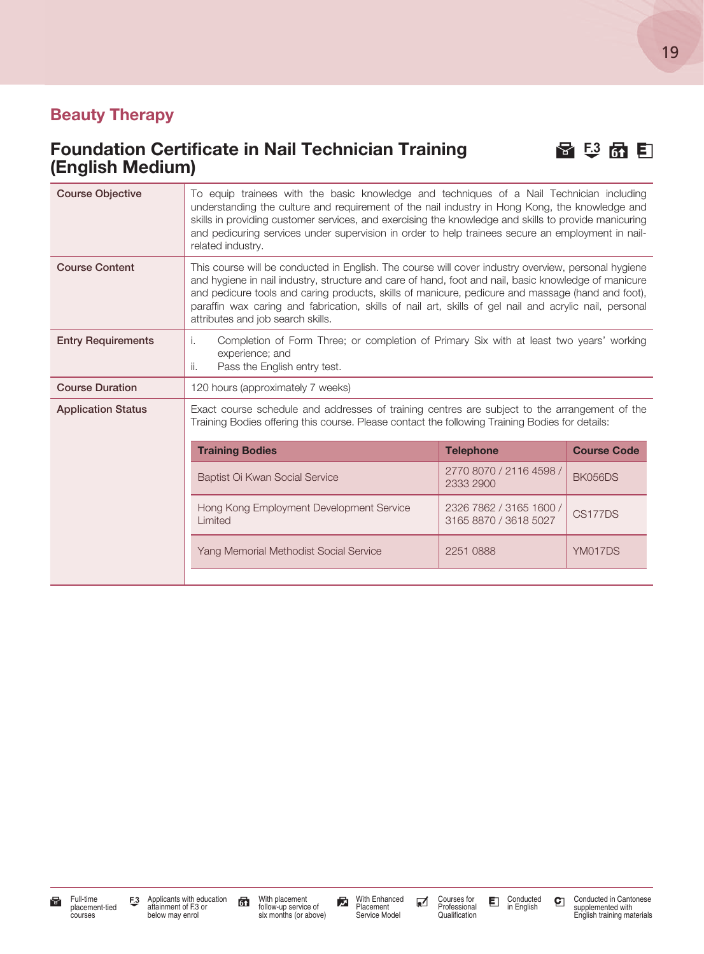#### Beauty Therapy

#### Foundation Certificate in Nail Technician Training <br>
日<br>
日 (English Medium)



| <b>Course Objective</b>   | To equip trainees with the basic knowledge and techniques of a Nail Technician including<br>understanding the culture and requirement of the nail industry in Hong Kong, the knowledge and<br>skills in providing customer services, and exercising the knowledge and skills to provide manicuring<br>and pedicuring services under supervision in order to help trainees secure an employment in nail-<br>related industry.                                    |                                                  |                    |
|---------------------------|-----------------------------------------------------------------------------------------------------------------------------------------------------------------------------------------------------------------------------------------------------------------------------------------------------------------------------------------------------------------------------------------------------------------------------------------------------------------|--------------------------------------------------|--------------------|
| <b>Course Content</b>     | This course will be conducted in English. The course will cover industry overview, personal hygiene<br>and hygiene in nail industry, structure and care of hand, foot and nail, basic knowledge of manicure<br>and pedicure tools and caring products, skills of manicure, pedicure and massage (hand and foot),<br>paraffin wax caring and fabrication, skills of nail art, skills of gel nail and acrylic nail, personal<br>attributes and job search skills. |                                                  |                    |
| <b>Entry Requirements</b> | Completion of Form Three; or completion of Primary Six with at least two years' working<br>i.<br>experience; and<br>ii.<br>Pass the English entry test.                                                                                                                                                                                                                                                                                                         |                                                  |                    |
| <b>Course Duration</b>    | 120 hours (approximately 7 weeks)                                                                                                                                                                                                                                                                                                                                                                                                                               |                                                  |                    |
| <b>Application Status</b> | Exact course schedule and addresses of training centres are subject to the arrangement of the<br>Training Bodies offering this course. Please contact the following Training Bodies for details:                                                                                                                                                                                                                                                                |                                                  |                    |
|                           | <b>Training Bodies</b>                                                                                                                                                                                                                                                                                                                                                                                                                                          | <b>Telephone</b>                                 | <b>Course Code</b> |
|                           | Baptist Oi Kwan Social Service                                                                                                                                                                                                                                                                                                                                                                                                                                  | 2770 8070 / 2116 4598 /<br>2333 2900             | <b>BK056DS</b>     |
|                           | Hong Kong Employment Development Service<br>Limited                                                                                                                                                                                                                                                                                                                                                                                                             | 2326 7862 / 3165 1600 /<br>3165 8870 / 3618 5027 | CS177DS            |
|                           | Yang Memorial Methodist Social Service                                                                                                                                                                                                                                                                                                                                                                                                                          | 2251 0888                                        | YM017DS            |
|                           |                                                                                                                                                                                                                                                                                                                                                                                                                                                                 |                                                  |                    |



With placement follow-up service of six months (or above)

With Enhanced Placement Service Model Conducted in English

19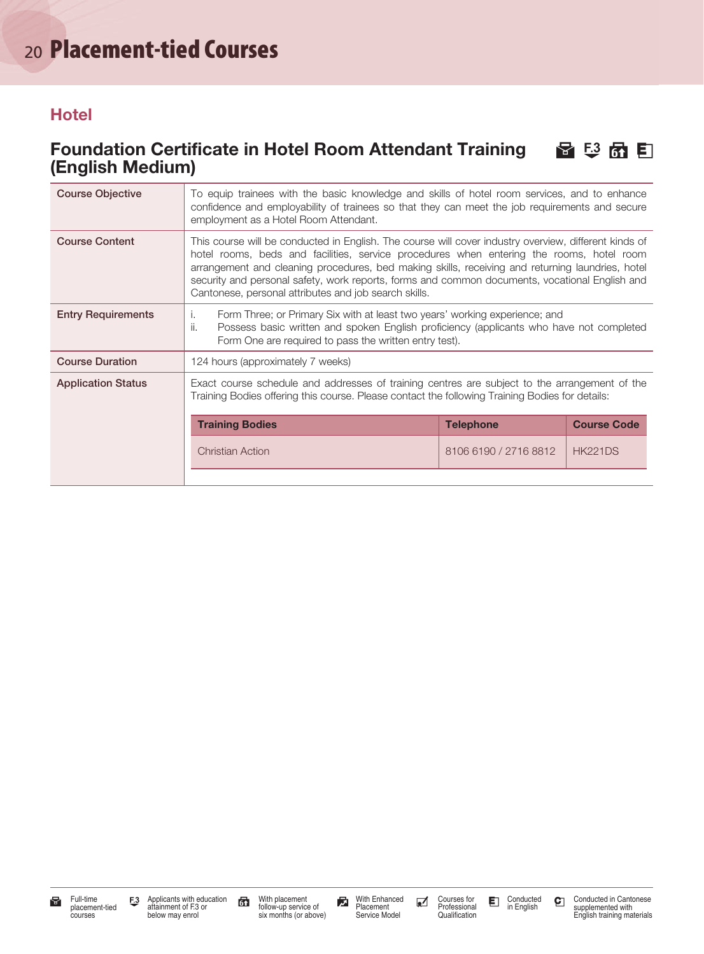#### **Hotel**

#### Foundation Certificate in Hotel Room Attendant Training 图 5 色 6 E (English Medium)

| <b>Course Objective</b>   | To equip trainees with the basic knowledge and skills of hotel room services, and to enhance<br>confidence and employability of trainees so that they can meet the job requirements and secure<br>employment as a Hotel Room Attendant.                                                                                                                                                                                                                          |                       |                    |
|---------------------------|------------------------------------------------------------------------------------------------------------------------------------------------------------------------------------------------------------------------------------------------------------------------------------------------------------------------------------------------------------------------------------------------------------------------------------------------------------------|-----------------------|--------------------|
| <b>Course Content</b>     | This course will be conducted in English. The course will cover industry overview, different kinds of<br>hotel rooms, beds and facilities, service procedures when entering the rooms, hotel room<br>arrangement and cleaning procedures, bed making skills, receiving and returning laundries, hotel<br>security and personal safety, work reports, forms and common documents, vocational English and<br>Cantonese, personal attributes and job search skills. |                       |                    |
| <b>Entry Requirements</b> | Form Three; or Primary Six with at least two years' working experience; and<br>Τ.<br>ii.<br>Possess basic written and spoken English proficiency (applicants who have not completed<br>Form One are required to pass the written entry test).                                                                                                                                                                                                                    |                       |                    |
| <b>Course Duration</b>    | 124 hours (approximately 7 weeks)                                                                                                                                                                                                                                                                                                                                                                                                                                |                       |                    |
| <b>Application Status</b> | Exact course schedule and addresses of training centres are subject to the arrangement of the<br>Training Bodies offering this course. Please contact the following Training Bodies for details:                                                                                                                                                                                                                                                                 |                       |                    |
|                           | <b>Training Bodies</b>                                                                                                                                                                                                                                                                                                                                                                                                                                           | <b>Telephone</b>      | <b>Course Code</b> |
|                           | <b>Christian Action</b>                                                                                                                                                                                                                                                                                                                                                                                                                                          | 8106 6190 / 2716 8812 | <b>HK221DS</b>     |
|                           |                                                                                                                                                                                                                                                                                                                                                                                                                                                                  |                       |                    |

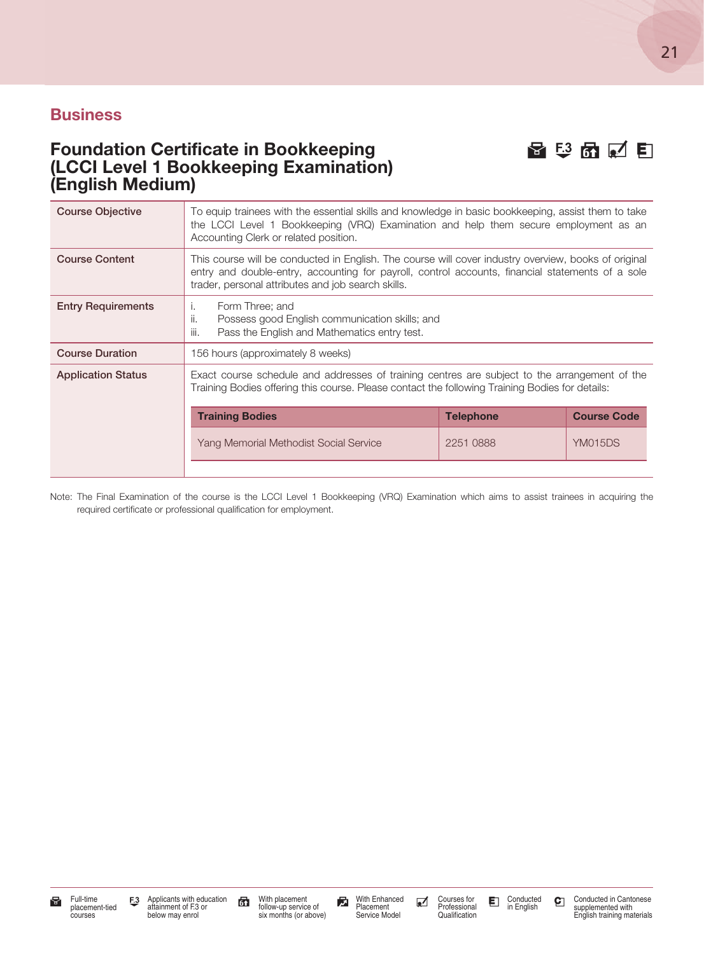#### Foundation Certificate in Bookkeeping H 3 6 C E (LCCI Level 1 Bookkeeping Examination) (English Medium)

| <b>Course Objective</b>   | To equip trainees with the essential skills and knowledge in basic bookkeeping, assist them to take<br>the LCCI Level 1 Bookkeeping (VRQ) Examination and help them secure employment as an<br>Accounting Clerk or related position.                           |           |                |  |
|---------------------------|----------------------------------------------------------------------------------------------------------------------------------------------------------------------------------------------------------------------------------------------------------------|-----------|----------------|--|
| <b>Course Content</b>     | This course will be conducted in English. The course will cover industry overview, books of original<br>entry and double-entry, accounting for payroll, control accounts, financial statements of a sole<br>trader, personal attributes and job search skills. |           |                |  |
| <b>Entry Requirements</b> | Form Three; and<br>Ι.<br>ii.<br>Possess good English communication skills; and<br>iii.<br>Pass the English and Mathematics entry test.                                                                                                                         |           |                |  |
| <b>Course Duration</b>    | 156 hours (approximately 8 weeks)                                                                                                                                                                                                                              |           |                |  |
| <b>Application Status</b> | Exact course schedule and addresses of training centres are subject to the arrangement of the<br>Training Bodies offering this course. Please contact the following Training Bodies for details:                                                               |           |                |  |
|                           | <b>Training Bodies</b><br><b>Course Code</b><br><b>Telephone</b>                                                                                                                                                                                               |           |                |  |
|                           | Yang Memorial Methodist Social Service                                                                                                                                                                                                                         | 2251 0888 | <b>YM015DS</b> |  |
|                           |                                                                                                                                                                                                                                                                |           |                |  |

Note: The Final Examination of the course is the LCCI Level 1 Bookkeeping (VRQ) Examination which aims to assist trainees in acquiring the required certificate or professional qualification for employment.

21

With placement follow-up service of six months (or above)

With Enhanced Placement Service Model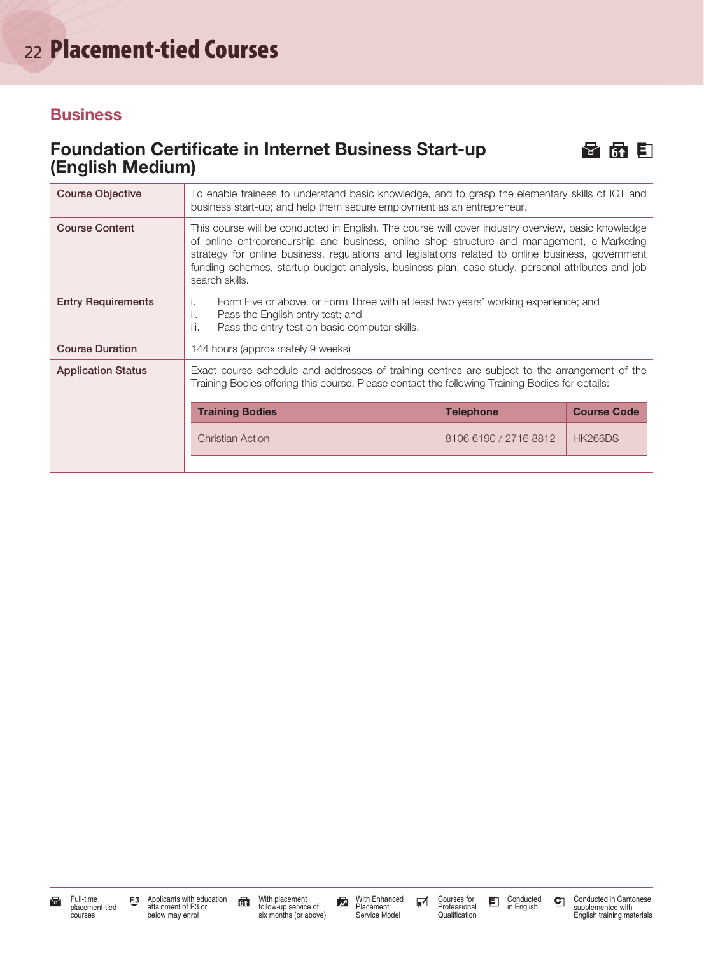#### Foundation Certificate in Internet Business Start-up **H F F** (English Medium)



| <b>Course Objective</b>   | To enable trainees to understand basic knowledge, and to grasp the elementary skills of ICT and<br>business start-up; and help them secure employment as an entrepreneur.                                                                                                                                                                                                                                                   |                       |                |  |
|---------------------------|-----------------------------------------------------------------------------------------------------------------------------------------------------------------------------------------------------------------------------------------------------------------------------------------------------------------------------------------------------------------------------------------------------------------------------|-----------------------|----------------|--|
| <b>Course Content</b>     | This course will be conducted in English. The course will cover industry overview, basic knowledge<br>of online entrepreneurship and business, online shop structure and management, e-Marketing<br>strategy for online business, regulations and legislations related to online business, government<br>funding schemes, startup budget analysis, business plan, case study, personal attributes and job<br>search skills. |                       |                |  |
| <b>Entry Requirements</b> | Form Five or above, or Form Three with at least two years' working experience; and<br>Τ.<br>Pass the English entry test; and<br>Ш.<br>iii.<br>Pass the entry test on basic computer skills.                                                                                                                                                                                                                                 |                       |                |  |
| <b>Course Duration</b>    | 144 hours (approximately 9 weeks)                                                                                                                                                                                                                                                                                                                                                                                           |                       |                |  |
| <b>Application Status</b> | Exact course schedule and addresses of training centres are subject to the arrangement of the<br>Training Bodies offering this course. Please contact the following Training Bodies for details:                                                                                                                                                                                                                            |                       |                |  |
|                           | <b>Course Code</b><br><b>Training Bodies</b><br><b>Telephone</b>                                                                                                                                                                                                                                                                                                                                                            |                       |                |  |
|                           | <b>Christian Action</b>                                                                                                                                                                                                                                                                                                                                                                                                     | 8106 6190 / 2716 8812 | <b>HK266DS</b> |  |
|                           |                                                                                                                                                                                                                                                                                                                                                                                                                             |                       |                |  |

With placement follow-up service of six months (or above)

With Enhanced Placement Service Model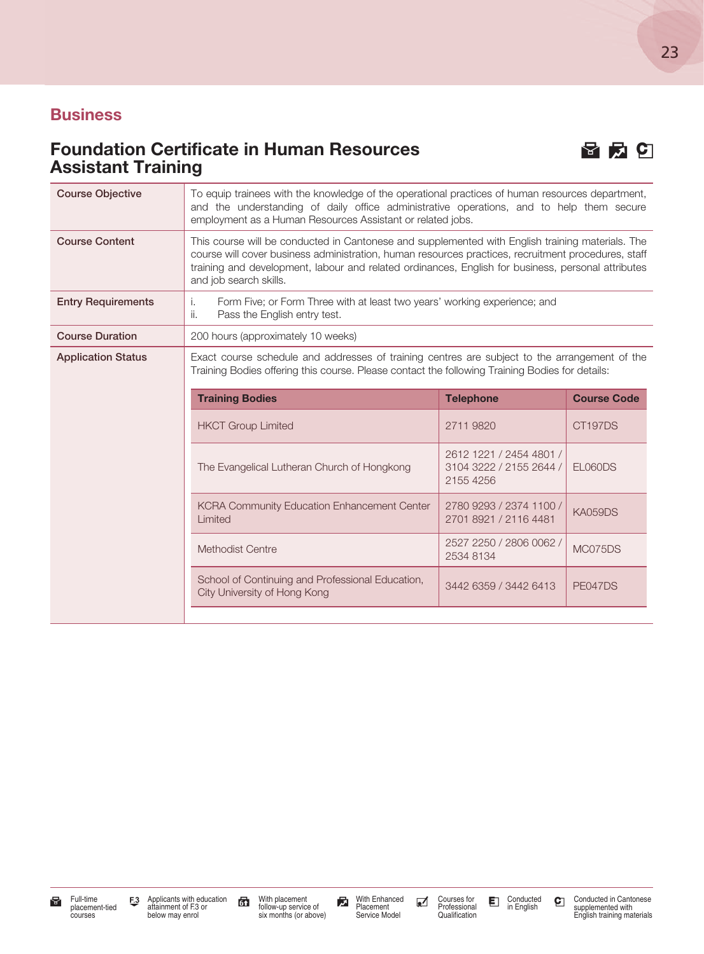### Foundation Certificate in Human Resources **H** a **G E G** Assistant Training



23

| <b>Course Objective</b>   | To equip trainees with the knowledge of the operational practices of human resources department,<br>and the understanding of daily office administrative operations, and to help them secure<br>employment as a Human Resources Assistant or related jobs.                                                                              |                                                                 |                    |
|---------------------------|-----------------------------------------------------------------------------------------------------------------------------------------------------------------------------------------------------------------------------------------------------------------------------------------------------------------------------------------|-----------------------------------------------------------------|--------------------|
| <b>Course Content</b>     | This course will be conducted in Cantonese and supplemented with English training materials. The<br>course will cover business administration, human resources practices, recruitment procedures, staff<br>training and development, labour and related ordinances, English for business, personal attributes<br>and job search skills. |                                                                 |                    |
| <b>Entry Requirements</b> | Form Five; or Form Three with at least two years' working experience; and<br>İ.<br>ii.<br>Pass the English entry test.                                                                                                                                                                                                                  |                                                                 |                    |
| <b>Course Duration</b>    | 200 hours (approximately 10 weeks)                                                                                                                                                                                                                                                                                                      |                                                                 |                    |
| <b>Application Status</b> | Exact course schedule and addresses of training centres are subject to the arrangement of the<br>Training Bodies offering this course. Please contact the following Training Bodies for details:                                                                                                                                        |                                                                 |                    |
|                           | <b>Training Bodies</b>                                                                                                                                                                                                                                                                                                                  | <b>Telephone</b>                                                | <b>Course Code</b> |
|                           | <b>HKCT Group Limited</b>                                                                                                                                                                                                                                                                                                               | 2711 9820                                                       | CT197DS            |
|                           | The Evangelical Lutheran Church of Hongkong                                                                                                                                                                                                                                                                                             | 2612 1221 / 2454 4801 /<br>3104 3222 / 2155 2644 /<br>2155 4256 | EL060DS            |
|                           | KCRA Community Education Enhancement Center<br>Limited                                                                                                                                                                                                                                                                                  | 2780 9293 / 2374 1100 /<br>2701 8921 / 2116 4481                | <b>KA059DS</b>     |
|                           | <b>Methodist Centre</b>                                                                                                                                                                                                                                                                                                                 | 2527 2250 / 2806 0062 /<br>2534 8134                            | MC075DS            |
|                           | School of Continuing and Professional Education,<br>City University of Hong Kong                                                                                                                                                                                                                                                        | 3442 6359 / 3442 6413                                           | PE047DS            |
|                           |                                                                                                                                                                                                                                                                                                                                         |                                                                 |                    |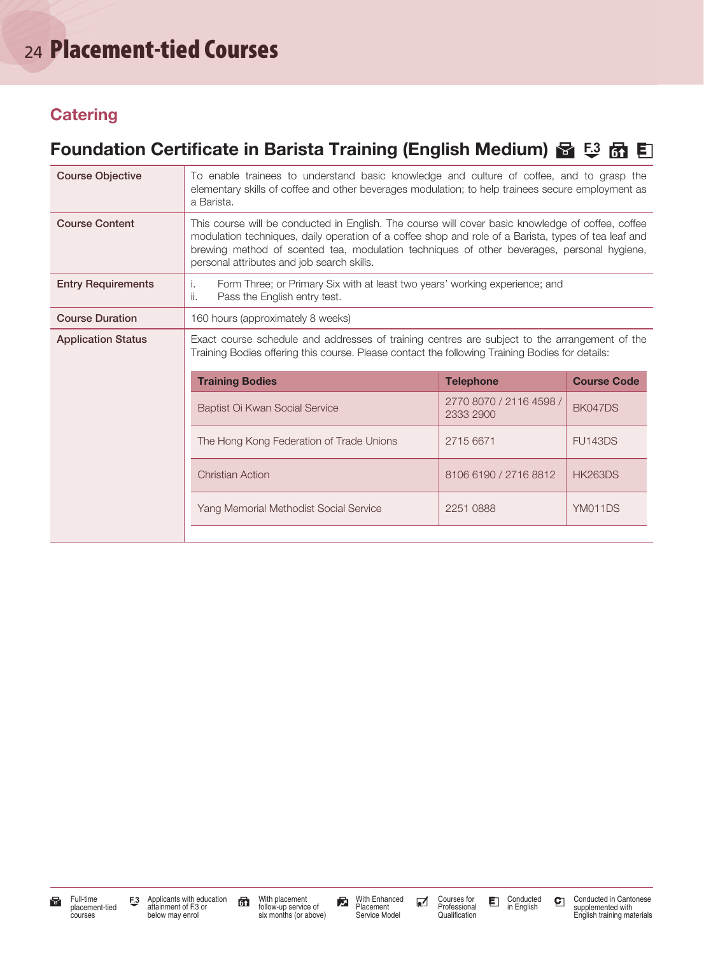# <sup>24</sup> Placement-tied Courses

#### **Catering**

### Foundation Certificate in Barista Training (English Medium) 图 5 6 团 目

| <b>Course Objective</b>   | To enable trainees to understand basic knowledge and culture of coffee, and to grasp the<br>elementary skills of coffee and other beverages modulation; to help trainees secure employment as<br>a Barista.                                                                                                                                           |                                      |                |  |  |
|---------------------------|-------------------------------------------------------------------------------------------------------------------------------------------------------------------------------------------------------------------------------------------------------------------------------------------------------------------------------------------------------|--------------------------------------|----------------|--|--|
| <b>Course Content</b>     | This course will be conducted in English. The course will cover basic knowledge of coffee, coffee<br>modulation techniques, daily operation of a coffee shop and role of a Barista, types of tea leaf and<br>brewing method of scented tea, modulation techniques of other beverages, personal hygiene,<br>personal attributes and job search skills. |                                      |                |  |  |
| <b>Entry Requirements</b> | Form Three; or Primary Six with at least two years' working experience; and<br>Ť.<br>ii.<br>Pass the English entry test.                                                                                                                                                                                                                              |                                      |                |  |  |
| <b>Course Duration</b>    | 160 hours (approximately 8 weeks)                                                                                                                                                                                                                                                                                                                     |                                      |                |  |  |
| <b>Application Status</b> | Exact course schedule and addresses of training centres are subject to the arrangement of the<br>Training Bodies offering this course. Please contact the following Training Bodies for details:                                                                                                                                                      |                                      |                |  |  |
|                           | <b>Training Bodies</b><br><b>Telephone</b><br><b>Course Code</b>                                                                                                                                                                                                                                                                                      |                                      |                |  |  |
|                           | Baptist Oi Kwan Social Service                                                                                                                                                                                                                                                                                                                        | 2770 8070 / 2116 4598 /<br>2333 2900 | BK047DS        |  |  |
|                           | The Hong Kong Federation of Trade Unions                                                                                                                                                                                                                                                                                                              | 2715 6671                            | <b>FU143DS</b> |  |  |
|                           | <b>Christian Action</b>                                                                                                                                                                                                                                                                                                                               | 8106 6190 / 2716 8812                | <b>HK263DS</b> |  |  |
|                           | Yang Memorial Methodist Social Service                                                                                                                                                                                                                                                                                                                | 2251 0888                            | YM011DS        |  |  |
|                           |                                                                                                                                                                                                                                                                                                                                                       |                                      |                |  |  |

With placement follow-up service of six months (or above)

With Enhanced Placement Service Model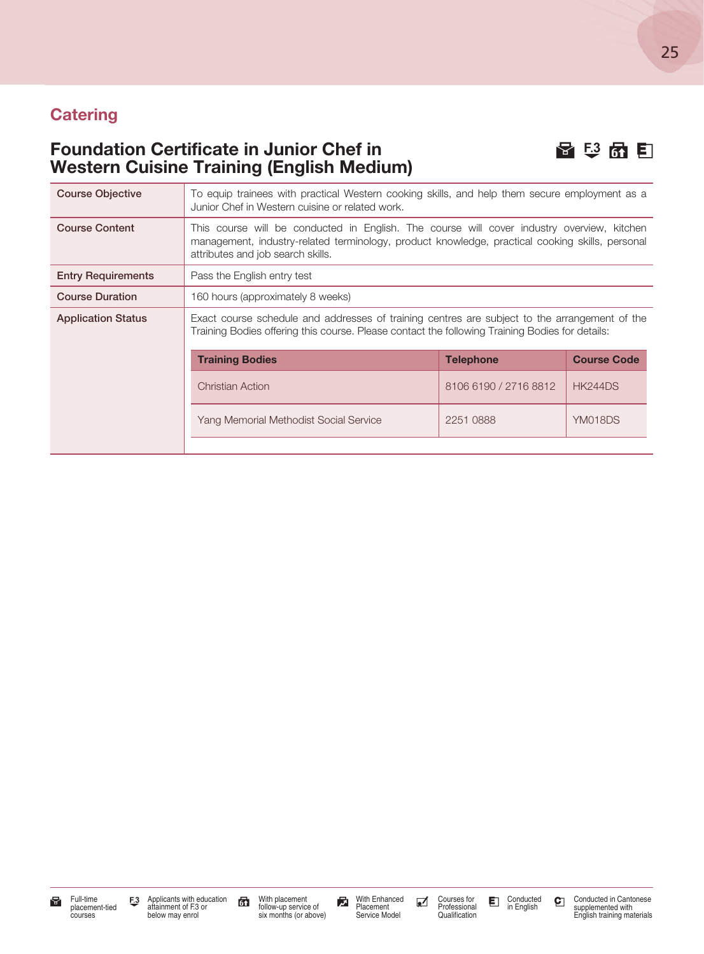#### **Catering**

#### Foundation Certificate in Junior Chef in H 3 6 E3  $\mathbb{R}$  5 E3 Western Cuisine Training (English Medium)





With placement follow-up service of six months (or above)

With Enhanced Placement Service Model

Courses for Professional Qualification

Conducted in English

Conducted in Cantonese supplemented with English training materials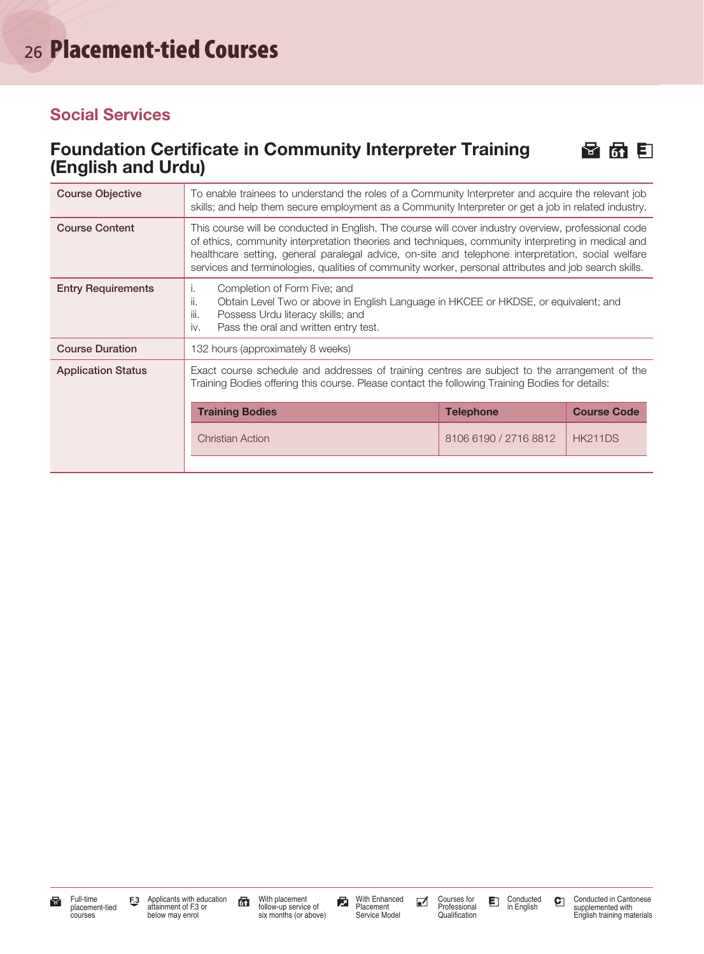#### Social Services

#### Foundation Certificate in Community Interpreter Training  $\mathbb{F}$  6  $\mathbb{F}$ (English and Urdu)



| <b>Course Objective</b>   | To enable trainees to understand the roles of a Community Interpreter and acquire the relevant job<br>skills; and help them secure employment as a Community Interpreter or get a job in related industry.                                                                                                                                                                                                                |                       |                |
|---------------------------|---------------------------------------------------------------------------------------------------------------------------------------------------------------------------------------------------------------------------------------------------------------------------------------------------------------------------------------------------------------------------------------------------------------------------|-----------------------|----------------|
| <b>Course Content</b>     | This course will be conducted in English. The course will cover industry overview, professional code<br>of ethics, community interpretation theories and techniques, community interpreting in medical and<br>healthcare setting, general paralegal advice, on-site and telephone interpretation, social welfare<br>services and terminologies, qualities of community worker, personal attributes and job search skills. |                       |                |
| <b>Entry Requirements</b> | Completion of Form Five; and<br>Ι.<br>Obtain Level Two or above in English Language in HKCEE or HKDSE, or equivalent; and<br>ii.<br>iii.<br>Possess Urdu literacy skills; and<br>Pass the oral and written entry test.<br>iv.                                                                                                                                                                                             |                       |                |
| <b>Course Duration</b>    | 132 hours (approximately 8 weeks)                                                                                                                                                                                                                                                                                                                                                                                         |                       |                |
| <b>Application Status</b> | Exact course schedule and addresses of training centres are subject to the arrangement of the<br>Training Bodies offering this course. Please contact the following Training Bodies for details:<br><b>Course Code</b><br><b>Training Bodies</b><br><b>Telephone</b>                                                                                                                                                      |                       |                |
|                           | <b>Christian Action</b>                                                                                                                                                                                                                                                                                                                                                                                                   | 8106 6190 / 2716 8812 | <b>HK211DS</b> |
|                           |                                                                                                                                                                                                                                                                                                                                                                                                                           |                       |                |

With placement follow-up service of six months (or above)

With Enhanced Placement Service Model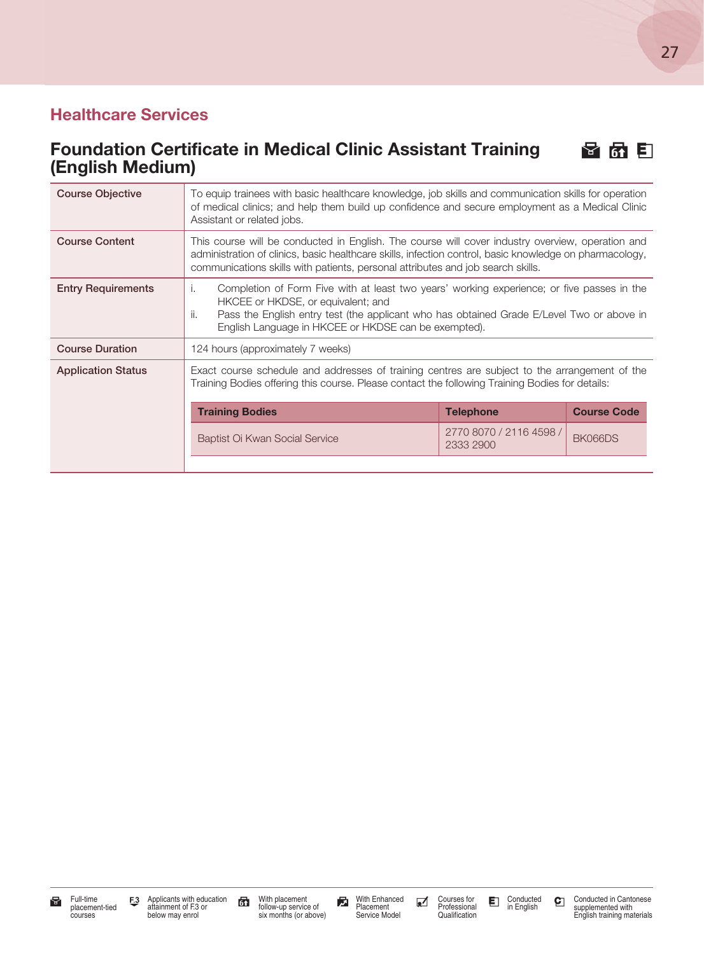### Healthcare Services

#### Foundation Certificate in Medical Clinic Assistant Training <br> **H** 6 E (English Medium)

| <b>Course Objective</b>   | To equip trainees with basic healthcare knowledge, job skills and communication skills for operation<br>of medical clinics; and help them build up confidence and secure employment as a Medical Clinic<br>Assistant or related jobs.                                                              |                                      |         |  |  |
|---------------------------|----------------------------------------------------------------------------------------------------------------------------------------------------------------------------------------------------------------------------------------------------------------------------------------------------|--------------------------------------|---------|--|--|
| <b>Course Content</b>     | This course will be conducted in English. The course will cover industry overview, operation and<br>administration of clinics, basic healthcare skills, infection control, basic knowledge on pharmacology,<br>communications skills with patients, personal attributes and job search skills.     |                                      |         |  |  |
| <b>Entry Requirements</b> | Completion of Form Five with at least two years' working experience; or five passes in the<br>Τ.<br>HKCEE or HKDSE, or equivalent; and<br>Pass the English entry test (the applicant who has obtained Grade E/Level Two or above in<br>ii.<br>English Language in HKCEE or HKDSE can be exempted). |                                      |         |  |  |
| <b>Course Duration</b>    | 124 hours (approximately 7 weeks)                                                                                                                                                                                                                                                                  |                                      |         |  |  |
| <b>Application Status</b> | Exact course schedule and addresses of training centres are subject to the arrangement of the<br>Training Bodies offering this course. Please contact the following Training Bodies for details:                                                                                                   |                                      |         |  |  |
|                           | <b>Course Code</b><br><b>Training Bodies</b><br><b>Telephone</b>                                                                                                                                                                                                                                   |                                      |         |  |  |
|                           | Baptist Oi Kwan Social Service                                                                                                                                                                                                                                                                     | 2770 8070 / 2116 4598 /<br>2333 2900 | BK066DS |  |  |
|                           |                                                                                                                                                                                                                                                                                                    |                                      |         |  |  |

Conducted in English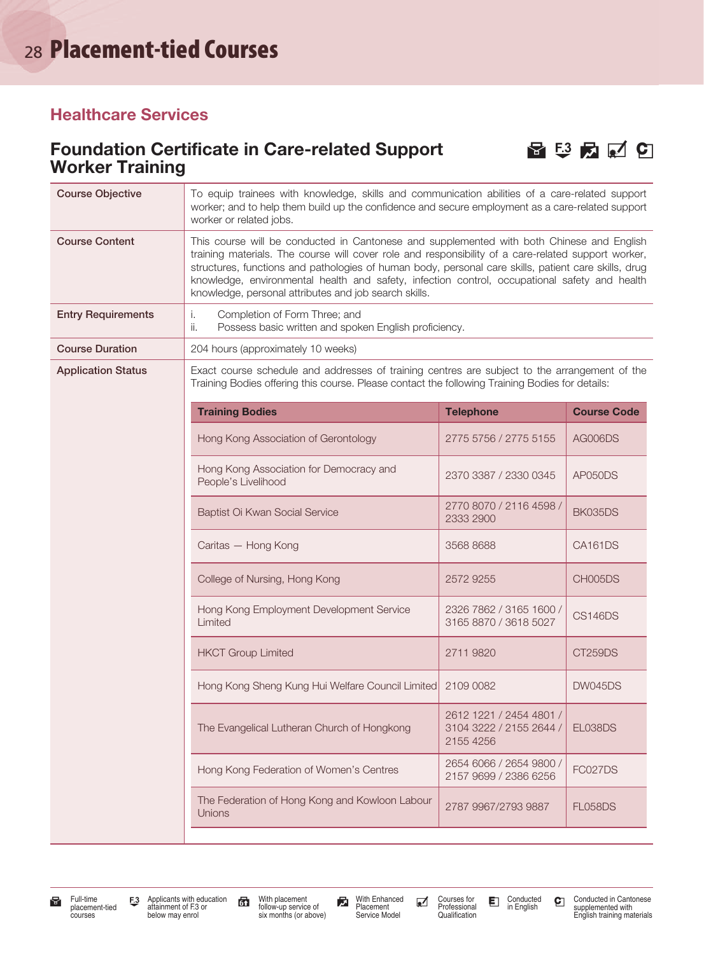#### Healthcare Services

#### Foundation Certificate in Care-related Support  $\Box$   $\Box$   $\Box$   $\Box$   $\Box$ Worker Training



| <b>Course Objective</b>   | To equip trainees with knowledge, skills and communication abilities of a care-related support<br>worker; and to help them build up the confidence and secure employment as a care-related support<br>worker or related jobs.                                                                                                                                                                                                                                      |                                                                 |                    |
|---------------------------|--------------------------------------------------------------------------------------------------------------------------------------------------------------------------------------------------------------------------------------------------------------------------------------------------------------------------------------------------------------------------------------------------------------------------------------------------------------------|-----------------------------------------------------------------|--------------------|
| <b>Course Content</b>     | This course will be conducted in Cantonese and supplemented with both Chinese and English<br>training materials. The course will cover role and responsibility of a care-related support worker,<br>structures, functions and pathologies of human body, personal care skills, patient care skills, drug<br>knowledge, environmental health and safety, infection control, occupational safety and health<br>knowledge, personal attributes and job search skills. |                                                                 |                    |
| <b>Entry Requirements</b> | Completion of Form Three; and<br>i.<br>ii.<br>Possess basic written and spoken English proficiency.                                                                                                                                                                                                                                                                                                                                                                |                                                                 |                    |
| <b>Course Duration</b>    | 204 hours (approximately 10 weeks)                                                                                                                                                                                                                                                                                                                                                                                                                                 |                                                                 |                    |
| <b>Application Status</b> | Exact course schedule and addresses of training centres are subject to the arrangement of the<br>Training Bodies offering this course. Please contact the following Training Bodies for details:                                                                                                                                                                                                                                                                   |                                                                 |                    |
|                           | <b>Training Bodies</b>                                                                                                                                                                                                                                                                                                                                                                                                                                             | <b>Telephone</b>                                                | <b>Course Code</b> |
|                           | Hong Kong Association of Gerontology                                                                                                                                                                                                                                                                                                                                                                                                                               | 2775 5756 / 2775 5155                                           | AG006DS            |
|                           | Hong Kong Association for Democracy and<br>People's Livelihood                                                                                                                                                                                                                                                                                                                                                                                                     | 2370 3387 / 2330 0345                                           | AP050DS            |
|                           | Baptist Oi Kwan Social Service                                                                                                                                                                                                                                                                                                                                                                                                                                     | 2770 8070 / 2116 4598 /<br>2333 2900                            | BK035DS            |
|                           | Caritas - Hong Kong                                                                                                                                                                                                                                                                                                                                                                                                                                                | 3568 8688                                                       | CA161DS            |
|                           | College of Nursing, Hong Kong                                                                                                                                                                                                                                                                                                                                                                                                                                      | 2572 9255                                                       | CH005DS            |
|                           | Hong Kong Employment Development Service<br>Limited                                                                                                                                                                                                                                                                                                                                                                                                                | 2326 7862 / 3165 1600 /<br>3165 8870 / 3618 5027                | <b>CS146DS</b>     |
|                           | <b>HKCT Group Limited</b>                                                                                                                                                                                                                                                                                                                                                                                                                                          | 2711 9820                                                       | CT259DS            |
|                           | Hong Kong Sheng Kung Hui Welfare Council Limited 2109 0082                                                                                                                                                                                                                                                                                                                                                                                                         |                                                                 | <b>DW045DS</b>     |
|                           | The Evangelical Lutheran Church of Hongkong                                                                                                                                                                                                                                                                                                                                                                                                                        | 2612 1221 / 2454 4801 /<br>3104 3222 / 2155 2644 /<br>2155 4256 | EL038DS            |
|                           | Hong Kong Federation of Women's Centres                                                                                                                                                                                                                                                                                                                                                                                                                            | 2654 6066 / 2654 9800 /<br>2157 9699 / 2386 6256                | FC027DS            |
|                           | The Federation of Hong Kong and Kowloon Labour<br>Unions                                                                                                                                                                                                                                                                                                                                                                                                           | 2787 9967/2793 9887                                             | <b>FL058DS</b>     |
|                           |                                                                                                                                                                                                                                                                                                                                                                                                                                                                    |                                                                 |                    |

Full-time F3 Applicants with education F3 With placement<br>placement-tied Tax attainment of F3 or and follow-up service of Placement Courses for E Conducted C<br>courses below may enrol six months (or above) Service Model Quali Applicants with education attainment of F.3 or below may enrol

With placement follow-up service of six months (or above)

With Enhanced Placement Service Model

Courses for Professional Qualification

Conducted C Conducted in Cantonese<br>in English Supplemented with<br>English training materials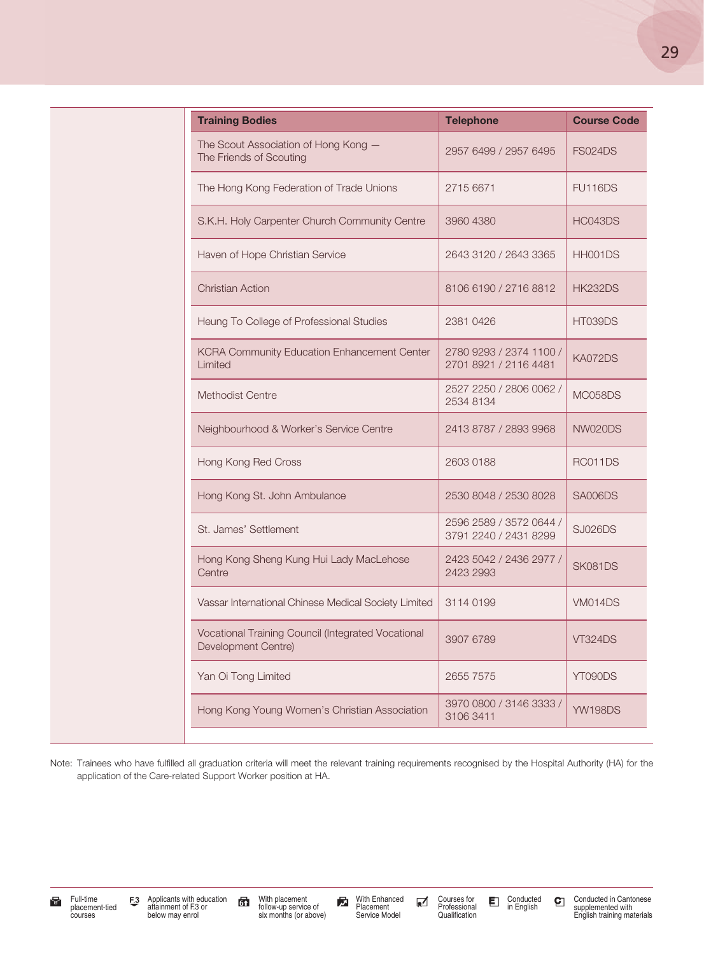| <b>Training Bodies</b>                                                    | <b>Telephone</b>                                 | <b>Course Code</b> |
|---------------------------------------------------------------------------|--------------------------------------------------|--------------------|
| The Scout Association of Hong Kong -<br>The Friends of Scouting           | 2957 6499 / 2957 6495                            | <b>FS024DS</b>     |
| The Hong Kong Federation of Trade Unions                                  | 2715 6671                                        | <b>FU116DS</b>     |
| S.K.H. Holy Carpenter Church Community Centre                             | 3960 4380                                        | HC043DS            |
| Haven of Hope Christian Service                                           | 2643 3120 / 2643 3365                            | HH001DS            |
| <b>Christian Action</b>                                                   | 8106 6190 / 2716 8812                            | <b>HK232DS</b>     |
| Heung To College of Professional Studies                                  | 2381 0426                                        | HT039DS            |
| KCRA Community Education Enhancement Center<br>Limited                    | 2780 9293 / 2374 1100 /<br>2701 8921 / 2116 4481 | KA072DS            |
| Methodist Centre                                                          | 2527 2250 / 2806 0062 /<br>2534 8134             | MC058DS            |
| Neighbourhood & Worker's Service Centre                                   | 2413 8787 / 2893 9968                            | NW020DS            |
| Hong Kong Red Cross                                                       | 2603 0188                                        | RC011DS            |
| Hong Kong St. John Ambulance                                              | 2530 8048 / 2530 8028                            | <b>SA006DS</b>     |
| St. James' Settlement                                                     | 2596 2589 / 3572 0644 /<br>3791 2240 / 2431 8299 | <b>SJ026DS</b>     |
| Hong Kong Sheng Kung Hui Lady MacLehose<br>Centre                         | 2423 5042 / 2436 2977 /<br>2423 2993             | SK081DS            |
| Vassar International Chinese Medical Society Limited                      | 3114 0199                                        | <b>VM014DS</b>     |
| Vocational Training Council (Integrated Vocational<br>Development Centre) | 3907 6789                                        | <b>VT324DS</b>     |
| Yan Oi Tong Limited                                                       | 2655 7575                                        | YT090DS            |
| Hong Kong Young Women's Christian Association                             | 3970 0800 / 3146 3333 /<br>3106 3411             | <b>YW198DS</b>     |

Note: Trainees who have fulfilled all graduation criteria will meet the relevant training requirements recognised by the Hospital Authority (HA) for the application of the Care-related Support Worker position at HA.

Full-time F.3 Applicants with education F. With placement<br>placement for attainment of F.3 or and totow-up service of Placement Foressional E in English C<br>courses below may enrol six months (or above) Service Model Qualific

With placement follow-up service of six months (or above)

With Enhanced Placement Service Model

Courses for Professional Qualification

Conducted in English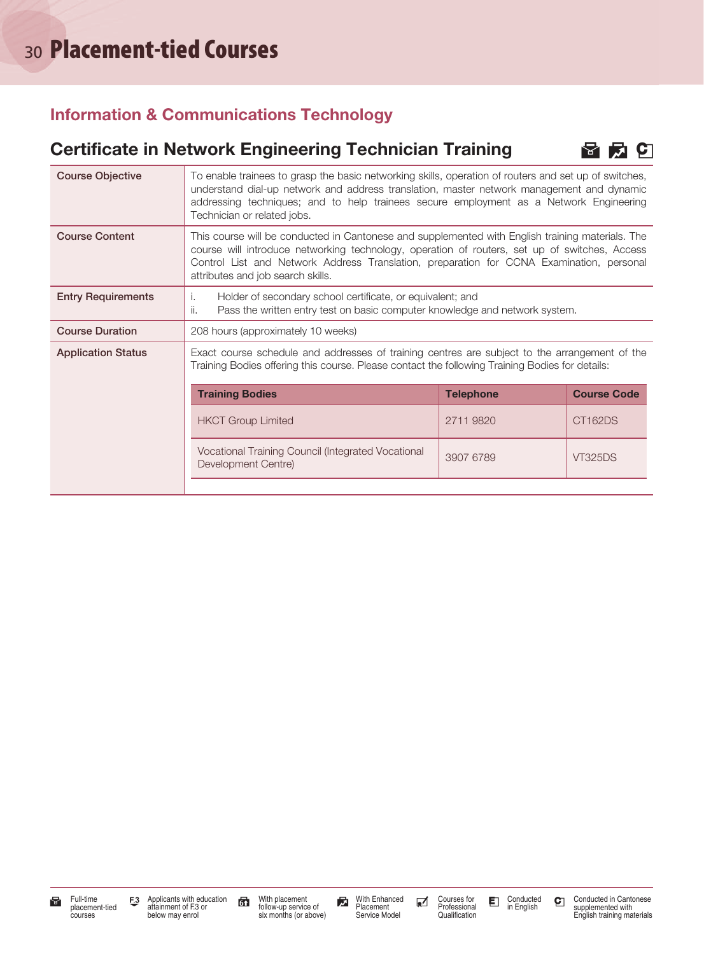#### Information & Communications Technology

#### Certificate in Network Engineering Technician Training  $\Box$   $\Box$   $\Box$

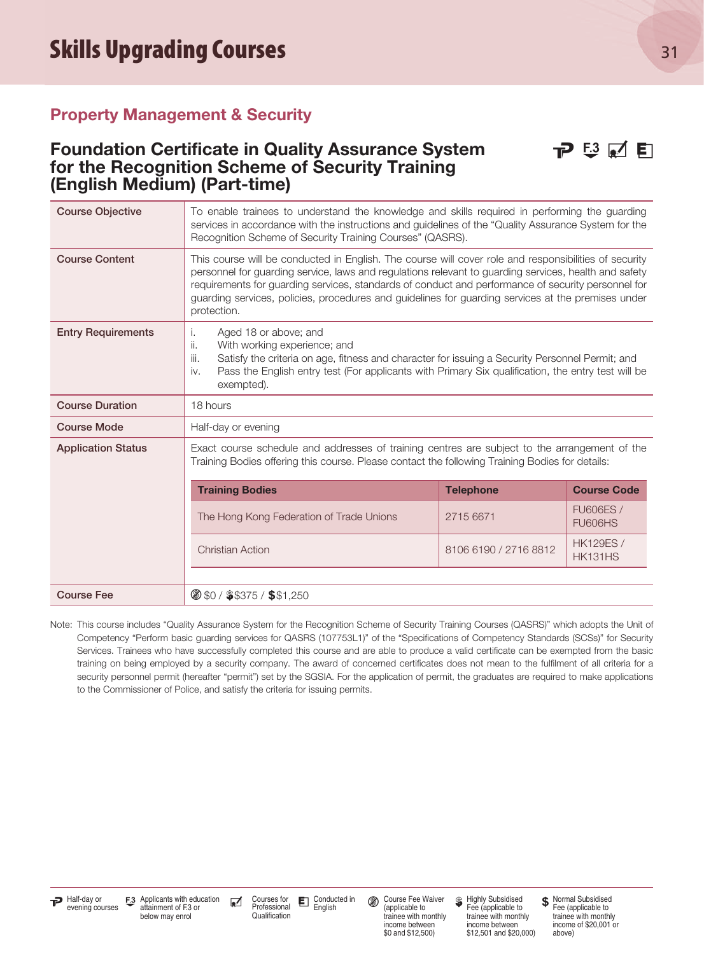#### Property Management & Security

#### Foundation Certificate in Quality Assurance System  $\Box$  E3  $\Box$  E for the Recognition Scheme of Security Training (English Medium) (Part-time)



| <b>Course Objective</b>   | To enable trainees to understand the knowledge and skills required in performing the guarding<br>services in accordance with the instructions and guidelines of the "Quality Assurance System for the<br>Recognition Scheme of Security Training Courses" (QASRS).                                                                                                                                                                        |                       |                                    |
|---------------------------|-------------------------------------------------------------------------------------------------------------------------------------------------------------------------------------------------------------------------------------------------------------------------------------------------------------------------------------------------------------------------------------------------------------------------------------------|-----------------------|------------------------------------|
| <b>Course Content</b>     | This course will be conducted in English. The course will cover role and responsibilities of security<br>personnel for guarding service, laws and regulations relevant to guarding services, health and safety<br>requirements for guarding services, standards of conduct and performance of security personnel for<br>guarding services, policies, procedures and guidelines for guarding services at the premises under<br>protection. |                       |                                    |
| <b>Entry Requirements</b> | Aged 18 or above; and<br>i.<br>With working experience; and<br>ii.<br>iii.<br>Satisfy the criteria on age, fitness and character for issuing a Security Personnel Permit; and<br>Pass the English entry test (For applicants with Primary Six qualification, the entry test will be<br>iv.<br>exempted).                                                                                                                                  |                       |                                    |
| <b>Course Duration</b>    | 18 hours                                                                                                                                                                                                                                                                                                                                                                                                                                  |                       |                                    |
| <b>Course Mode</b>        | Half-day or evening                                                                                                                                                                                                                                                                                                                                                                                                                       |                       |                                    |
| <b>Application Status</b> | Exact course schedule and addresses of training centres are subject to the arrangement of the<br>Training Bodies offering this course. Please contact the following Training Bodies for details:                                                                                                                                                                                                                                          |                       |                                    |
|                           | <b>Training Bodies</b>                                                                                                                                                                                                                                                                                                                                                                                                                    | <b>Telephone</b>      | <b>Course Code</b>                 |
|                           | The Hong Kong Federation of Trade Unions                                                                                                                                                                                                                                                                                                                                                                                                  | 2715 6671             | <b>FU606ES /</b><br><b>FU606HS</b> |
|                           | <b>Christian Action</b>                                                                                                                                                                                                                                                                                                                                                                                                                   | 8106 6190 / 2716 8812 | <b>HK129ES /</b><br><b>HK131HS</b> |
|                           |                                                                                                                                                                                                                                                                                                                                                                                                                                           |                       |                                    |
| <b>Course Fee</b>         | 8 \$0 / \$\$375 / \$\$1,250                                                                                                                                                                                                                                                                                                                                                                                                               |                       |                                    |

Note: This course includes "Quality Assurance System for the Recognition Scheme of Security Training Courses (QASRS)" which adopts the Unit of Competency "Perform basic guarding services for QASRS (107753L1)" of the "Specifications of Competency Standards (SCSs)" for Security Services. Trainees who have successfully completed this course and are able to produce a valid certificate can be exempted from the basic training on being employed by a security company. The award of concerned certificates does not mean to the fulfilment of all criteria for a security personnel permit (hereafter "permit") set by the SGSIA. For the application of permit, the graduates are required to make applications to the Commissioner of Police, and satisfy the criteria for issuing permits.

**T** Half-day or **F.3** Applicants with education **and Courses for E**nglish and Conducted in **Conducted in Conducted in Conducted in** Course Fee Waiver S Highly Subsidised \$<br>evening courses attainment of F.3 or Professional Courses for Professional Qualification Conducted in<br>English

Course Fee Waiver (applicable to trainee with monthly income between \$0 and \$12,500)

**S** Highly Subsidised Fee (applicable to trainee with monthly income between \$12,501 and \$20,000) **\$** Normal Subsidised Fee (applicable to trainee with monthly income of \$20,001 or above)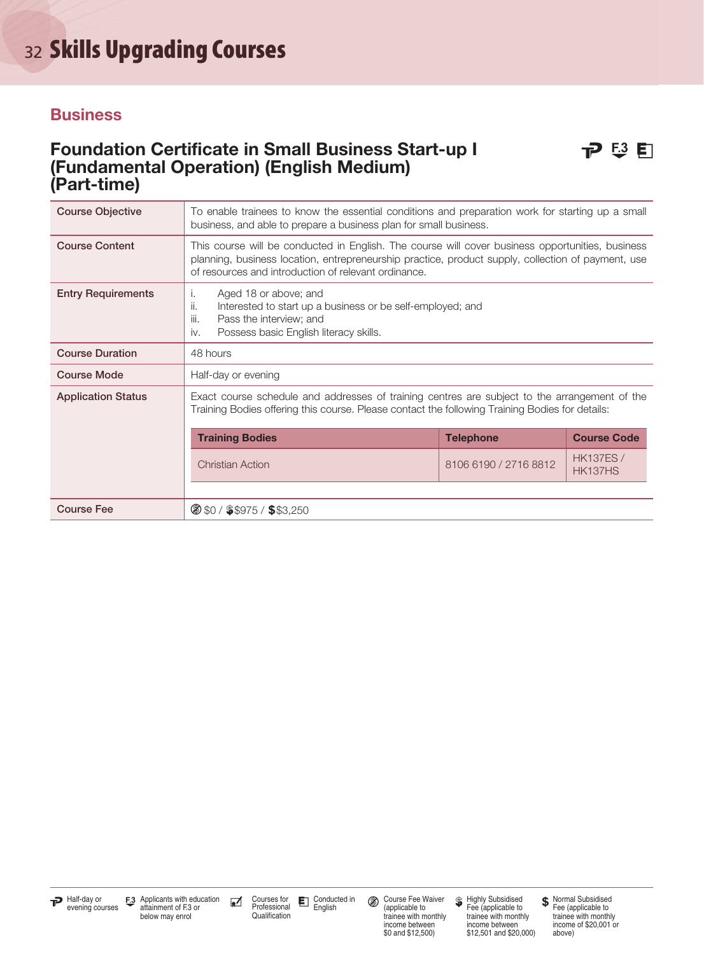# 32 Skills Upgrading Courses

#### **Business**

#### Foundation Certificate in Small Business Start-up I **P**  $\overline{P}$   $\overline{S}$  **F** (Fundamental Operation) (English Medium) (Part-time)

| <b>Course Objective</b>   | To enable trainees to know the essential conditions and preparation work for starting up a small<br>business, and able to prepare a business plan for small business.                                                                                          |                       |                             |  |
|---------------------------|----------------------------------------------------------------------------------------------------------------------------------------------------------------------------------------------------------------------------------------------------------------|-----------------------|-----------------------------|--|
| <b>Course Content</b>     | This course will be conducted in English. The course will cover business opportunities, business<br>planning, business location, entrepreneurship practice, product supply, collection of payment, use<br>of resources and introduction of relevant ordinance. |                       |                             |  |
| <b>Entry Requirements</b> | Aged 18 or above; and<br>Ι.<br>Interested to start up a business or be self-employed; and<br>II.<br>iii.<br>Pass the interview; and<br>Possess basic English literacy skills.<br>iv.                                                                           |                       |                             |  |
| <b>Course Duration</b>    | 48 hours                                                                                                                                                                                                                                                       |                       |                             |  |
| <b>Course Mode</b>        | Half-day or evening                                                                                                                                                                                                                                            |                       |                             |  |
| <b>Application Status</b> | Exact course schedule and addresses of training centres are subject to the arrangement of the<br>Training Bodies offering this course. Please contact the following Training Bodies for details:                                                               |                       |                             |  |
|                           | <b>Training Bodies</b><br><b>Course Code</b><br><b>Telephone</b>                                                                                                                                                                                               |                       |                             |  |
|                           | <b>Christian Action</b>                                                                                                                                                                                                                                        | 8106 6190 / 2716 8812 | <b>HK137ES /</b><br>HK137HS |  |
|                           |                                                                                                                                                                                                                                                                |                       |                             |  |
| <b>Course Fee</b>         | 8 \$0 / \$\$975 / \$\$3,250                                                                                                                                                                                                                                    |                       |                             |  |



Course Fee Waiver (applicable to trainee with monthly income between \$0 and \$12,500)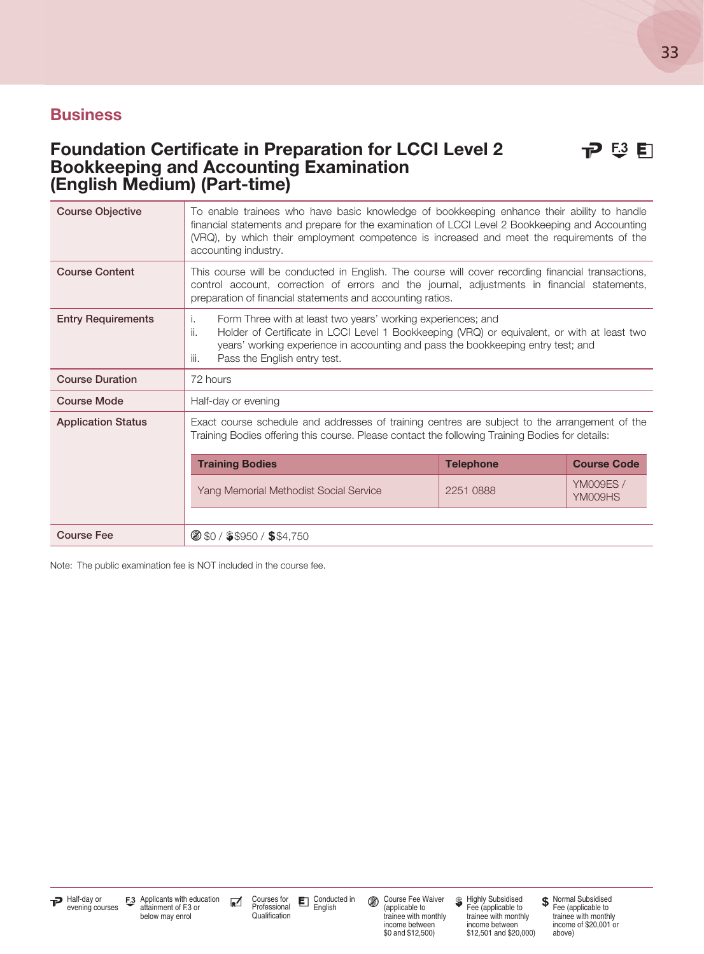#### Foundation Certificate in Preparation for LCCI Level 2 **P**  $\overrightarrow{E}$  E Bookkeeping and Accounting Examination (English Medium) (Part-time)

| <b>Course Objective</b>   | To enable trainees who have basic knowledge of bookkeeping enhance their ability to handle<br>financial statements and prepare for the examination of LCCI Level 2 Bookkeeping and Accounting<br>(VRQ), by which their employment competence is increased and meet the requirements of the<br>accounting industry. |           |                            |  |  |
|---------------------------|--------------------------------------------------------------------------------------------------------------------------------------------------------------------------------------------------------------------------------------------------------------------------------------------------------------------|-----------|----------------------------|--|--|
| <b>Course Content</b>     | This course will be conducted in English. The course will cover recording financial transactions,<br>control account, correction of errors and the journal, adjustments in financial statements,<br>preparation of financial statements and accounting ratios.                                                     |           |                            |  |  |
| <b>Entry Requirements</b> | Form Three with at least two years' working experiences; and<br>L.<br>ii.<br>Holder of Certificate in LCCI Level 1 Bookkeeping (VRQ) or equivalent, or with at least two<br>years' working experience in accounting and pass the bookkeeping entry test; and<br>Pass the English entry test.<br>iii.               |           |                            |  |  |
| <b>Course Duration</b>    | 72 hours                                                                                                                                                                                                                                                                                                           |           |                            |  |  |
| <b>Course Mode</b>        | Half-day or evening                                                                                                                                                                                                                                                                                                |           |                            |  |  |
| <b>Application Status</b> | Exact course schedule and addresses of training centres are subject to the arrangement of the<br>Training Bodies offering this course. Please contact the following Training Bodies for details:                                                                                                                   |           |                            |  |  |
|                           | <b>Telephone</b><br><b>Course Code</b><br><b>Training Bodies</b>                                                                                                                                                                                                                                                   |           |                            |  |  |
|                           | Yang Memorial Methodist Social Service                                                                                                                                                                                                                                                                             | 2251 0888 | <b>YM009ES/</b><br>YM009HS |  |  |
|                           |                                                                                                                                                                                                                                                                                                                    |           |                            |  |  |
| <b>Course Fee</b>         | $\circ$ \$0 / \$\$950 / \$\$4,750                                                                                                                                                                                                                                                                                  |           |                            |  |  |

Note: The public examination fee is NOT included in the course fee.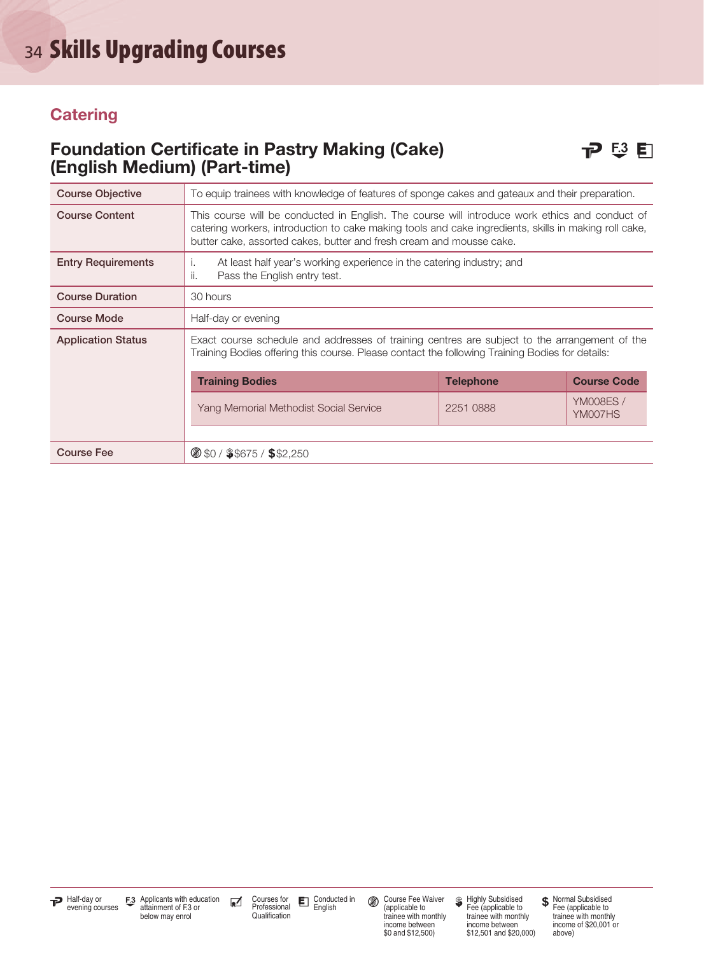#### **Catering**

#### Foundation Certificate in Pastry Making (Cake)  $\Box$   $\Box$   $\Box$ (English Medium) (Part-time)

| <b>Course Objective</b>   | To equip trainees with knowledge of features of sponge cakes and gateaux and their preparation.                                                                                                                                                                                 |           |                            |  |
|---------------------------|---------------------------------------------------------------------------------------------------------------------------------------------------------------------------------------------------------------------------------------------------------------------------------|-----------|----------------------------|--|
| <b>Course Content</b>     | This course will be conducted in English. The course will introduce work ethics and conduct of<br>catering workers, introduction to cake making tools and cake ingredients, skills in making roll cake,<br>butter cake, assorted cakes, butter and fresh cream and mousse cake. |           |                            |  |
| <b>Entry Requirements</b> | At least half year's working experience in the catering industry; and<br>Ť.<br>ii.<br>Pass the English entry test.                                                                                                                                                              |           |                            |  |
| <b>Course Duration</b>    | 30 hours                                                                                                                                                                                                                                                                        |           |                            |  |
| <b>Course Mode</b>        | Half-day or evening                                                                                                                                                                                                                                                             |           |                            |  |
| <b>Application Status</b> | Exact course schedule and addresses of training centres are subject to the arrangement of the<br>Training Bodies offering this course. Please contact the following Training Bodies for details:                                                                                |           |                            |  |
|                           | <b>Course Code</b><br><b>Training Bodies</b><br><b>Telephone</b>                                                                                                                                                                                                                |           |                            |  |
|                           | Yang Memorial Methodist Social Service                                                                                                                                                                                                                                          | 2251 0888 | <b>YM008ES/</b><br>YM007HS |  |
|                           |                                                                                                                                                                                                                                                                                 |           |                            |  |
| <b>Course Fee</b>         | <b>8 \$0 / \$\$675 / \$\$2,250</b>                                                                                                                                                                                                                                              |           |                            |  |

Course Fee Waiver (applicable to trainee with monthly income between \$0 and \$12,500)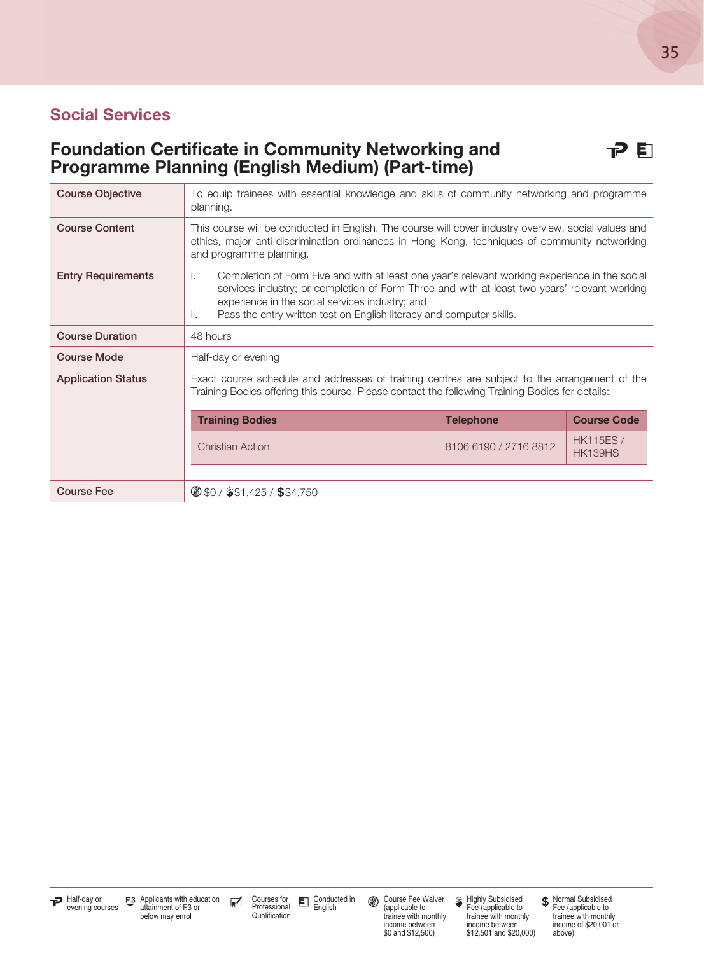#### Social Services

#### Foundation Certificate in Community Networking and **PE** Programme Planning (English Medium) (Part-time)

| <b>Course Objective</b>   | To equip trainees with essential knowledge and skills of community networking and programme<br>planning.                                                                                                                                                                                                                               |                       |                                    |
|---------------------------|----------------------------------------------------------------------------------------------------------------------------------------------------------------------------------------------------------------------------------------------------------------------------------------------------------------------------------------|-----------------------|------------------------------------|
| <b>Course Content</b>     | This course will be conducted in English. The course will cover industry overview, social values and<br>ethics, major anti-discrimination ordinances in Hong Kong, techniques of community networking<br>and programme planning.                                                                                                       |                       |                                    |
| <b>Entry Requirements</b> | Completion of Form Five and with at least one year's relevant working experience in the social<br>i.<br>services industry; or completion of Form Three and with at least two years' relevant working<br>experience in the social services industry; and<br>Pass the entry written test on English literacy and computer skills.<br>ii. |                       |                                    |
| <b>Course Duration</b>    | 48 hours                                                                                                                                                                                                                                                                                                                               |                       |                                    |
| <b>Course Mode</b>        | Half-day or evening                                                                                                                                                                                                                                                                                                                    |                       |                                    |
| <b>Application Status</b> | Exact course schedule and addresses of training centres are subject to the arrangement of the<br>Training Bodies offering this course. Please contact the following Training Bodies for details:                                                                                                                                       |                       |                                    |
|                           | <b>Training Bodies</b>                                                                                                                                                                                                                                                                                                                 | <b>Telephone</b>      | <b>Course Code</b>                 |
|                           | <b>Christian Action</b>                                                                                                                                                                                                                                                                                                                | 8106 6190 / 2716 8812 | <b>HK115ES /</b><br><b>HK139HS</b> |
|                           |                                                                                                                                                                                                                                                                                                                                        |                       |                                    |
| <b>Course Fee</b>         | $\circ$ \$0 / \$\$1,425 / \$\$4,750                                                                                                                                                                                                                                                                                                    |                       |                                    |

Course Fee Waiver (applicable to trainee with monthly income between \$0 and \$12,500)

Highly Subsidised Fee (applicable to trainee with monthly income between \$12,501 and \$20,000)

Normal Subsidised Fee (applicable to trainee with monthly income of \$20,001 or above)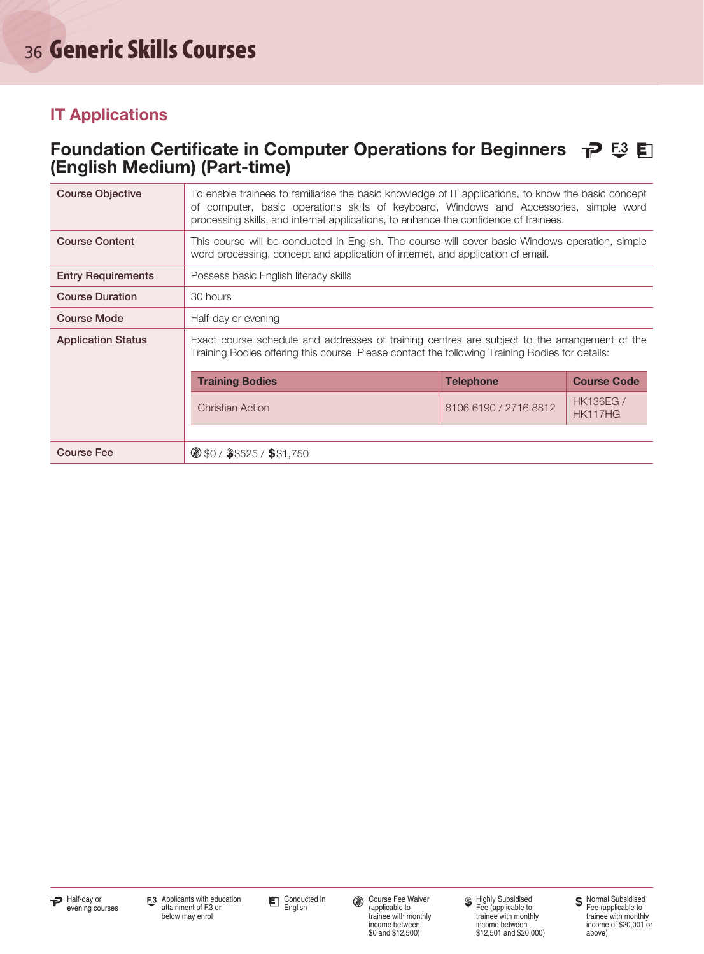#### Foundation Certificate in Computer Operations for Beginners  $\tau P \stackrel{=}{\sim} \blacksquare$ (English Medium) (Part-time)

| <b>Course Objective</b>   | To enable trainees to familiarise the basic knowledge of IT applications, to know the basic concept<br>of computer, basic operations skills of keyboard, Windows and Accessories, simple word<br>processing skills, and internet applications, to enhance the confidence of trainees. |                       |                            |  |
|---------------------------|---------------------------------------------------------------------------------------------------------------------------------------------------------------------------------------------------------------------------------------------------------------------------------------|-----------------------|----------------------------|--|
| <b>Course Content</b>     | This course will be conducted in English. The course will cover basic Windows operation, simple<br>word processing, concept and application of internet, and application of email.                                                                                                    |                       |                            |  |
| <b>Entry Requirements</b> | Possess basic English literacy skills                                                                                                                                                                                                                                                 |                       |                            |  |
| <b>Course Duration</b>    | 30 hours                                                                                                                                                                                                                                                                              |                       |                            |  |
| <b>Course Mode</b>        | Half-day or evening                                                                                                                                                                                                                                                                   |                       |                            |  |
| <b>Application Status</b> | Exact course schedule and addresses of training centres are subject to the arrangement of the<br>Training Bodies offering this course. Please contact the following Training Bodies for details:                                                                                      |                       |                            |  |
|                           | <b>Training Bodies</b><br><b>Course Code</b><br><b>Telephone</b>                                                                                                                                                                                                                      |                       |                            |  |
|                           | <b>Christian Action</b>                                                                                                                                                                                                                                                               | 8106 6190 / 2716 8812 | <b>HK136EG/</b><br>HK117HG |  |
|                           |                                                                                                                                                                                                                                                                                       |                       |                            |  |
| <b>Course Fee</b>         | $\circ$ \$0 / \$\$525 / \$\$1,750                                                                                                                                                                                                                                                     |                       |                            |  |



Conducted in<br>English

Course Fee Waiver (applicable to trainee with monthly income between \$0 and \$12,500)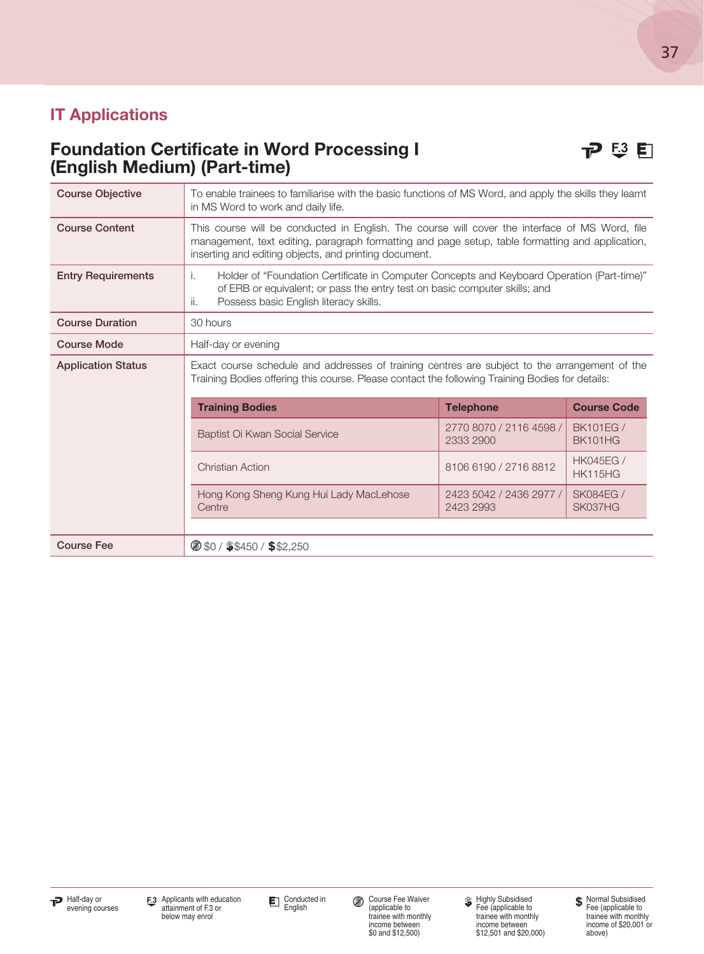#### Foundation Certificate in Word Processing I **P**  $\mathbb{E}^3$  **F** (English Medium) (Part-time)

| <b>Course Objective</b>                                          | To enable trainees to familiarise with the basic functions of MS Word, and apply the skills they learnt<br>in MS Word to work and daily life.                                                                                                               |                                      |                                    |  |
|------------------------------------------------------------------|-------------------------------------------------------------------------------------------------------------------------------------------------------------------------------------------------------------------------------------------------------------|--------------------------------------|------------------------------------|--|
| <b>Course Content</b>                                            | This course will be conducted in English. The course will cover the interface of MS Word, file<br>management, text editing, paragraph formatting and page setup, table formatting and application,<br>inserting and editing objects, and printing document. |                                      |                                    |  |
| <b>Entry Requirements</b>                                        | Holder of "Foundation Certificate in Computer Concepts and Keyboard Operation (Part-time)"<br>i.<br>of ERB or equivalent; or pass the entry test on basic computer skills; and<br>Possess basic English literacy skills.<br>ii.                             |                                      |                                    |  |
| <b>Course Duration</b>                                           | 30 hours                                                                                                                                                                                                                                                    |                                      |                                    |  |
| <b>Course Mode</b>                                               | Half-day or evening                                                                                                                                                                                                                                         |                                      |                                    |  |
| <b>Application Status</b>                                        | Exact course schedule and addresses of training centres are subject to the arrangement of the<br>Training Bodies offering this course. Please contact the following Training Bodies for details:                                                            |                                      |                                    |  |
| <b>Course Code</b><br><b>Training Bodies</b><br><b>Telephone</b> |                                                                                                                                                                                                                                                             |                                      |                                    |  |
|                                                                  | Baptist Oi Kwan Social Service                                                                                                                                                                                                                              | 2770 8070 / 2116 4598 /<br>2333 2900 | <b>BK101EG /</b><br>BK101HG        |  |
|                                                                  | <b>Christian Action</b>                                                                                                                                                                                                                                     | 8106 6190 / 2716 8812                | <b>HK045EG /</b><br><b>HK115HG</b> |  |
|                                                                  | Hong Kong Sheng Kung Hui Lady MacLehose<br>Centre                                                                                                                                                                                                           | 2423 5042 / 2436 2977 /<br>2423 2993 | <b>SK084EG /</b><br>SK037HG        |  |
| <b>Course Fee</b>                                                | $\circ$ \$0 / \$\$450 / \$\$2,250                                                                                                                                                                                                                           |                                      |                                    |  |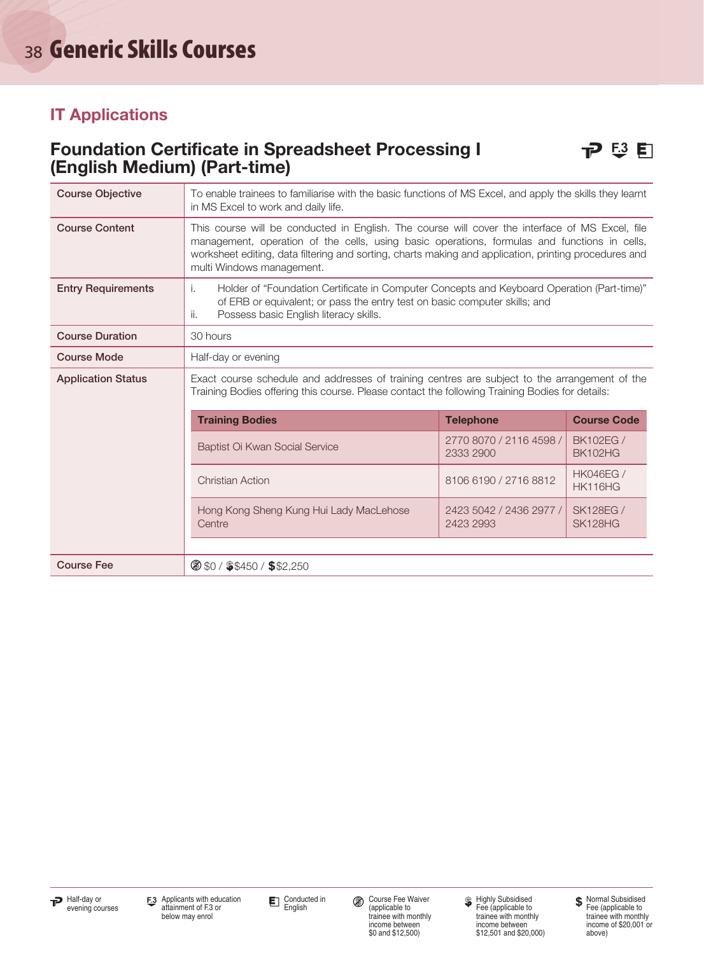#### Foundation Certificate in Spreadsheet Processing I **P** <sup>53</sup> E (English Medium) (Part-time)



| <b>Course Objective</b>   | To enable trainees to familiarise with the basic functions of MS Excel, and apply the skills they learnt<br>in MS Excel to work and daily life.                                                                                                                                                                                       |                                      |                                    |  |  |
|---------------------------|---------------------------------------------------------------------------------------------------------------------------------------------------------------------------------------------------------------------------------------------------------------------------------------------------------------------------------------|--------------------------------------|------------------------------------|--|--|
| <b>Course Content</b>     | This course will be conducted in English. The course will cover the interface of MS Excel, file<br>management, operation of the cells, using basic operations, formulas and functions in cells,<br>worksheet editing, data filtering and sorting, charts making and application, printing procedures and<br>multi Windows management. |                                      |                                    |  |  |
| <b>Entry Requirements</b> | Holder of "Foundation Certificate in Computer Concepts and Keyboard Operation (Part-time)"<br>i.<br>of ERB or equivalent; or pass the entry test on basic computer skills; and<br>Possess basic English literacy skills.<br>ii.                                                                                                       |                                      |                                    |  |  |
| <b>Course Duration</b>    | 30 hours                                                                                                                                                                                                                                                                                                                              |                                      |                                    |  |  |
| <b>Course Mode</b>        | Half-day or evening                                                                                                                                                                                                                                                                                                                   |                                      |                                    |  |  |
| <b>Application Status</b> | Exact course schedule and addresses of training centres are subject to the arrangement of the<br>Training Bodies offering this course. Please contact the following Training Bodies for details:                                                                                                                                      |                                      |                                    |  |  |
|                           | <b>Course Code</b><br><b>Training Bodies</b><br><b>Telephone</b>                                                                                                                                                                                                                                                                      |                                      |                                    |  |  |
|                           | Baptist Oi Kwan Social Service                                                                                                                                                                                                                                                                                                        | 2770 8070 / 2116 4598 /<br>2333 2900 | <b>BK102EG /</b><br><b>BK102HG</b> |  |  |
|                           | <b>HK046EG /</b><br>8106 6190 / 2716 8812<br><b>Christian Action</b><br><b>HK116HG</b>                                                                                                                                                                                                                                                |                                      |                                    |  |  |
|                           | Hong Kong Sheng Kung Hui Lady MacLehose<br>Centre                                                                                                                                                                                                                                                                                     | 2423 5042 / 2436 2977 /<br>2423 2993 | <b>SK128EG /</b><br>SK128HG        |  |  |
|                           |                                                                                                                                                                                                                                                                                                                                       |                                      |                                    |  |  |
| <b>Course Fee</b>         |                                                                                                                                                                                                                                                                                                                                       | $\circ$ \$0 / \$\$450 / \$\$2,250    |                                    |  |  |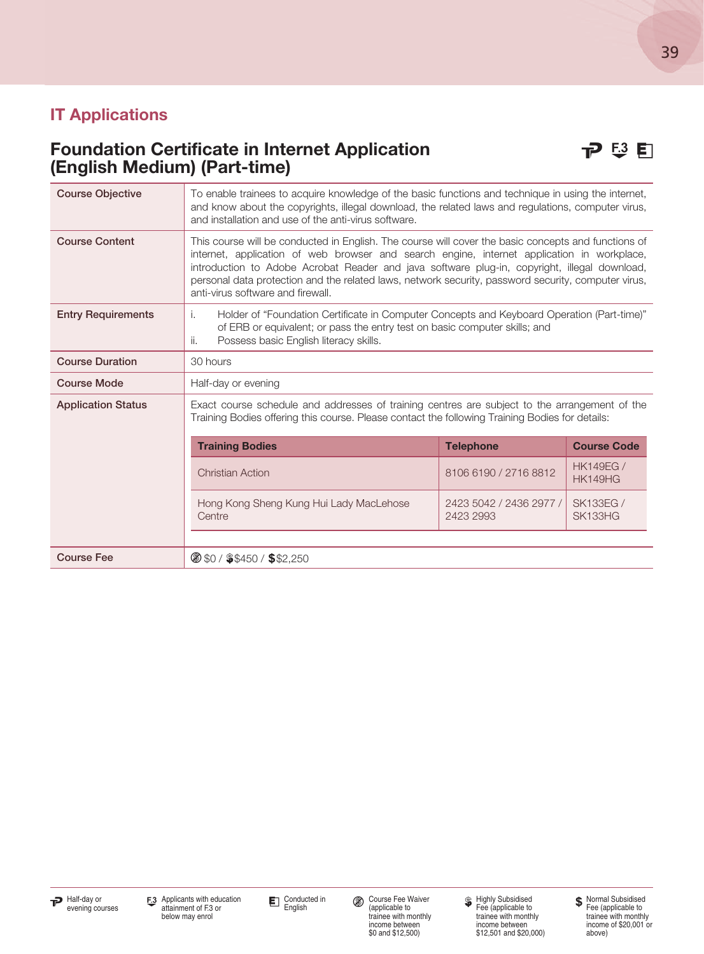#### Foundation Certificate in Internet Application **P**  $\mathbb{E}^3$  E (English Medium) (Part-time)

| <b>Course Objective</b>   | To enable trainees to acquire knowledge of the basic functions and technique in using the internet,<br>and know about the copyrights, illegal download, the related laws and regulations, computer virus,<br>and installation and use of the anti-virus software.                                                                                                                                                                             |                                      |                                    |
|---------------------------|-----------------------------------------------------------------------------------------------------------------------------------------------------------------------------------------------------------------------------------------------------------------------------------------------------------------------------------------------------------------------------------------------------------------------------------------------|--------------------------------------|------------------------------------|
| <b>Course Content</b>     | This course will be conducted in English. The course will cover the basic concepts and functions of<br>internet, application of web browser and search engine, internet application in workplace,<br>introduction to Adobe Acrobat Reader and java software plug-in, copyright, illegal download,<br>personal data protection and the related laws, network security, password security, computer virus,<br>anti-virus software and firewall. |                                      |                                    |
| <b>Entry Requirements</b> | Holder of "Foundation Certificate in Computer Concepts and Keyboard Operation (Part-time)"<br>i.<br>of ERB or equivalent; or pass the entry test on basic computer skills; and<br>Possess basic English literacy skills.<br>ii.                                                                                                                                                                                                               |                                      |                                    |
| <b>Course Duration</b>    | 30 hours                                                                                                                                                                                                                                                                                                                                                                                                                                      |                                      |                                    |
| <b>Course Mode</b>        | Half-day or evening                                                                                                                                                                                                                                                                                                                                                                                                                           |                                      |                                    |
| <b>Application Status</b> | Exact course schedule and addresses of training centres are subject to the arrangement of the<br>Training Bodies offering this course. Please contact the following Training Bodies for details:                                                                                                                                                                                                                                              |                                      |                                    |
|                           | <b>Training Bodies</b>                                                                                                                                                                                                                                                                                                                                                                                                                        | <b>Telephone</b>                     | <b>Course Code</b>                 |
|                           | <b>Christian Action</b>                                                                                                                                                                                                                                                                                                                                                                                                                       | 8106 6190 / 2716 8812                | <b>HK149EG /</b><br><b>HK149HG</b> |
|                           | Hong Kong Sheng Kung Hui Lady MacLehose<br>Centre                                                                                                                                                                                                                                                                                                                                                                                             | 2423 5042 / 2436 2977 /<br>2423 2993 | <b>SK133EG /</b><br>SK133HG        |
| <b>Course Fee</b>         | 8 \$0 / \$\$450 / \$\$2,250                                                                                                                                                                                                                                                                                                                                                                                                                   |                                      |                                    |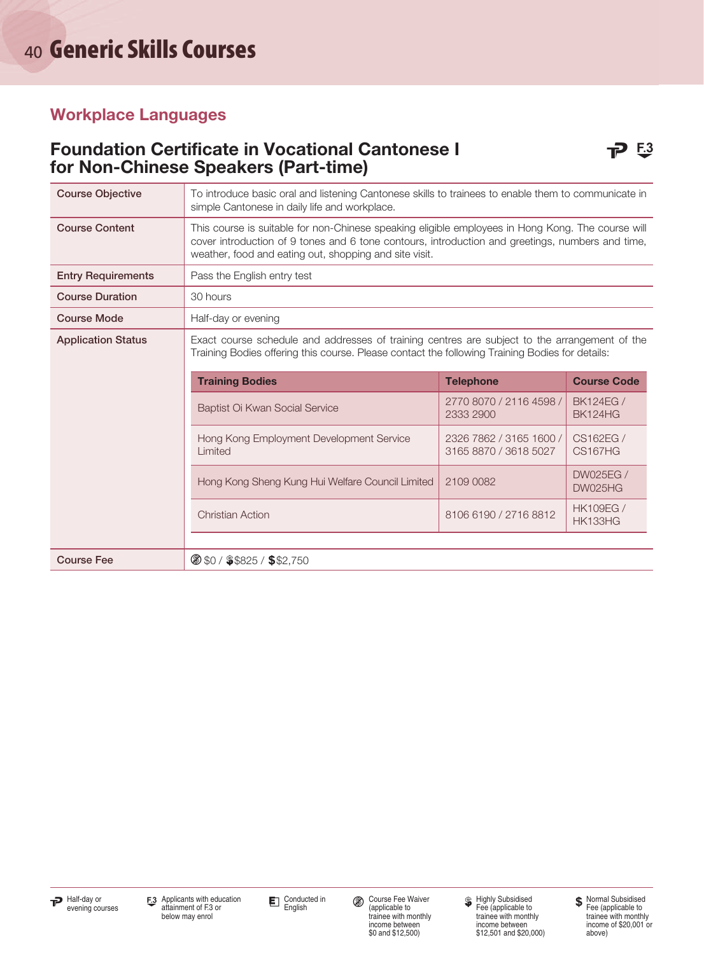#### Foundation Certificate in Vocational Cantonese I **P** 53 for Non-Chinese Speakers (Part-time)

| <b>Course Objective</b>                                          | To introduce basic oral and listening Cantonese skills to trainees to enable them to communicate in<br>simple Cantonese in daily life and workplace.                                                                                                            |                                                  |                                    |  |
|------------------------------------------------------------------|-----------------------------------------------------------------------------------------------------------------------------------------------------------------------------------------------------------------------------------------------------------------|--------------------------------------------------|------------------------------------|--|
| <b>Course Content</b>                                            | This course is suitable for non-Chinese speaking eligible employees in Hong Kong. The course will<br>cover introduction of 9 tones and 6 tone contours, introduction and greetings, numbers and time,<br>weather, food and eating out, shopping and site visit. |                                                  |                                    |  |
| <b>Entry Requirements</b>                                        | Pass the English entry test                                                                                                                                                                                                                                     |                                                  |                                    |  |
| <b>Course Duration</b>                                           | 30 hours                                                                                                                                                                                                                                                        |                                                  |                                    |  |
| <b>Course Mode</b>                                               | Half-day or evening                                                                                                                                                                                                                                             |                                                  |                                    |  |
| <b>Application Status</b>                                        | Exact course schedule and addresses of training centres are subject to the arrangement of the<br>Training Bodies offering this course. Please contact the following Training Bodies for details:                                                                |                                                  |                                    |  |
| <b>Training Bodies</b><br><b>Telephone</b><br><b>Course Code</b> |                                                                                                                                                                                                                                                                 |                                                  |                                    |  |
|                                                                  | Baptist Oi Kwan Social Service                                                                                                                                                                                                                                  | 2770 8070 / 2116 4598 /<br>2333 2900             | <b>BK124EG /</b><br>BK124HG        |  |
|                                                                  | Hong Kong Employment Development Service<br>Limited                                                                                                                                                                                                             | 2326 7862 / 3165 1600 /<br>3165 8870 / 3618 5027 | CS162EG /<br><b>CS167HG</b>        |  |
|                                                                  | Hong Kong Sheng Kung Hui Welfare Council Limited                                                                                                                                                                                                                | 2109 0082                                        | <b>DW025EG /</b><br><b>DW025HG</b> |  |
|                                                                  | <b>Christian Action</b>                                                                                                                                                                                                                                         | 8106 6190 / 2716 8812                            | <b>HK109EG /</b><br><b>HK133HG</b> |  |
|                                                                  |                                                                                                                                                                                                                                                                 |                                                  |                                    |  |
| <b>Course Fee</b>                                                | 8 \$0 / \$\$825 / \$\$2,750                                                                                                                                                                                                                                     |                                                  |                                    |  |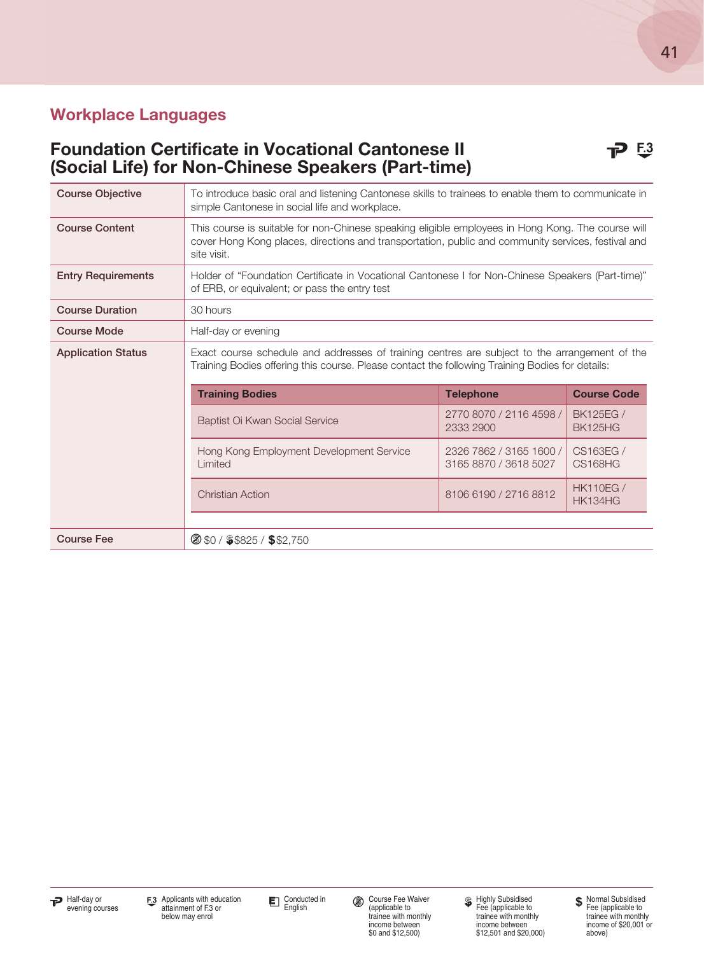#### Foundation Certificate in Vocational Cantonese II **P 5.3** (Social Life) for Non-Chinese Speakers (Part-time)

| <b>Course Objective</b>   | To introduce basic oral and listening Cantonese skills to trainees to enable them to communicate in<br>simple Cantonese in social life and workplace.                                                                  |                                                  |                                    |
|---------------------------|------------------------------------------------------------------------------------------------------------------------------------------------------------------------------------------------------------------------|--------------------------------------------------|------------------------------------|
| <b>Course Content</b>     | This course is suitable for non-Chinese speaking eligible employees in Hong Kong. The course will<br>cover Hong Kong places, directions and transportation, public and community services, festival and<br>site visit. |                                                  |                                    |
| <b>Entry Requirements</b> | "Holder of "Foundation Certificate in Vocational Cantonese I for Non-Chinese Speakers (Part-time)<br>of ERB, or equivalent; or pass the entry test                                                                     |                                                  |                                    |
| <b>Course Duration</b>    | 30 hours                                                                                                                                                                                                               |                                                  |                                    |
| <b>Course Mode</b>        | Half-day or evening                                                                                                                                                                                                    |                                                  |                                    |
| <b>Application Status</b> | Exact course schedule and addresses of training centres are subject to the arrangement of the<br>Training Bodies offering this course. Please contact the following Training Bodies for details:                       |                                                  |                                    |
|                           | <b>Training Bodies</b>                                                                                                                                                                                                 | <b>Telephone</b>                                 | <b>Course Code</b>                 |
|                           | Baptist Oi Kwan Social Service                                                                                                                                                                                         | 2770 8070 / 2116 4598 /<br>2333 2900             | <b>BK125EG /</b><br><b>BK125HG</b> |
|                           | Hong Kong Employment Development Service<br>Limited                                                                                                                                                                    | 2326 7862 / 3165 1600 /<br>3165 8870 / 3618 5027 | CS163EG /<br><b>CS168HG</b>        |
|                           | <b>Christian Action</b>                                                                                                                                                                                                | 8106 6190 / 2716 8812                            | <b>HK110EG/</b><br><b>HK134HG</b>  |
|                           |                                                                                                                                                                                                                        |                                                  |                                    |
| <b>Course Fee</b>         | $\circ$ \$0 / \$\$825 / \$\$2,750                                                                                                                                                                                      |                                                  |                                    |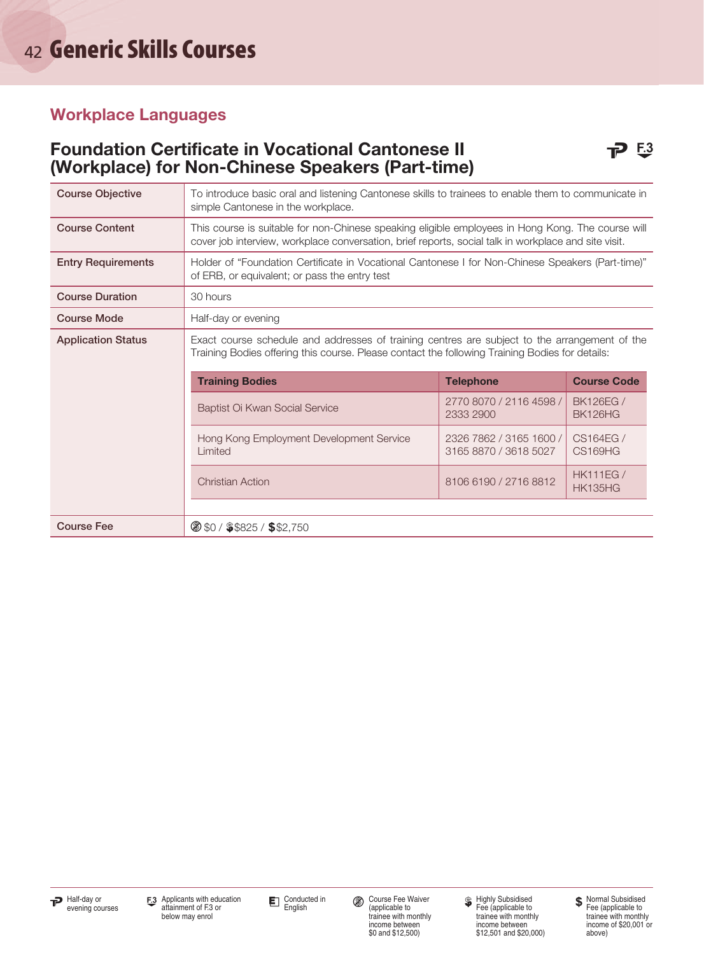#### Foundation Certificate in Vocational Cantonese II **P 5.3** (Workplace) for Non-Chinese Speakers (Part-time)

| <b>Course Objective</b>   | To introduce basic oral and listening Cantonese skills to trainees to enable them to communicate in<br>simple Cantonese in the workplace.                                                                 |                                                  |                                   |  |  |
|---------------------------|-----------------------------------------------------------------------------------------------------------------------------------------------------------------------------------------------------------|--------------------------------------------------|-----------------------------------|--|--|
| <b>Course Content</b>     | This course is suitable for non-Chinese speaking eligible employees in Hong Kong. The course will<br>cover job interview, workplace conversation, brief reports, social talk in workplace and site visit. |                                                  |                                   |  |  |
| <b>Entry Requirements</b> | Holder of "Foundation Certificate in Vocational Cantonese I for Non-Chinese Speakers (Part-time)"<br>of ERB, or equivalent; or pass the entry test                                                        |                                                  |                                   |  |  |
| <b>Course Duration</b>    | 30 hours                                                                                                                                                                                                  |                                                  |                                   |  |  |
| <b>Course Mode</b>        | Half-day or evening                                                                                                                                                                                       |                                                  |                                   |  |  |
| <b>Application Status</b> | Exact course schedule and addresses of training centres are subject to the arrangement of the<br>Training Bodies offering this course. Please contact the following Training Bodies for details:          |                                                  |                                   |  |  |
|                           | <b>Training Bodies</b><br><b>Course Code</b><br><b>Telephone</b>                                                                                                                                          |                                                  |                                   |  |  |
|                           | Baptist Oi Kwan Social Service                                                                                                                                                                            | 2770 8070 / 2116 4598 /<br>2333 2900             | <b>BK126EG /</b><br>BK126HG       |  |  |
|                           | Hong Kong Employment Development Service<br>Limited                                                                                                                                                       | 2326 7862 / 3165 1600 /<br>3165 8870 / 3618 5027 | CS164EG /<br><b>CS169HG</b>       |  |  |
|                           | <b>Christian Action</b>                                                                                                                                                                                   | 8106 6190 / 2716 8812                            | <b>HK111EG/</b><br><b>HK135HG</b> |  |  |
|                           |                                                                                                                                                                                                           |                                                  |                                   |  |  |
| <b>Course Fee</b>         | $\circ$ \$0 / \$\$825 / \$\$2,750                                                                                                                                                                         |                                                  |                                   |  |  |

Conducted in<br>English

Course Fee Waiver (applicable to trainee with monthly income between \$0 and \$12,500)

Highly Subsidised Fee (applicable to trainee with monthly income between \$12,501 and \$20,000) **\$** Normal Subsidised Fee (applicable to trainee with monthly income of \$20,001 or above)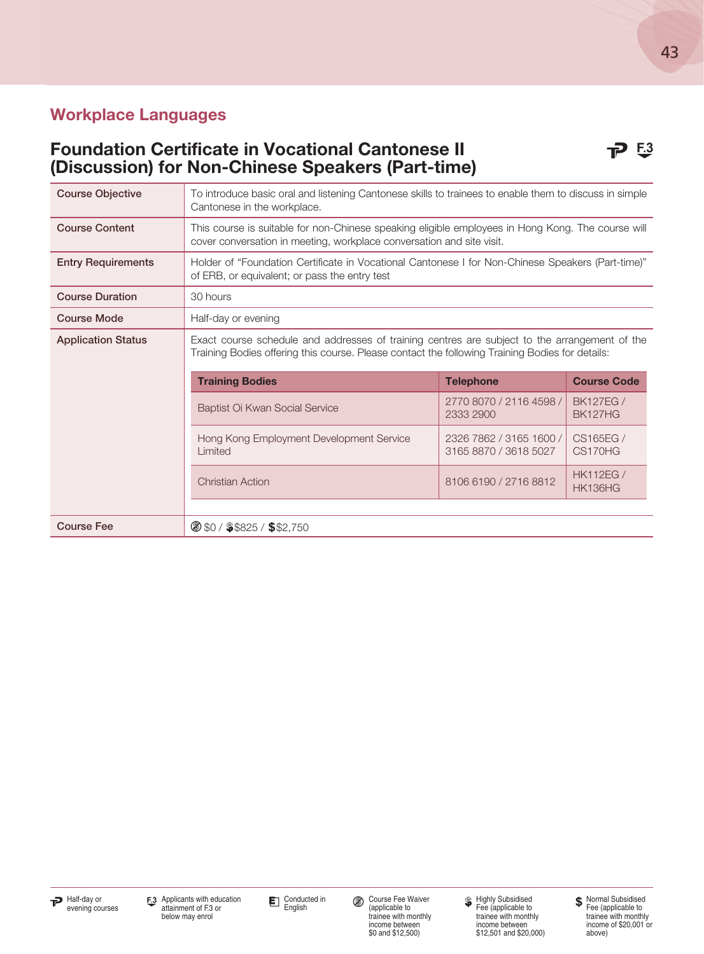#### Foundation Certificate in Vocational Cantonese II **P 5.3** (Discussion) for Non-Chinese Speakers (Part-time)

| <b>Course Objective</b>   | To introduce basic oral and listening Cantonese skills to trainees to enable them to discuss in simple<br>Cantonese in the workplace.                                                            |                                                  |                                   |  |  |
|---------------------------|--------------------------------------------------------------------------------------------------------------------------------------------------------------------------------------------------|--------------------------------------------------|-----------------------------------|--|--|
| <b>Course Content</b>     | This course is suitable for non-Chinese speaking eligible employees in Hong Kong. The course will<br>cover conversation in meeting, workplace conversation and site visit.                       |                                                  |                                   |  |  |
| <b>Entry Requirements</b> | Holder of "Foundation Certificate in Vocational Cantonese I for Non-Chinese Speakers (Part-time)"<br>of ERB, or equivalent; or pass the entry test                                               |                                                  |                                   |  |  |
| <b>Course Duration</b>    | 30 hours                                                                                                                                                                                         |                                                  |                                   |  |  |
| <b>Course Mode</b>        | Half-day or evening                                                                                                                                                                              |                                                  |                                   |  |  |
| <b>Application Status</b> | Exact course schedule and addresses of training centres are subject to the arrangement of the<br>Training Bodies offering this course. Please contact the following Training Bodies for details: |                                                  |                                   |  |  |
|                           | <b>Course Code</b><br><b>Training Bodies</b><br><b>Telephone</b>                                                                                                                                 |                                                  |                                   |  |  |
|                           | Baptist Oi Kwan Social Service                                                                                                                                                                   | 2770 8070 / 2116 4598 /<br>2333 2900             | <b>BK127EG/</b><br><b>BK127HG</b> |  |  |
|                           | Hong Kong Employment Development Service<br>Limited                                                                                                                                              | 2326 7862 / 3165 1600 /<br>3165 8870 / 3618 5027 | CS165EG /<br>CS170HG              |  |  |
|                           | <b>Christian Action</b>                                                                                                                                                                          | 8106 6190 / 2716 8812                            | <b>HK112EG/</b><br><b>HK136HG</b> |  |  |
| <b>Course Fee</b>         | <b>8 \$0 / \$\$825 / \$\$2,750</b>                                                                                                                                                               |                                                  |                                   |  |  |



income between \$0 and \$12,500)

Highly Subsidised Fee (applicable to trainee with monthly income between \$12,501 and \$20,000)

Normal Subsidised Fee (applicable to trainee with monthly income of \$20,001 or above)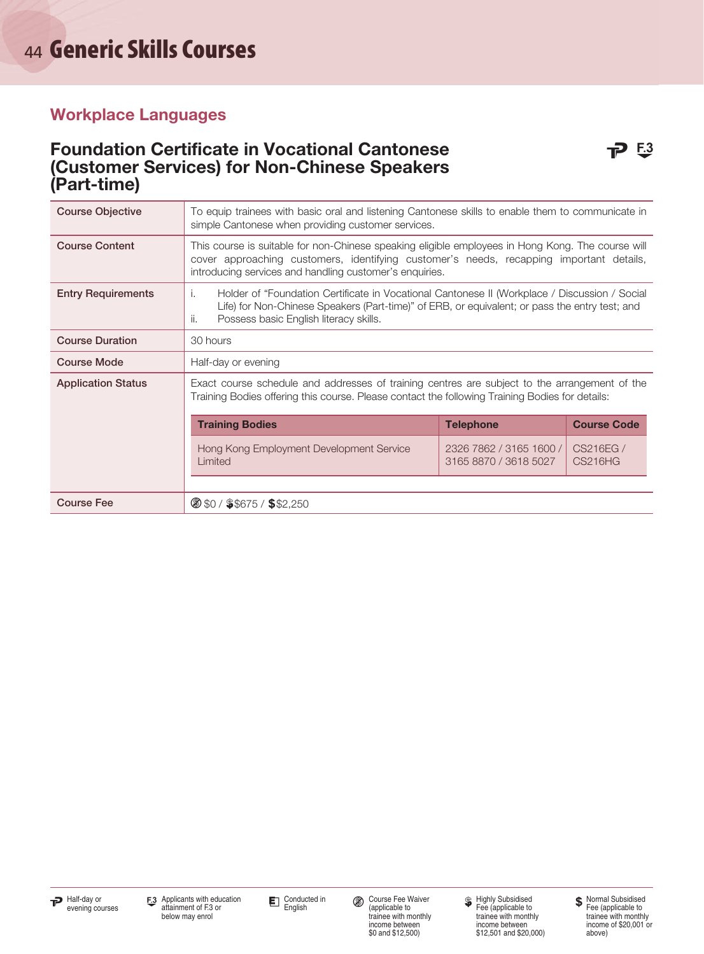#### Foundation Certificate in Vocational Cantonese **P 53** (Customer Services) for Non-Chinese Speakers (Part-time)

| <b>Course Objective</b>   | To equip trainees with basic oral and listening Cantonese skills to enable them to communicate in<br>simple Cantonese when providing customer services.                                                                                                 |                                                  |                             |  |  |
|---------------------------|---------------------------------------------------------------------------------------------------------------------------------------------------------------------------------------------------------------------------------------------------------|--------------------------------------------------|-----------------------------|--|--|
| <b>Course Content</b>     | This course is suitable for non-Chinese speaking eligible employees in Hong Kong. The course will<br>cover approaching customers, identifying customer's needs, recapping important details,<br>introducing services and handling customer's enquiries. |                                                  |                             |  |  |
| <b>Entry Requirements</b> | Holder of "Foundation Certificate in Vocational Cantonese II (Workplace / Discussion / Social<br>Τ.<br>Life) for Non-Chinese Speakers (Part-time)" of ERB, or equivalent; or pass the entry test; and<br>Possess basic English literacy skills.<br>ii.  |                                                  |                             |  |  |
| <b>Course Duration</b>    | 30 hours                                                                                                                                                                                                                                                |                                                  |                             |  |  |
| <b>Course Mode</b>        | Half-day or evening                                                                                                                                                                                                                                     |                                                  |                             |  |  |
| <b>Application Status</b> | Exact course schedule and addresses of training centres are subject to the arrangement of the<br>Training Bodies offering this course. Please contact the following Training Bodies for details:                                                        |                                                  |                             |  |  |
|                           | <b>Course Code</b><br><b>Training Bodies</b><br><b>Telephone</b>                                                                                                                                                                                        |                                                  |                             |  |  |
|                           | Hong Kong Employment Development Service<br>Limited                                                                                                                                                                                                     | 2326 7862 / 3165 1600 /<br>3165 8870 / 3618 5027 | CS216EG /<br><b>CS216HG</b> |  |  |
| <b>Course Fee</b>         | $\circ$ \$0 / \$\$675 / \$\$2,250                                                                                                                                                                                                                       |                                                  |                             |  |  |
|                           |                                                                                                                                                                                                                                                         |                                                  |                             |  |  |

Conducted in<br>English

Course Fee Waiver (applicable to trainee with monthly income between \$0 and \$12,500)

Highly Subsidised Fee (applicable to trainee with monthly income between \$12,501 and \$20,000) **\$** Normal Subsidised Fee (applicable to trainee with monthly income of \$20,001 or above)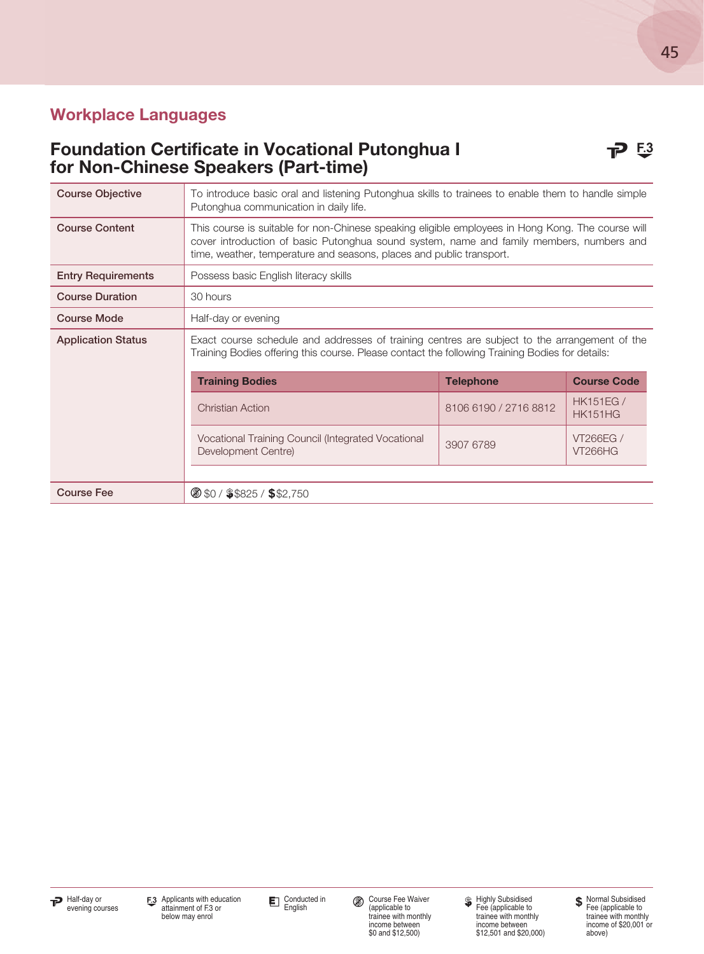#### Foundation Certificate in Vocational Putonghua I **P** 53 for Non-Chinese Speakers (Part-time)

| <b>Course Objective</b>   | To introduce basic oral and listening Putonghua skills to trainees to enable them to handle simple<br>Putonghua communication in daily life.                                                                                                                          |  |  |  |  |
|---------------------------|-----------------------------------------------------------------------------------------------------------------------------------------------------------------------------------------------------------------------------------------------------------------------|--|--|--|--|
| <b>Course Content</b>     | This course is suitable for non-Chinese speaking eligible employees in Hong Kong. The course will<br>cover introduction of basic Putonghua sound system, name and family members, numbers and<br>time, weather, temperature and seasons, places and public transport. |  |  |  |  |
| <b>Entry Requirements</b> | Possess basic English literacy skills                                                                                                                                                                                                                                 |  |  |  |  |
| <b>Course Duration</b>    | 30 hours                                                                                                                                                                                                                                                              |  |  |  |  |
| <b>Course Mode</b>        | Half-day or evening                                                                                                                                                                                                                                                   |  |  |  |  |
| <b>Application Status</b> | Exact course schedule and addresses of training centres are subject to the arrangement of the<br>Training Bodies offering this course. Please contact the following Training Bodies for details:                                                                      |  |  |  |  |
|                           | <b>Training Bodies</b><br><b>Telephone</b><br><b>Course Code</b><br><b>HK151EG/</b><br>8106 6190 / 2716 8812<br><b>Christian Action</b><br><b>HK151HG</b>                                                                                                             |  |  |  |  |
|                           |                                                                                                                                                                                                                                                                       |  |  |  |  |
|                           | Vocational Training Council (Integrated Vocational<br><b>VT266EG /</b><br>3907 6789<br>Development Centre)<br><b>VT266HG</b>                                                                                                                                          |  |  |  |  |
|                           |                                                                                                                                                                                                                                                                       |  |  |  |  |
| <b>Course Fee</b>         | $\circ$ \$0 / \$\$825 / \$\$2,750                                                                                                                                                                                                                                     |  |  |  |  |

Conducted in<br>English

Course Fee Waiver (applicable to trainee with monthly income between \$0 and \$12,500)

Highly Subsidised Fee (applicable to trainee with monthly income between \$12,501 and \$20,000)

Normal Subsidised Fee (applicable to trainee with monthly income of \$20,001 or above)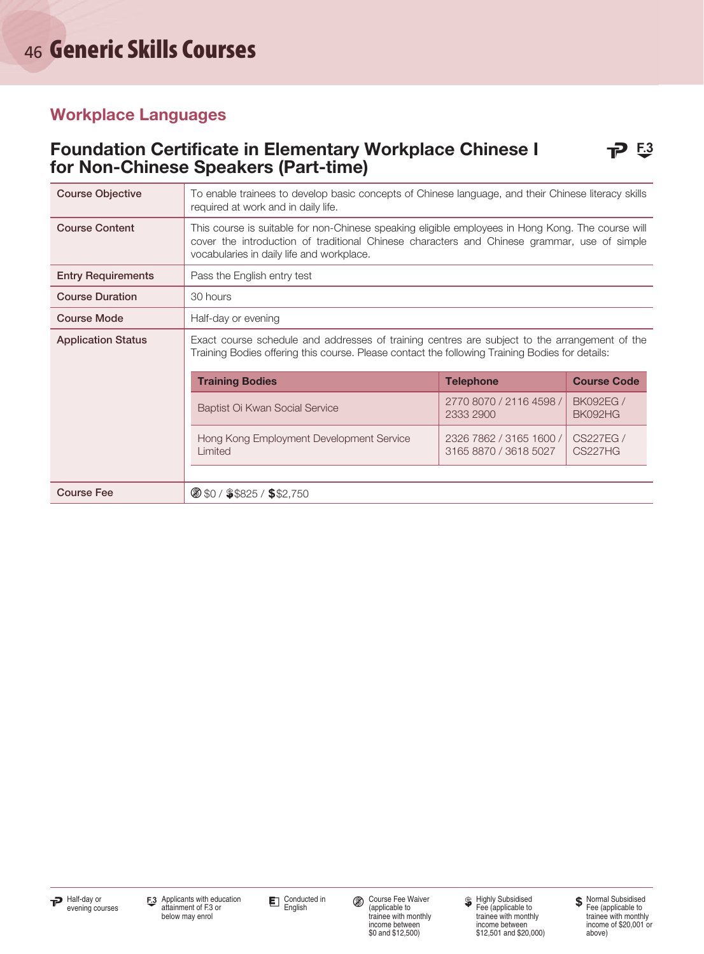#### Foundation Certificate in Elementary Workplace Chinese I **P** 53 for Non-Chinese Speakers (Part-time)

| <b>Course Objective</b>   | To enable trainees to develop basic concepts of Chinese language, and their Chinese literacy skills<br>required at work and in daily life.                                                                                                    |                                                                                                                                                                                                  |                                   |  |  |
|---------------------------|-----------------------------------------------------------------------------------------------------------------------------------------------------------------------------------------------------------------------------------------------|--------------------------------------------------------------------------------------------------------------------------------------------------------------------------------------------------|-----------------------------------|--|--|
| <b>Course Content</b>     | This course is suitable for non-Chinese speaking eligible employees in Hong Kong. The course will<br>cover the introduction of traditional Chinese characters and Chinese grammar, use of simple<br>vocabularies in daily life and workplace. |                                                                                                                                                                                                  |                                   |  |  |
| <b>Entry Requirements</b> | Pass the English entry test                                                                                                                                                                                                                   |                                                                                                                                                                                                  |                                   |  |  |
| <b>Course Duration</b>    | 30 hours                                                                                                                                                                                                                                      |                                                                                                                                                                                                  |                                   |  |  |
| <b>Course Mode</b>        | Half-day or evening                                                                                                                                                                                                                           |                                                                                                                                                                                                  |                                   |  |  |
| <b>Application Status</b> |                                                                                                                                                                                                                                               | Exact course schedule and addresses of training centres are subject to the arrangement of the<br>Training Bodies offering this course. Please contact the following Training Bodies for details: |                                   |  |  |
|                           | <b>Training Bodies</b><br><b>Course Code</b><br><b>Telephone</b>                                                                                                                                                                              |                                                                                                                                                                                                  |                                   |  |  |
|                           | Baptist Oi Kwan Social Service                                                                                                                                                                                                                | 2770 8070 / 2116 4598 /<br>2333 2900                                                                                                                                                             | <b>BK092EG /</b><br>BK092HG       |  |  |
|                           | Hong Kong Employment Development Service<br>Limited                                                                                                                                                                                           | 2326 7862 / 3165 1600 /<br>3165 8870 / 3618 5027                                                                                                                                                 | <b>CS227EG/</b><br><b>CS227HG</b> |  |  |
| <b>Course Fee</b>         | $\circ$ \$0 / \$\$825 / \$\$2,750                                                                                                                                                                                                             |                                                                                                                                                                                                  |                                   |  |  |



Conducted in<br>English

Course Fee Waiver (applicable to trainee with monthly

income between \$0 and \$12,500)

Highly Subsidised Fee (applicable to trainee with monthly income between \$12,501 and \$20,000) **\$** Normal Subsidised Fee (applicable to trainee with monthly income of \$20,001 or above)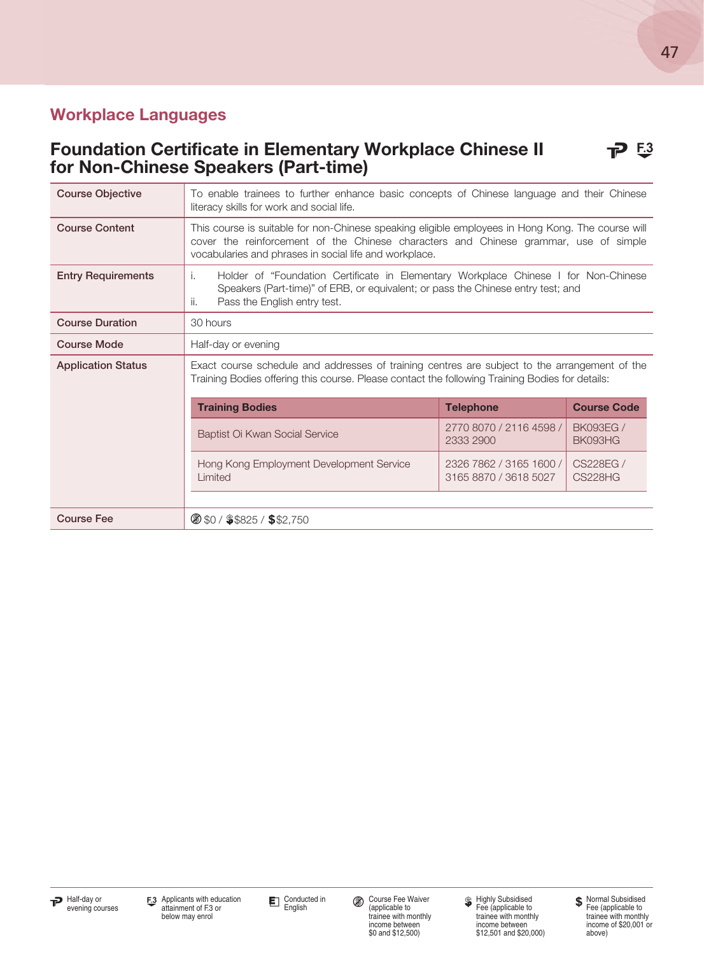#### Foundation Certificate in Elementary Workplace Chinese II **P** for Non-Chinese Speakers (Part-time)

| <b>Course Objective</b>   | To enable trainees to further enhance basic concepts of Chinese language and their Chinese<br>literacy skills for work and social life.                                                                                                             |                  |                    |  |  |  |
|---------------------------|-----------------------------------------------------------------------------------------------------------------------------------------------------------------------------------------------------------------------------------------------------|------------------|--------------------|--|--|--|
| <b>Course Content</b>     | This course is suitable for non-Chinese speaking eligible employees in Hong Kong. The course will<br>cover the reinforcement of the Chinese characters and Chinese grammar, use of simple<br>vocabularies and phrases in social life and workplace. |                  |                    |  |  |  |
| <b>Entry Requirements</b> | Holder of "Foundation Certificate in Elementary Workplace Chinese I for Non-Chinese<br>i.<br>Speakers (Part-time)" of ERB, or equivalent; or pass the Chinese entry test; and<br>Pass the English entry test.<br>ii.                                |                  |                    |  |  |  |
| <b>Course Duration</b>    | 30 hours                                                                                                                                                                                                                                            |                  |                    |  |  |  |
| <b>Course Mode</b>        | Half-day or evening                                                                                                                                                                                                                                 |                  |                    |  |  |  |
| <b>Application Status</b> | Exact course schedule and addresses of training centres are subject to the arrangement of the<br>Training Bodies offering this course. Please contact the following Training Bodies for details:                                                    |                  |                    |  |  |  |
|                           | <b>Training Bodies</b>                                                                                                                                                                                                                              | <b>Telephone</b> | <b>Course Code</b> |  |  |  |
|                           | 2770 8070 / 2116 4598 /<br>Baptist Oi Kwan Social Service<br>2333 2900                                                                                                                                                                              |                  |                    |  |  |  |
|                           | CS228EG /<br>Hong Kong Employment Development Service<br>2326 7862 / 3165 1600 /<br><b>CS228HG</b><br>Limited<br>3165 8870 / 3618 5027                                                                                                              |                  |                    |  |  |  |
| <b>Course Fee</b>         | $\circ$ \$0 / \$\$825 / \$\$2,750                                                                                                                                                                                                                   |                  |                    |  |  |  |



Conducted in<br>English

Course Fee Waiver (applicable to trainee with monthly income between \$0 and \$12,500)

Highly Subsidised Fee (applicable to trainee with monthly income between \$12,501 and \$20,000)

Normal Subsidised Fee (applicable to trainee with monthly income of \$20,001 or above)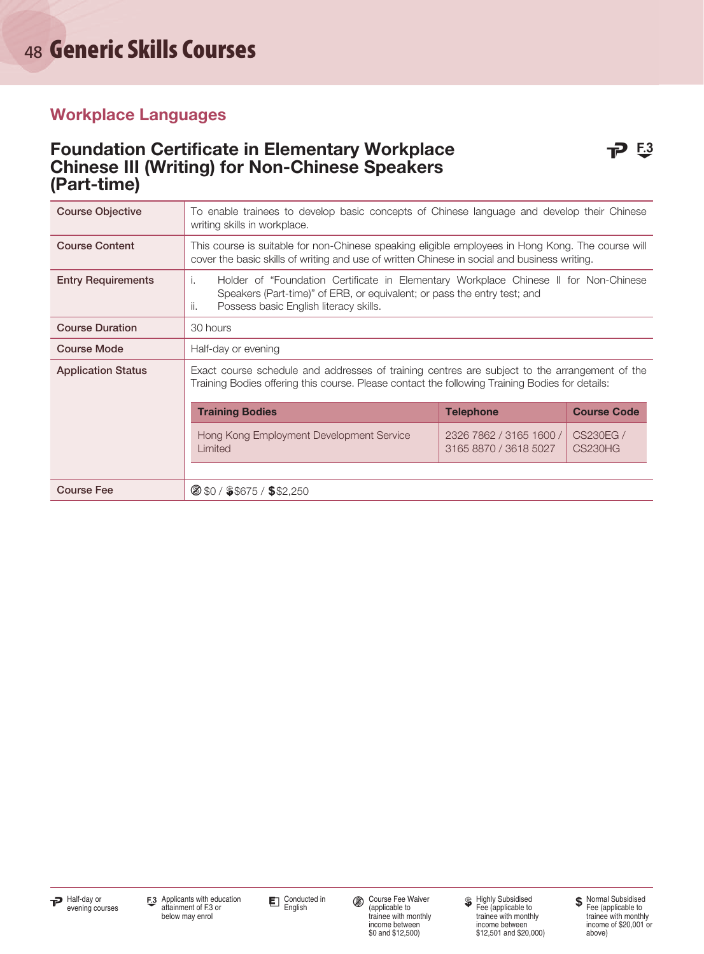#### Foundation Certificate in Elementary Workplace **P** 53 Chinese III (Writing) for Non-Chinese Speakers (Part-time)

| <b>Course Objective</b>   | To enable trainees to develop basic concepts of Chinese language and develop their Chinese<br>writing skills in workplace.                                                                                              |                                                  |                                   |  |  |
|---------------------------|-------------------------------------------------------------------------------------------------------------------------------------------------------------------------------------------------------------------------|--------------------------------------------------|-----------------------------------|--|--|
| <b>Course Content</b>     | This course is suitable for non-Chinese speaking eligible employees in Hong Kong. The course will<br>cover the basic skills of writing and use of written Chinese in social and business writing.                       |                                                  |                                   |  |  |
| <b>Entry Requirements</b> | Holder of "Foundation Certificate in Elementary Workplace Chinese II for Non-Chinese<br>Ť.<br>Speakers (Part-time)" of ERB, or equivalent; or pass the entry test; and<br>ii.<br>Possess basic English literacy skills. |                                                  |                                   |  |  |
| <b>Course Duration</b>    | 30 hours                                                                                                                                                                                                                |                                                  |                                   |  |  |
| <b>Course Mode</b>        | Half-day or evening                                                                                                                                                                                                     |                                                  |                                   |  |  |
| <b>Application Status</b> | Exact course schedule and addresses of training centres are subject to the arrangement of the<br>Training Bodies offering this course. Please contact the following Training Bodies for details:                        |                                                  |                                   |  |  |
|                           | <b>Training Bodies</b>                                                                                                                                                                                                  | <b>Telephone</b>                                 | <b>Course Code</b>                |  |  |
|                           | Hong Kong Employment Development Service<br>Limited                                                                                                                                                                     | 2326 7862 / 3165 1600 /<br>3165 8870 / 3618 5027 | <b>CS230EG/</b><br><b>CS230HG</b> |  |  |
|                           |                                                                                                                                                                                                                         |                                                  |                                   |  |  |
| <b>Course Fee</b>         | <b>8 \$0 / \$\$675 / \$\$2,250</b>                                                                                                                                                                                      |                                                  |                                   |  |  |

Course Fee Waiver (applicable to trainee with monthly income between \$0 and \$12,500)

Highly Subsidised Fee (applicable to trainee with monthly income between \$12,501 and \$20,000) **\$** Normal Subsidised Fee (applicable to trainee with monthly income of \$20,001 or above)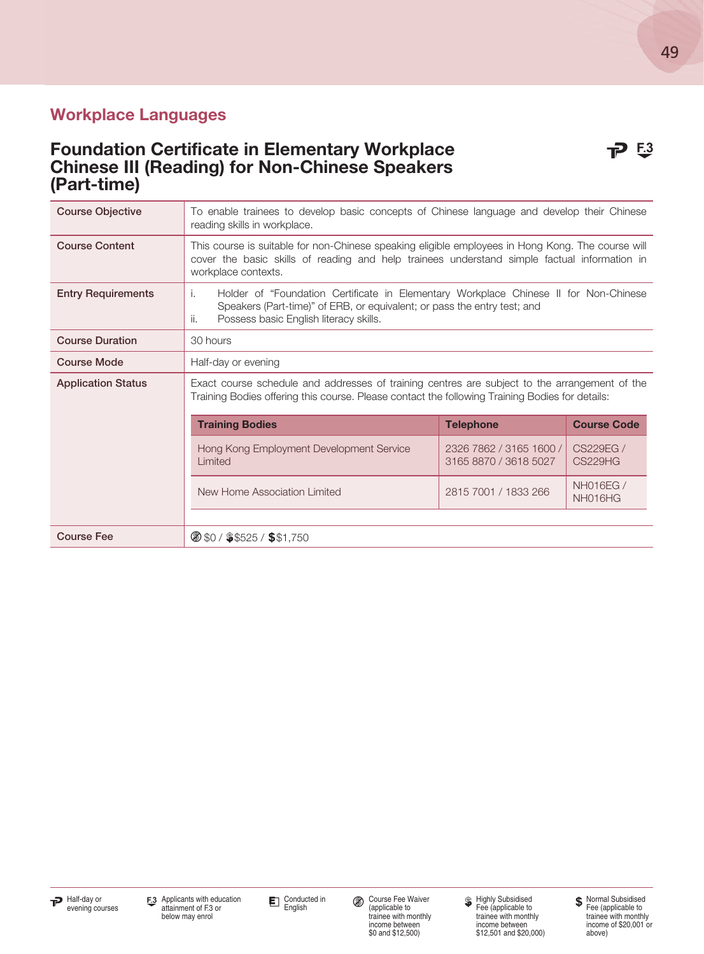#### Foundation Certificate in Elementary Workplace **P** 53 Chinese III (Reading) for Non-Chinese Speakers (Part-time)

| <b>Course Objective</b>   | To enable trainees to develop basic concepts of Chinese language and develop their Chinese<br>reading skills in workplace.                                                                                               |                  |                    |  |  |  |
|---------------------------|--------------------------------------------------------------------------------------------------------------------------------------------------------------------------------------------------------------------------|------------------|--------------------|--|--|--|
| <b>Course Content</b>     | This course is suitable for non-Chinese speaking eligible employees in Hong Kong. The course will<br>cover the basic skills of reading and help trainees understand simple factual information in<br>workplace contexts. |                  |                    |  |  |  |
| <b>Entry Requirements</b> | Holder of "Foundation Certificate in Elementary Workplace Chinese II for Non-Chinese<br>i.<br>Speakers (Part-time)" of ERB, or equivalent; or pass the entry test; and<br>Possess basic English literacy skills.<br>ii.  |                  |                    |  |  |  |
| <b>Course Duration</b>    | 30 hours                                                                                                                                                                                                                 |                  |                    |  |  |  |
| <b>Course Mode</b>        | Half-day or evening                                                                                                                                                                                                      |                  |                    |  |  |  |
| <b>Application Status</b> | Exact course schedule and addresses of training centres are subject to the arrangement of the<br>Training Bodies offering this course. Please contact the following Training Bodies for details:                         |                  |                    |  |  |  |
|                           | <b>Training Bodies</b>                                                                                                                                                                                                   | <b>Telephone</b> | <b>Course Code</b> |  |  |  |
|                           | Hong Kong Employment Development Service<br>2326 7862 / 3165 1600 /<br>CS229EG/<br>Limited<br>3165 8870 / 3618 5027<br><b>CS229HG</b>                                                                                    |                  |                    |  |  |  |
|                           | <b>NH016EG/</b><br>New Home Association Limited<br>2815 7001 / 1833 266<br>NH016HG                                                                                                                                       |                  |                    |  |  |  |
|                           |                                                                                                                                                                                                                          |                  |                    |  |  |  |
| <b>Course Fee</b>         | 8 \$0 / \$\$525 / \$\$1,750                                                                                                                                                                                              |                  |                    |  |  |  |



Conducted in<br>English

Course Fee Waiver (applicable to trainee with monthly

income between \$0 and \$12,500)

Highly Subsidised Fee (applicable to trainee with monthly income between \$12,501 and \$20,000)

Normal Subsidised Fee (applicable to trainee with monthly income of \$20,001 or above)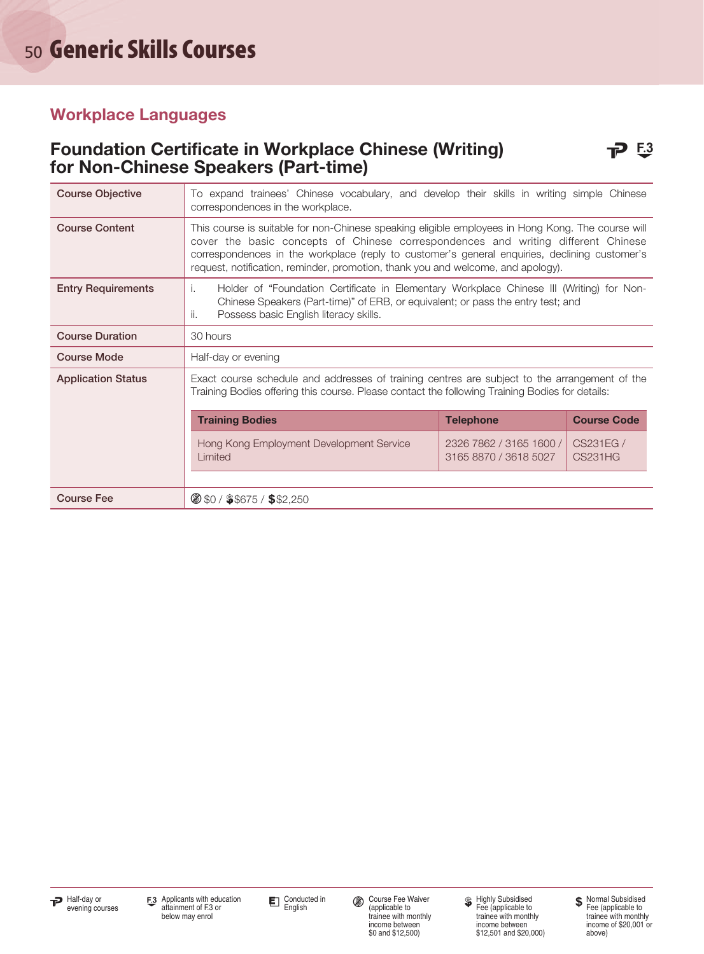#### Foundation Certificate in Workplace Chinese (Writing) **P** 53 for Non-Chinese Speakers (Part-time)

| <b>Course Objective</b>   | To expand trainees' Chinese vocabulary, and develop their skills in writing simple Chinese<br>correspondences in the workplace.                                                                                                                                                                                                                                             |  |  |  |  |
|---------------------------|-----------------------------------------------------------------------------------------------------------------------------------------------------------------------------------------------------------------------------------------------------------------------------------------------------------------------------------------------------------------------------|--|--|--|--|
| <b>Course Content</b>     | This course is suitable for non-Chinese speaking eligible employees in Hong Kong. The course will<br>cover the basic concepts of Chinese correspondences and writing different Chinese<br>correspondences in the workplace (reply to customer's general enquiries, declining customer's<br>request, notification, reminder, promotion, thank you and welcome, and apology). |  |  |  |  |
| <b>Entry Requirements</b> | Holder of "Foundation Certificate in Elementary Workplace Chinese III (Writing) for Non-<br>i.<br>Chinese Speakers (Part-time)" of ERB, or equivalent; or pass the entry test; and<br>ii.<br>Possess basic English literacy skills.                                                                                                                                         |  |  |  |  |
| <b>Course Duration</b>    | 30 hours                                                                                                                                                                                                                                                                                                                                                                    |  |  |  |  |
| <b>Course Mode</b>        | Half-day or evening                                                                                                                                                                                                                                                                                                                                                         |  |  |  |  |
| <b>Application Status</b> | Exact course schedule and addresses of training centres are subject to the arrangement of the<br>Training Bodies offering this course. Please contact the following Training Bodies for details:                                                                                                                                                                            |  |  |  |  |
|                           | <b>Course Code</b><br><b>Training Bodies</b><br><b>Telephone</b>                                                                                                                                                                                                                                                                                                            |  |  |  |  |
|                           | Hong Kong Employment Development Service<br>2326 7862 / 3165 1600 /<br>Limited<br>3165 8870 / 3618 5027                                                                                                                                                                                                                                                                     |  |  |  |  |
|                           |                                                                                                                                                                                                                                                                                                                                                                             |  |  |  |  |
| <b>Course Fee</b>         | $\circ$ \$0 / \$\$675 / \$\$2,250                                                                                                                                                                                                                                                                                                                                           |  |  |  |  |

income between \$0 and \$12,500)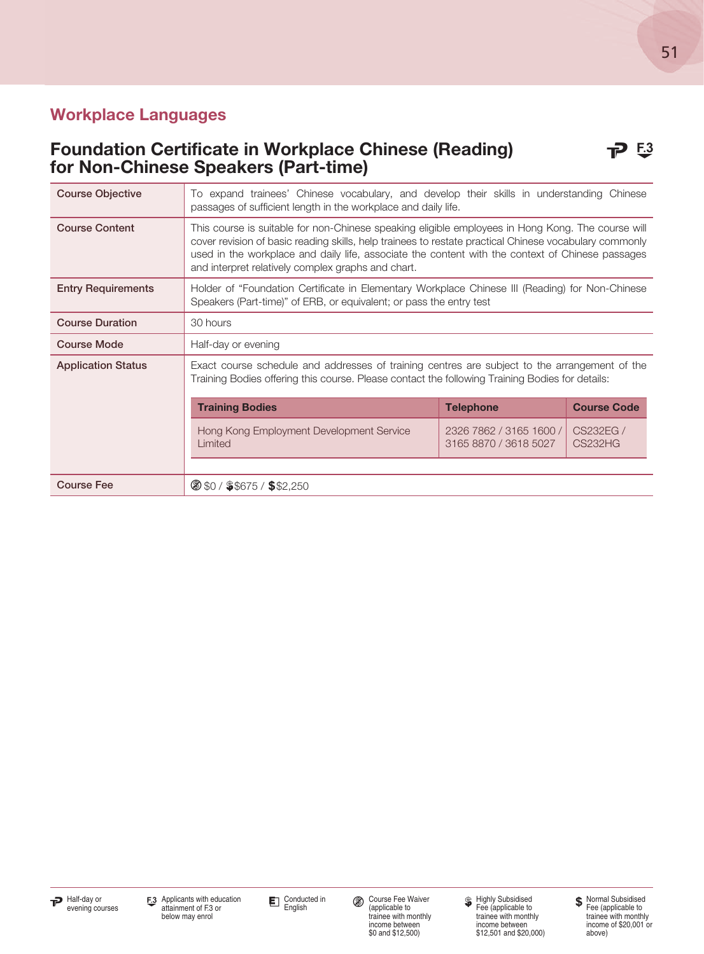#### Foundation Certificate in Workplace Chinese (Reading) **P** 53 for Non-Chinese Speakers (Part-time)

| <b>Course Objective</b>   | To expand trainees' Chinese vocabulary, and develop their skills in understanding Chinese<br>passages of sufficient length in the workplace and daily life.                                                                                                                                                                                                           |                                                  |                             |  |
|---------------------------|-----------------------------------------------------------------------------------------------------------------------------------------------------------------------------------------------------------------------------------------------------------------------------------------------------------------------------------------------------------------------|--------------------------------------------------|-----------------------------|--|
| <b>Course Content</b>     | This course is suitable for non-Chinese speaking eligible employees in Hong Kong. The course will<br>cover revision of basic reading skills, help trainees to restate practical Chinese vocabulary commonly<br>used in the workplace and daily life, associate the content with the context of Chinese passages<br>and interpret relatively complex graphs and chart. |                                                  |                             |  |
| <b>Entry Requirements</b> | Holder of "Foundation Certificate in Elementary Workplace Chinese III (Reading) for Non-Chinese<br>Speakers (Part-time)" of ERB, or equivalent; or pass the entry test                                                                                                                                                                                                |                                                  |                             |  |
| <b>Course Duration</b>    | 30 hours                                                                                                                                                                                                                                                                                                                                                              |                                                  |                             |  |
| <b>Course Mode</b>        | Half-day or evening                                                                                                                                                                                                                                                                                                                                                   |                                                  |                             |  |
| <b>Application Status</b> | Exact course schedule and addresses of training centres are subject to the arrangement of the<br>Training Bodies offering this course. Please contact the following Training Bodies for details:                                                                                                                                                                      |                                                  |                             |  |
|                           | <b>Training Bodies</b>                                                                                                                                                                                                                                                                                                                                                | <b>Telephone</b>                                 | <b>Course Code</b>          |  |
|                           | Hong Kong Employment Development Service<br>Limited                                                                                                                                                                                                                                                                                                                   | 2326 7862 / 3165 1600 /<br>3165 8870 / 3618 5027 | CS232EG /<br><b>CS232HG</b> |  |
|                           |                                                                                                                                                                                                                                                                                                                                                                       |                                                  |                             |  |
| <b>Course Fee</b>         | $\circ$ \$0 / \$\$675 / \$\$2,250                                                                                                                                                                                                                                                                                                                                     |                                                  |                             |  |

income between \$0 and \$12,500)

Highly Subsidised Fee (applicable to trainee with monthly income between \$12,501 and \$20,000)

Normal Subsidised Fee (applicable to trainee with monthly income of \$20,001 or above)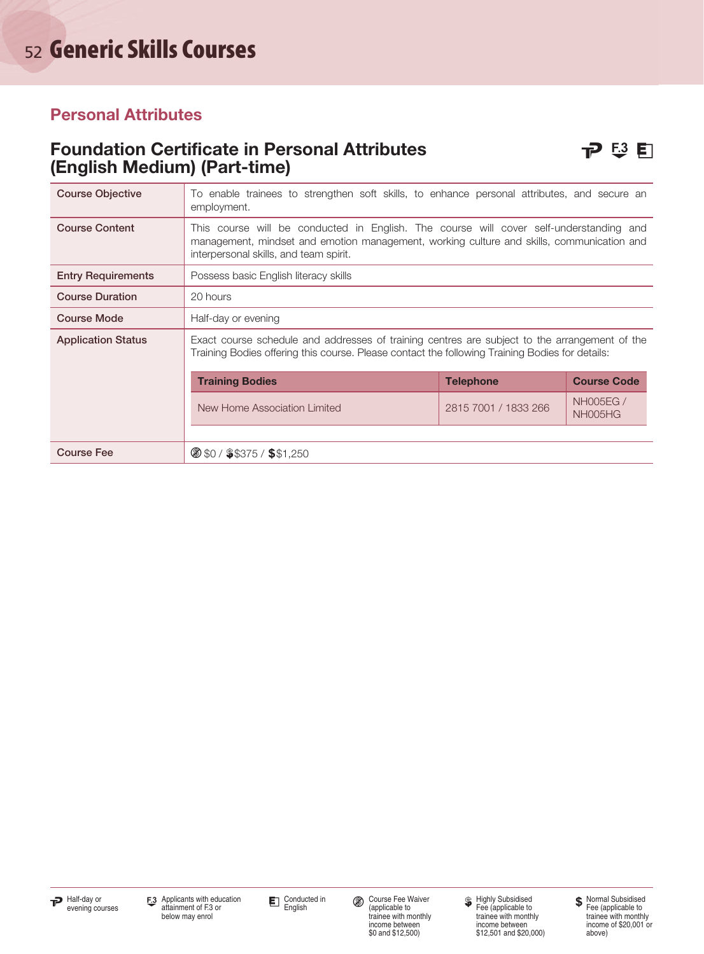#### Personal Attributes

#### Foundation Certificate in Personal Attributes **P 3 E**  $\Box$ (English Medium) (Part-time)

| <b>Course Objective</b>   | To enable trainees to strengthen soft skills, to enhance personal attributes, and secure an<br>employment.                                                                                                                    |                      |                             |  |  |
|---------------------------|-------------------------------------------------------------------------------------------------------------------------------------------------------------------------------------------------------------------------------|----------------------|-----------------------------|--|--|
| <b>Course Content</b>     | This course will be conducted in English. The course will cover self-understanding and<br>management, mindset and emotion management, working culture and skills, communication and<br>interpersonal skills, and team spirit. |                      |                             |  |  |
| <b>Entry Requirements</b> | Possess basic English literacy skills                                                                                                                                                                                         |                      |                             |  |  |
| <b>Course Duration</b>    | 20 hours                                                                                                                                                                                                                      |                      |                             |  |  |
| <b>Course Mode</b>        | Half-day or evening                                                                                                                                                                                                           |                      |                             |  |  |
| <b>Application Status</b> | Exact course schedule and addresses of training centres are subject to the arrangement of the<br>Training Bodies offering this course. Please contact the following Training Bodies for details:                              |                      |                             |  |  |
|                           | <b>Training Bodies</b><br><b>Course Code</b><br><b>Telephone</b>                                                                                                                                                              |                      |                             |  |  |
|                           | New Home Association Limited                                                                                                                                                                                                  | 2815 7001 / 1833 266 | <b>NHOO5EG /</b><br>NH005HG |  |  |
|                           |                                                                                                                                                                                                                               |                      |                             |  |  |
| <b>Course Fee</b>         | $\circ$ \$0 / \$\$375 / \$\$1,250                                                                                                                                                                                             |                      |                             |  |  |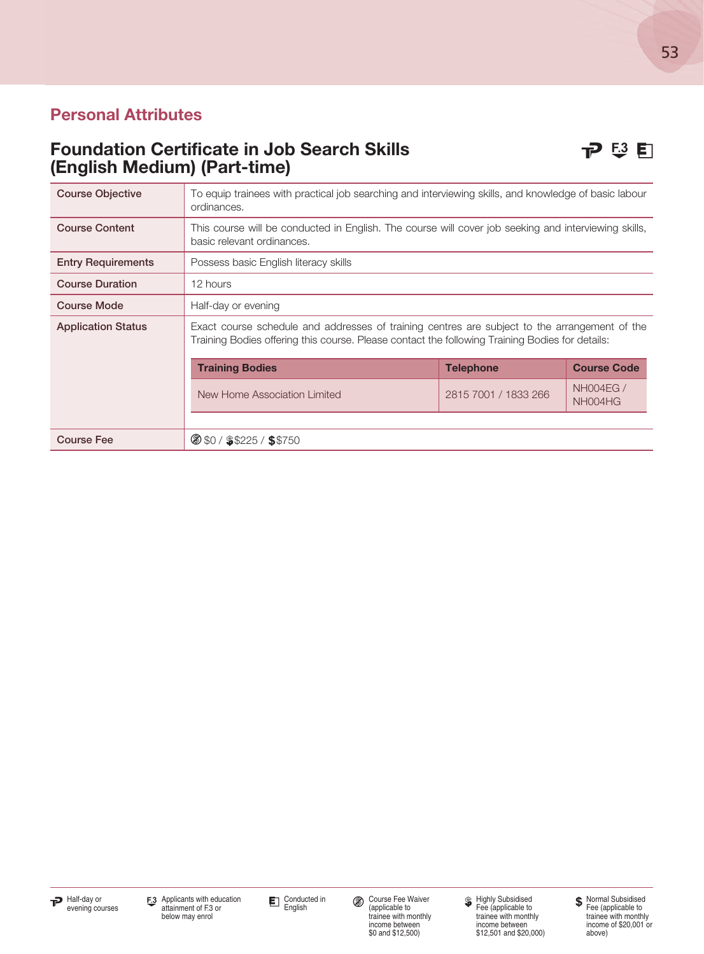#### Personal Attributes

#### Foundation Certificate in Job Search Skills  $\mathbb{P}$  5 E  $\mathbb{F}$ (English Medium) (Part-time)

| <b>Course Objective</b>   | To equip trainees with practical job searching and interviewing skills, and knowledge of basic labour<br>ordinances.                                                                             |                      |                             |  |  |
|---------------------------|--------------------------------------------------------------------------------------------------------------------------------------------------------------------------------------------------|----------------------|-----------------------------|--|--|
| <b>Course Content</b>     | This course will be conducted in English. The course will cover job seeking and interviewing skills,<br>basic relevant ordinances.                                                               |                      |                             |  |  |
| <b>Entry Requirements</b> | Possess basic English literacy skills                                                                                                                                                            |                      |                             |  |  |
| <b>Course Duration</b>    | 12 hours                                                                                                                                                                                         |                      |                             |  |  |
| <b>Course Mode</b>        | Half-day or evening                                                                                                                                                                              |                      |                             |  |  |
| <b>Application Status</b> | Exact course schedule and addresses of training centres are subject to the arrangement of the<br>Training Bodies offering this course. Please contact the following Training Bodies for details: |                      |                             |  |  |
|                           | <b>Training Bodies</b><br><b>Telephone</b><br><b>Course Code</b>                                                                                                                                 |                      |                             |  |  |
|                           | New Home Association Limited                                                                                                                                                                     | 2815 7001 / 1833 266 | <b>NH004EG /</b><br>NH004HG |  |  |
|                           |                                                                                                                                                                                                  |                      |                             |  |  |
| <b>Course Fee</b>         | $\circ$ \$0 / \$\$225 / \$\$750                                                                                                                                                                  |                      |                             |  |  |

Course Fee Waiver (applicable to trainee with monthly income between \$0 and \$12,500)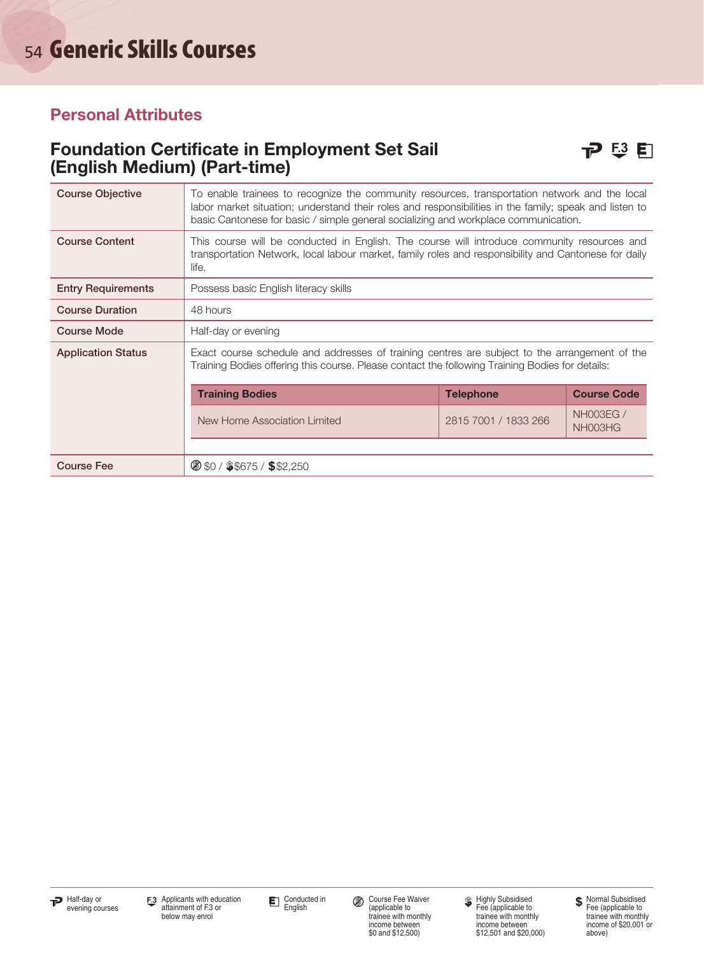#### Personal Attributes

#### Foundation Certificate in Employment Set Sail  $\Box$   $\Box$  E3 E (English Medium) (Part-time)

| <b>Course Objective</b>   | To enable trainees to recognize the community resources, transportation network and the local<br>labor market situation; understand their roles and responsibilities in the family; speak and listen to<br>basic Cantonese for basic / simple general socializing and workplace communication. |                      |                             |  |
|---------------------------|------------------------------------------------------------------------------------------------------------------------------------------------------------------------------------------------------------------------------------------------------------------------------------------------|----------------------|-----------------------------|--|
| <b>Course Content</b>     | This course will be conducted in English. The course will introduce community resources and<br>transportation Network, local labour market, family roles and responsibility and Cantonese for daily<br>life.                                                                                   |                      |                             |  |
| <b>Entry Requirements</b> | Possess basic English literacy skills                                                                                                                                                                                                                                                          |                      |                             |  |
| <b>Course Duration</b>    | 48 hours                                                                                                                                                                                                                                                                                       |                      |                             |  |
| <b>Course Mode</b>        | Half-day or evening                                                                                                                                                                                                                                                                            |                      |                             |  |
| <b>Application Status</b> | Exact course schedule and addresses of training centres are subject to the arrangement of the<br>Training Bodies offering this course. Please contact the following Training Bodies for details:                                                                                               |                      |                             |  |
|                           | <b>Training Bodies</b>                                                                                                                                                                                                                                                                         | <b>Telephone</b>     | <b>Course Code</b>          |  |
|                           | New Home Association Limited                                                                                                                                                                                                                                                                   | 2815 7001 / 1833 266 | <b>NH003EG /</b><br>NH003HG |  |
|                           |                                                                                                                                                                                                                                                                                                |                      |                             |  |
| <b>Course Fee</b>         | $\circ$ \$0 / \$\$675 / \$\$2,250                                                                                                                                                                                                                                                              |                      |                             |  |

Course Fee Waiver (applicable to trainee with monthly income between \$0 and \$12,500)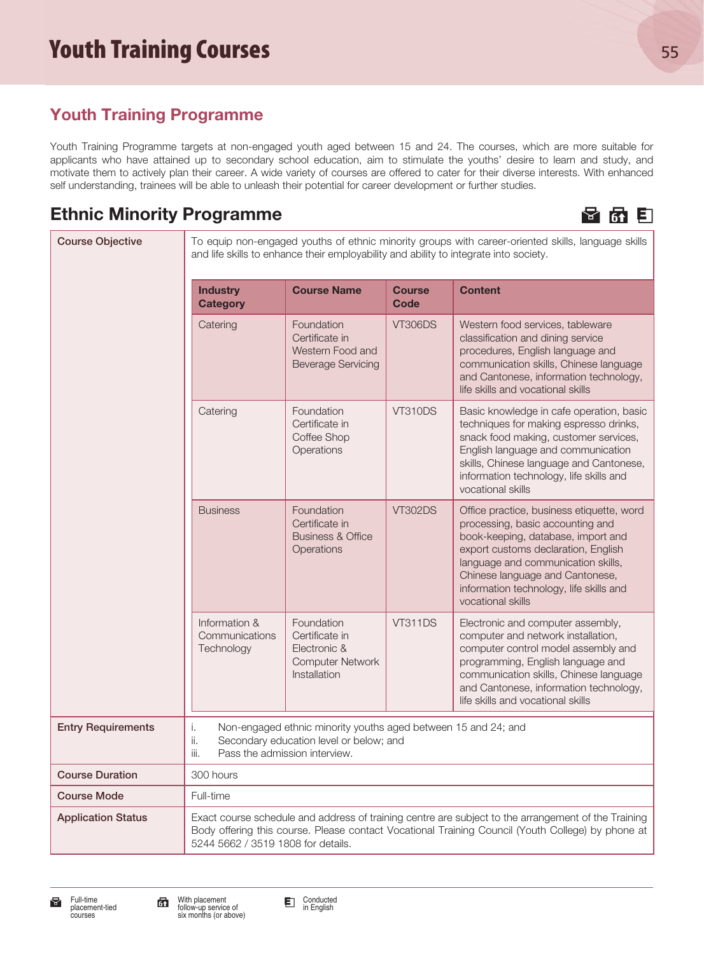### Youth Training Programme

Youth Training Programme targets at non-engaged youth aged between 15 and 24. The courses, which are more suitable for applicants who have attained up to secondary school education, aim to stimulate the youths' desire to learn and study, and motivate them to actively plan their career. A wide variety of courses are offered to cater for their diverse interests. With enhanced self understanding, trainees will be able to unleash their potential for career development or further studies.

### Ethnic Minority Programme **H 6 E 6 E** 6 E



| <b>Course Objective</b>   |                                                                                                                                                                                                                                                | and life skills to enhance their employability and ability to integrate into society.                     |                       | To equip non-engaged youths of ethnic minority groups with career-oriented skills, language skills                                                                                                                                                                                                  |
|---------------------------|------------------------------------------------------------------------------------------------------------------------------------------------------------------------------------------------------------------------------------------------|-----------------------------------------------------------------------------------------------------------|-----------------------|-----------------------------------------------------------------------------------------------------------------------------------------------------------------------------------------------------------------------------------------------------------------------------------------------------|
|                           | <b>Industry</b><br><b>Category</b>                                                                                                                                                                                                             | <b>Course Name</b>                                                                                        | <b>Course</b><br>Code | <b>Content</b>                                                                                                                                                                                                                                                                                      |
|                           | Catering                                                                                                                                                                                                                                       | Foundation<br>Certificate in<br>Western Food and<br><b>Beverage Servicing</b>                             | <b>VT306DS</b>        | Western food services, tableware<br>classification and dining service<br>procedures, English language and<br>communication skills, Chinese language<br>and Cantonese, information technology,<br>life skills and vocational skills                                                                  |
|                           | Catering                                                                                                                                                                                                                                       | Foundation<br>Certificate in<br>Coffee Shop<br>Operations                                                 | <b>VT310DS</b>        | Basic knowledge in cafe operation, basic<br>techniques for making espresso drinks,<br>snack food making, customer services,<br>English language and communication<br>skills, Chinese language and Cantonese,<br>information technology, life skills and<br>vocational skills                        |
|                           | <b>Business</b>                                                                                                                                                                                                                                | Foundation<br>Certificate in<br><b>Business &amp; Office</b><br>Operations                                | <b>VT302DS</b>        | Office practice, business etiquette, word<br>processing, basic accounting and<br>book-keeping, database, import and<br>export customs declaration, English<br>language and communication skills,<br>Chinese language and Cantonese,<br>information technology, life skills and<br>vocational skills |
|                           | Information &<br>Communications<br>Technology                                                                                                                                                                                                  | Foundation<br>Certificate in<br>Electronic &<br><b>Computer Network</b><br>Installation                   | <b>VT311DS</b>        | Electronic and computer assembly,<br>computer and network installation,<br>computer control model assembly and<br>programming, English language and<br>communication skills, Chinese language<br>and Cantonese, information technology,<br>life skills and vocational skills                        |
| <b>Entry Requirements</b> | i.<br>ii.<br>iii.<br>Pass the admission interview.                                                                                                                                                                                             | Non-engaged ethnic minority youths aged between 15 and 24; and<br>Secondary education level or below; and |                       |                                                                                                                                                                                                                                                                                                     |
| <b>Course Duration</b>    | 300 hours                                                                                                                                                                                                                                      |                                                                                                           |                       |                                                                                                                                                                                                                                                                                                     |
| <b>Course Mode</b>        | Full-time                                                                                                                                                                                                                                      |                                                                                                           |                       |                                                                                                                                                                                                                                                                                                     |
| <b>Application Status</b> | Exact course schedule and address of training centre are subject to the arrangement of the Training<br>Body offering this course. Please contact Vocational Training Council (Youth College) by phone at<br>5244 5662 / 3519 1808 for details. |                                                                                                           |                       |                                                                                                                                                                                                                                                                                                     |



Conducted in English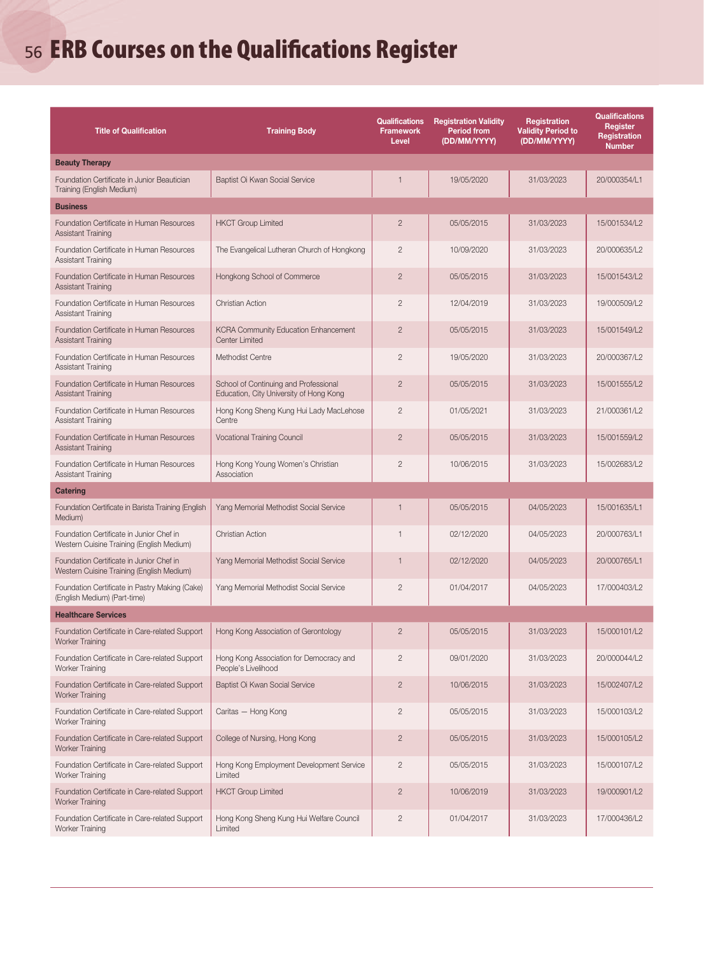# <sup>56</sup> ERB Courses on the Qualifications Register

| <b>Title of Qualification</b>                                                         | <b>Training Body</b>                                                             | <b>Qualifications</b><br><b>Framework</b><br>Level | <b>Registration Validity</b><br><b>Period from</b><br>(DD/MM/YYYY) | Registration<br><b>Validity Period to</b><br>(DD/MM/YYYY) | <b>Qualifications</b><br>Register<br>Registration<br><b>Number</b> |
|---------------------------------------------------------------------------------------|----------------------------------------------------------------------------------|----------------------------------------------------|--------------------------------------------------------------------|-----------------------------------------------------------|--------------------------------------------------------------------|
| <b>Beauty Therapy</b>                                                                 |                                                                                  |                                                    |                                                                    |                                                           |                                                                    |
| Foundation Certificate in Junior Beautician<br>Training (English Medium)              | Baptist Oi Kwan Social Service                                                   | $\mathbf{1}$                                       | 19/05/2020                                                         | 31/03/2023                                                | 20/000354/L1                                                       |
| <b>Business</b>                                                                       |                                                                                  |                                                    |                                                                    |                                                           |                                                                    |
| Foundation Certificate in Human Resources<br><b>Assistant Training</b>                | <b>HKCT Group Limited</b>                                                        | $\overline{2}$                                     | 05/05/2015                                                         | 31/03/2023                                                | 15/001534/L2                                                       |
| Foundation Certificate in Human Resources<br>Assistant Training                       | The Evangelical Lutheran Church of Hongkong                                      | $\overline{2}$                                     | 10/09/2020                                                         | 31/03/2023                                                | 20/000635/L2                                                       |
| Foundation Certificate in Human Resources<br><b>Assistant Training</b>                | Hongkong School of Commerce                                                      | $\overline{c}$                                     | 05/05/2015                                                         | 31/03/2023                                                | 15/001543/12                                                       |
| Foundation Certificate in Human Resources<br><b>Assistant Training</b>                | <b>Christian Action</b>                                                          | $\overline{2}$                                     | 12/04/2019                                                         | 31/03/2023                                                | 19/000509/L2                                                       |
| Foundation Certificate in Human Resources<br><b>Assistant Training</b>                | <b>KCRA Community Education Enhancement</b><br>Center Limited                    | $\overline{2}$                                     | 05/05/2015                                                         | 31/03/2023                                                | 15/001549/L2                                                       |
| Foundation Certificate in Human Resources<br><b>Assistant Training</b>                | Methodist Centre                                                                 | $\overline{2}$                                     | 19/05/2020                                                         | 31/03/2023                                                | 20/000367/L2                                                       |
| Foundation Certificate in Human Resources<br><b>Assistant Training</b>                | School of Continuing and Professional<br>Education, City University of Hong Kong | $\overline{2}$                                     | 05/05/2015                                                         | 31/03/2023                                                | 15/001555/L2                                                       |
| Foundation Certificate in Human Resources<br><b>Assistant Training</b>                | Hong Kong Sheng Kung Hui Lady MacLehose<br>Centre                                | $\overline{2}$                                     | 01/05/2021                                                         | 31/03/2023                                                | 21/000361/L2                                                       |
| Foundation Certificate in Human Resources<br><b>Assistant Training</b>                | Vocational Training Council                                                      | $\mathbf{2}$                                       | 05/05/2015                                                         | 31/03/2023                                                | 15/001559/L2                                                       |
| Foundation Certificate in Human Resources<br>Assistant Training                       | Hong Kong Young Women's Christian<br>Association                                 | $\overline{2}$                                     | 10/06/2015                                                         | 31/03/2023                                                | 15/002683/L2                                                       |
| <b>Catering</b>                                                                       |                                                                                  |                                                    |                                                                    |                                                           |                                                                    |
| Foundation Certificate in Barista Training (English<br>Medium)                        | Yang Memorial Methodist Social Service                                           | $\mathbf{1}$                                       | 05/05/2015                                                         | 04/05/2023                                                | 15/001635/L1                                                       |
| Foundation Certificate in Junior Chef in<br>Western Cuisine Training (English Medium) | <b>Christian Action</b>                                                          | $\mathbf{1}$                                       | 02/12/2020                                                         | 04/05/2023                                                | 20/000763/L1                                                       |
| Foundation Certificate in Junior Chef in<br>Western Cuisine Training (English Medium) | Yang Memorial Methodist Social Service                                           | $\mathbf{1}$                                       | 02/12/2020                                                         | 04/05/2023                                                | 20/000765/L1                                                       |
| Foundation Certificate in Pastry Making (Cake)<br>(English Medium) (Part-time)        | Yang Memorial Methodist Social Service                                           | $\overline{2}$                                     | 01/04/2017                                                         | 04/05/2023                                                | 17/000403/L2                                                       |
| <b>Healthcare Services</b>                                                            |                                                                                  |                                                    |                                                                    |                                                           |                                                                    |
| Foundation Certificate in Care-related Support<br><b>Worker Training</b>              | Hong Kong Association of Gerontology                                             | $\overline{c}$                                     | 05/05/2015                                                         | 31/03/2023                                                | 15/000101/L2                                                       |
| Foundation Certificate in Care-related Support<br>Worker Training                     | Hong Kong Association for Democracy and<br>People's Livelihood                   | $\mathbf{2}$                                       | 09/01/2020                                                         | 31/03/2023                                                | 20/000044/L2                                                       |
| Foundation Certificate in Care-related Support<br><b>Worker Training</b>              | Baptist Oi Kwan Social Service                                                   | $\overline{2}$                                     | 10/06/2015                                                         | 31/03/2023                                                | 15/002407/L2                                                       |
| Foundation Certificate in Care-related Support<br>Worker Training                     | Caritas - Hong Kong                                                              | $\mathbf{2}$                                       | 05/05/2015                                                         | 31/03/2023                                                | 15/000103/L2                                                       |
| Foundation Certificate in Care-related Support<br><b>Worker Training</b>              | College of Nursing, Hong Kong                                                    | $\overline{c}$                                     | 05/05/2015                                                         | 31/03/2023                                                | 15/000105/L2                                                       |
| Foundation Certificate in Care-related Support<br>Worker Training                     | Hong Kong Employment Development Service<br>Limited                              | $\overline{2}$                                     | 05/05/2015                                                         | 31/03/2023                                                | 15/000107/L2                                                       |
| Foundation Certificate in Care-related Support<br><b>Worker Training</b>              | <b>HKCT Group Limited</b>                                                        | $\overline{c}$                                     | 10/06/2019                                                         | 31/03/2023                                                | 19/000901/L2                                                       |
| Foundation Certificate in Care-related Support<br>Worker Training                     | Hong Kong Sheng Kung Hui Welfare Council<br>Limited                              | $\mathbf{2}$                                       | 01/04/2017                                                         | 31/03/2023                                                | 17/000436/L2                                                       |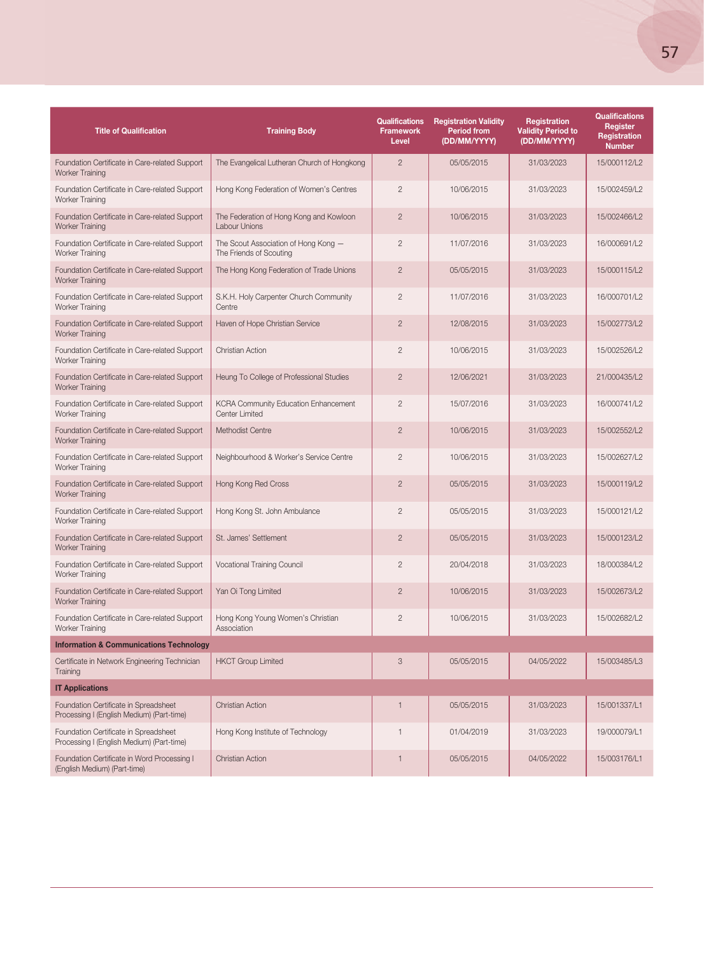| <b>Title of Qualification</b>                                                      | <b>Training Body</b>                                                 | <b>Qualifications</b><br><b>Framework</b><br>Level | <b>Registration Validity</b><br><b>Period from</b><br>(DD/MM/YYYY) | Registration<br><b>Validity Period to</b><br>(DD/MM/YYYY) | <b>Qualifications</b><br><b>Register</b><br>Registration<br><b>Number</b> |
|------------------------------------------------------------------------------------|----------------------------------------------------------------------|----------------------------------------------------|--------------------------------------------------------------------|-----------------------------------------------------------|---------------------------------------------------------------------------|
| Foundation Certificate in Care-related Support<br><b>Worker Training</b>           | The Evangelical Lutheran Church of Hongkong                          | $\overline{2}$                                     | 05/05/2015                                                         | 31/03/2023                                                | 15/000112/L2                                                              |
| Foundation Certificate in Care-related Support<br>Worker Training                  | Hong Kong Federation of Women's Centres                              | $\overline{2}$                                     | 10/06/2015                                                         | 31/03/2023                                                | 15/002459/L2                                                              |
| Foundation Certificate in Care-related Support<br><b>Worker Training</b>           | The Federation of Hong Kong and Kowloon<br><b>Labour Unions</b>      | $\overline{2}$                                     | 10/06/2015                                                         | 31/03/2023                                                | 15/002466/L2                                                              |
| Foundation Certificate in Care-related Support<br>Worker Training                  | The Scout Association of Hong Kong -<br>The Friends of Scouting      | $\overline{2}$                                     | 11/07/2016                                                         | 31/03/2023                                                | 16/000691/L2                                                              |
| Foundation Certificate in Care-related Support<br><b>Worker Training</b>           | The Hong Kong Federation of Trade Unions                             | $\overline{2}$                                     | 05/05/2015                                                         | 31/03/2023                                                | 15/000115/L2                                                              |
| Foundation Certificate in Care-related Support<br>Worker Training                  | S.K.H. Holy Carpenter Church Community<br>Centre                     | $\overline{c}$                                     | 11/07/2016                                                         | 31/03/2023                                                | 16/000701/L2                                                              |
| Foundation Certificate in Care-related Support<br><b>Worker Training</b>           | Haven of Hope Christian Service                                      | $\overline{2}$                                     | 12/08/2015                                                         | 31/03/2023                                                | 15/002773/L2                                                              |
| Foundation Certificate in Care-related Support<br>Worker Training                  | Christian Action                                                     | $\overline{2}$                                     | 10/06/2015                                                         | 31/03/2023                                                | 15/002526/L2                                                              |
| Foundation Certificate in Care-related Support<br><b>Worker Training</b>           | Heung To College of Professional Studies                             | $\overline{2}$                                     | 12/06/2021                                                         | 31/03/2023                                                | 21/000435/L2                                                              |
| Foundation Certificate in Care-related Support<br>Worker Training                  | <b>KCRA Community Education Enhancement</b><br><b>Center Limited</b> | $\overline{2}$                                     | 15/07/2016                                                         | 31/03/2023                                                | 16/000741/L2                                                              |
| Foundation Certificate in Care-related Support<br><b>Worker Training</b>           | Methodist Centre                                                     | $\overline{2}$                                     | 10/06/2015                                                         | 31/03/2023                                                | 15/002552/L2                                                              |
| Foundation Certificate in Care-related Support<br>Worker Training                  | Neighbourhood & Worker's Service Centre                              | $\overline{2}$                                     | 10/06/2015                                                         | 31/03/2023                                                | 15/002627/L2                                                              |
| Foundation Certificate in Care-related Support<br><b>Worker Training</b>           | Hong Kong Red Cross                                                  | $\overline{2}$                                     | 05/05/2015                                                         | 31/03/2023                                                | 15/000119/L2                                                              |
| Foundation Certificate in Care-related Support<br>Worker Training                  | Hong Kong St. John Ambulance                                         | $\overline{c}$                                     | 05/05/2015                                                         | 31/03/2023                                                | 15/000121/L2                                                              |
| Foundation Certificate in Care-related Support<br><b>Worker Training</b>           | St. James' Settlement                                                | $\overline{2}$                                     | 05/05/2015                                                         | 31/03/2023                                                | 15/000123/L2                                                              |
| Foundation Certificate in Care-related Support<br>Worker Training                  | Vocational Training Council                                          | $\mathbf{2}$                                       | 20/04/2018                                                         | 31/03/2023                                                | 18/000384/L2                                                              |
| Foundation Certificate in Care-related Support<br><b>Worker Training</b>           | Yan Oi Tong Limited                                                  | $\overline{2}$                                     | 10/06/2015                                                         | 31/03/2023                                                | 15/002673/L2                                                              |
| Foundation Certificate in Care-related Support<br>Worker Training                  | Hong Kong Young Women's Christian<br>Association                     | $\mathbf{2}$                                       | 10/06/2015                                                         | 31/03/2023                                                | 15/002682/L2                                                              |
| <b>Information &amp; Communications Technology</b>                                 |                                                                      |                                                    |                                                                    |                                                           |                                                                           |
| Certificate in Network Engineering Technician<br>Training                          | <b>HKCT Group Limited</b>                                            | 3                                                  | 05/05/2015                                                         | 04/05/2022                                                | 15/003485/L3                                                              |
| <b>IT Applications</b>                                                             |                                                                      |                                                    |                                                                    |                                                           |                                                                           |
| Foundation Certificate in Spreadsheet<br>Processing I (English Medium) (Part-time) | <b>Christian Action</b>                                              | $\mathbf{1}$                                       | 05/05/2015                                                         | 31/03/2023                                                | 15/001337/L1                                                              |
| Foundation Certificate in Spreadsheet<br>Processing I (English Medium) (Part-time) | Hong Kong Institute of Technology                                    | $\mathbf{1}$                                       | 01/04/2019                                                         | 31/03/2023                                                | 19/000079/L1                                                              |
| Foundation Certificate in Word Processing I<br>(English Medium) (Part-time)        | <b>Christian Action</b>                                              | $\mathbf{1}$                                       | 05/05/2015                                                         | 04/05/2022                                                | 15/003176/L1                                                              |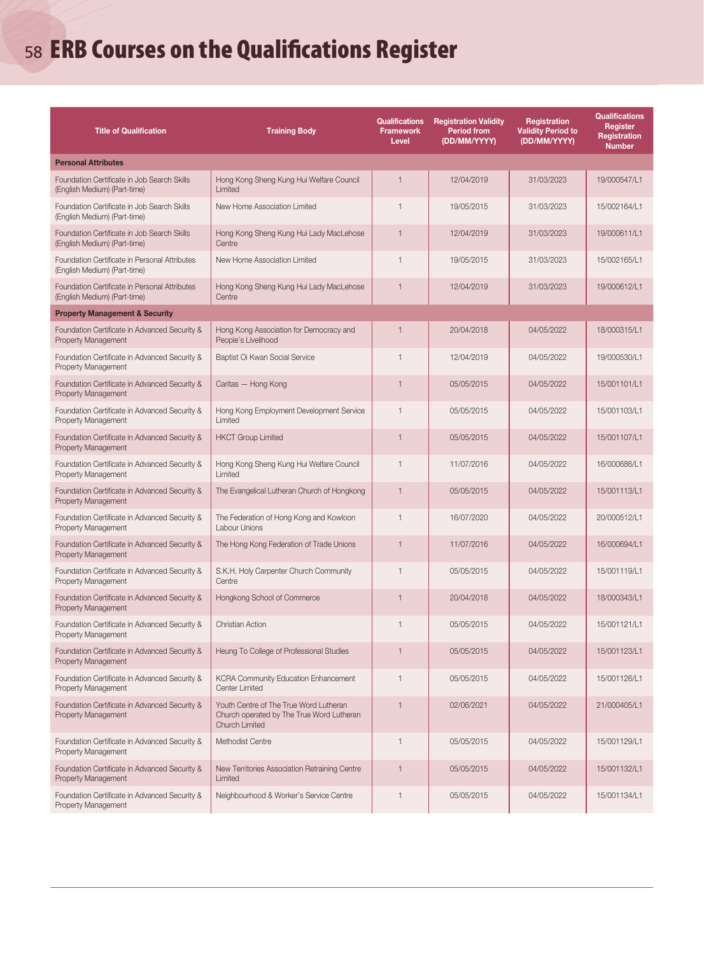# <sup>58</sup> ERB Courses on the Qualifications Register

| <b>Title of Qualification</b>                                                 | <b>Training Body</b>                                                                                         | <b>Qualifications</b><br><b>Framework</b><br>Level | <b>Registration Validity</b><br><b>Period from</b><br>(DD/MM/YYYY) | Registration<br><b>Validity Period to</b><br>(DD/MM/YYYY) | Qualifications<br>Register<br><b>Registration</b><br><b>Number</b> |
|-------------------------------------------------------------------------------|--------------------------------------------------------------------------------------------------------------|----------------------------------------------------|--------------------------------------------------------------------|-----------------------------------------------------------|--------------------------------------------------------------------|
| <b>Personal Attributes</b>                                                    |                                                                                                              |                                                    |                                                                    |                                                           |                                                                    |
| Foundation Certificate in Job Search Skills<br>(English Medium) (Part-time)   | Hong Kong Sheng Kung Hui Welfare Council<br>Limited                                                          | $\mathbf{1}$                                       | 12/04/2019                                                         | 31/03/2023                                                | 19/000547/L1                                                       |
| Foundation Certificate in Job Search Skills<br>(English Medium) (Part-time)   | New Home Association Limited                                                                                 | $\mathbf{1}$                                       | 19/05/2015                                                         | 31/03/2023                                                | 15/002164/L1                                                       |
| Foundation Certificate in Job Search Skills<br>(English Medium) (Part-time)   | Hong Kong Sheng Kung Hui Lady MacLehose<br>Centre                                                            | $\mathbf{1}$                                       | 12/04/2019                                                         | 31/03/2023                                                | 19/000611/L1                                                       |
| Foundation Certificate in Personal Attributes<br>(English Medium) (Part-time) | New Home Association Limited                                                                                 | $\mathbf{1}$                                       | 19/05/2015                                                         | 31/03/2023                                                | 15/002165/L1                                                       |
| Foundation Certificate in Personal Attributes<br>(English Medium) (Part-time) | Hong Kong Sheng Kung Hui Lady MacLehose<br>Centre                                                            | $\overline{1}$                                     | 12/04/2019                                                         | 31/03/2023                                                | 19/000612/L1                                                       |
| <b>Property Management &amp; Security</b>                                     |                                                                                                              |                                                    |                                                                    |                                                           |                                                                    |
| Foundation Certificate in Advanced Security &<br>Property Management          | Hong Kong Association for Democracy and<br>People's Livelihood                                               | $\mathbf{1}$                                       | 20/04/2018                                                         | 04/05/2022                                                | 18/000315/L1                                                       |
| Foundation Certificate in Advanced Security &<br>Property Management          | Baptist Oi Kwan Social Service                                                                               | $\mathbf{1}$                                       | 12/04/2019                                                         | 04/05/2022                                                | 19/000530/L1                                                       |
| Foundation Certificate in Advanced Security &<br>Property Management          | Caritas - Hong Kong                                                                                          | $\mathbf{1}$                                       | 05/05/2015                                                         | 04/05/2022                                                | 15/001101/L1                                                       |
| Foundation Certificate in Advanced Security &<br><b>Property Management</b>   | Hong Kong Employment Development Service<br>Limited                                                          | $\mathbf{1}$                                       | 05/05/2015                                                         | 04/05/2022                                                | 15/001103/L1                                                       |
| Foundation Certificate in Advanced Security &<br><b>Property Management</b>   | <b>HKCT Group Limited</b>                                                                                    | $\mathbf{1}$                                       | 05/05/2015                                                         | 04/05/2022                                                | 15/001107/L1                                                       |
| Foundation Certificate in Advanced Security &<br><b>Property Management</b>   | Hong Kong Sheng Kung Hui Welfare Council<br>Limited                                                          | $\mathbf{1}$                                       | 11/07/2016                                                         | 04/05/2022                                                | 16/000686/L1                                                       |
| Foundation Certificate in Advanced Security &<br><b>Property Management</b>   | The Evangelical Lutheran Church of Hongkong                                                                  | $\mathbf{1}$                                       | 05/05/2015                                                         | 04/05/2022                                                | 15/001113/L1                                                       |
| Foundation Certificate in Advanced Security &<br>Property Management          | The Federation of Hong Kong and Kowloon<br>Labour Unions                                                     | $\mathbf{1}$                                       | 16/07/2020                                                         | 04/05/2022                                                | 20/000512/L1                                                       |
| Foundation Certificate in Advanced Security &<br>Property Management          | The Hong Kong Federation of Trade Unions                                                                     | $\mathbf{1}$                                       | 11/07/2016                                                         | 04/05/2022                                                | 16/000694/L1                                                       |
| Foundation Certificate in Advanced Security &<br><b>Property Management</b>   | S.K.H. Holy Carpenter Church Community<br>Centre                                                             | $\mathbf{1}$                                       | 05/05/2015                                                         | 04/05/2022                                                | 15/001119/L1                                                       |
| Foundation Certificate in Advanced Security &<br>Property Management          | Hongkong School of Commerce                                                                                  | 1                                                  | 20/04/2018                                                         | 04/05/2022                                                | 18/000343/L1                                                       |
| Foundation Certificate in Advanced Security &<br>Property Management          | <b>Christian Action</b>                                                                                      | $\mathbf{1}$                                       | 05/05/2015                                                         | 04/05/2022                                                | 15/001121/L1                                                       |
| Foundation Certificate in Advanced Security &<br>Property Management          | Heung To College of Professional Studies                                                                     | 1                                                  | 05/05/2015                                                         | 04/05/2022                                                | 15/001123/L1                                                       |
| Foundation Certificate in Advanced Security &<br>Property Management          | <b>KCRA Community Education Enhancement</b><br>Center Limited                                                | $\mathbf{1}$                                       | 05/05/2015                                                         | 04/05/2022                                                | 15/001126/L1                                                       |
| Foundation Certificate in Advanced Security &<br>Property Management          | Youth Centre of The True Word Lutheran<br>Church operated by The True Word Lutheran<br><b>Church Limited</b> | $\overline{1}$                                     | 02/06/2021                                                         | 04/05/2022                                                | 21/000405/L1                                                       |
| Foundation Certificate in Advanced Security &<br>Property Management          | Methodist Centre                                                                                             | $\mathbf{1}$                                       | 05/05/2015                                                         | 04/05/2022                                                | 15/001129/L1                                                       |
| Foundation Certificate in Advanced Security &<br>Property Management          | New Territories Association Retraining Centre<br>Limited                                                     | $\mathbf{1}$                                       | 05/05/2015                                                         | 04/05/2022                                                | 15/001132/L1                                                       |
| Foundation Certificate in Advanced Security &<br>Property Management          | Neighbourhood & Worker's Service Centre                                                                      | $\mathbf{1}$                                       | 05/05/2015                                                         | 04/05/2022                                                | 15/001134/L1                                                       |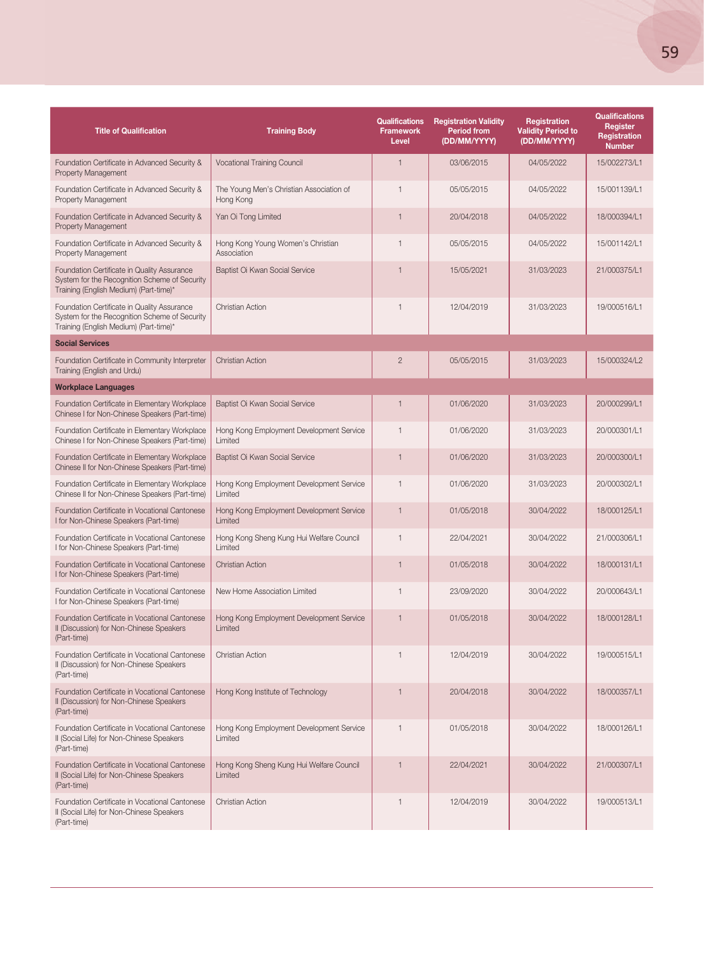| <b>Title of Qualification</b>                                                                                                          | <b>Training Body</b>                                  | <b>Qualifications</b><br><b>Framework</b><br>Level | <b>Registration Validity</b><br><b>Period from</b><br>(DD/MM/YYYY) | Registration<br><b>Validity Period to</b><br>(DD/MM/YYYY) | <b>Qualifications</b><br>Register<br><b>Registration</b><br><b>Number</b> |
|----------------------------------------------------------------------------------------------------------------------------------------|-------------------------------------------------------|----------------------------------------------------|--------------------------------------------------------------------|-----------------------------------------------------------|---------------------------------------------------------------------------|
| Foundation Certificate in Advanced Security &<br>Property Management                                                                   | <b>Vocational Training Council</b>                    | $\mathbf{1}$                                       | 03/06/2015                                                         | 04/05/2022                                                | 15/002273/L1                                                              |
| Foundation Certificate in Advanced Security &<br>Property Management                                                                   | The Young Men's Christian Association of<br>Hong Kong | $\mathbf{1}$                                       | 05/05/2015                                                         | 04/05/2022                                                | 15/001139/L1                                                              |
| Foundation Certificate in Advanced Security &<br>Property Management                                                                   | Yan Oi Tong Limited                                   | $\mathbf{1}$                                       | 20/04/2018                                                         | 04/05/2022                                                | 18/000394/L1                                                              |
| Foundation Certificate in Advanced Security &<br>Property Management                                                                   | Hong Kong Young Women's Christian<br>Association      | $\mathbf{1}$                                       | 05/05/2015                                                         | 04/05/2022                                                | 15/001142/L1                                                              |
| Foundation Certificate in Quality Assurance<br>System for the Recognition Scheme of Security<br>Training (English Medium) (Part-time)* | Baptist Oi Kwan Social Service                        | 1                                                  | 15/05/2021                                                         | 31/03/2023                                                | 21/000375/L1                                                              |
| Foundation Certificate in Quality Assurance<br>System for the Recognition Scheme of Security<br>Training (English Medium) (Part-time)* | <b>Christian Action</b>                               | $\mathbf{1}$                                       | 12/04/2019                                                         | 31/03/2023                                                | 19/000516/L1                                                              |
| <b>Social Services</b>                                                                                                                 |                                                       |                                                    |                                                                    |                                                           |                                                                           |
| Foundation Certificate in Community Interpreter<br>Training (English and Urdu)                                                         | <b>Christian Action</b>                               | $\overline{2}$                                     | 05/05/2015                                                         | 31/03/2023                                                | 15/000324/L2                                                              |
| <b>Workplace Languages</b>                                                                                                             |                                                       |                                                    |                                                                    |                                                           |                                                                           |
| Foundation Certificate in Elementary Workplace<br>Chinese I for Non-Chinese Speakers (Part-time)                                       | Baptist Oi Kwan Social Service                        | $\mathbf{1}$                                       | 01/06/2020                                                         | 31/03/2023                                                | 20/000299/L1                                                              |
| Foundation Certificate in Elementary Workplace<br>Chinese I for Non-Chinese Speakers (Part-time)                                       | Hong Kong Employment Development Service<br>Limited   | $\mathbf{1}$                                       | 01/06/2020                                                         | 31/03/2023                                                | 20/000301/L1                                                              |
| Foundation Certificate in Elementary Workplace<br>Chinese II for Non-Chinese Speakers (Part-time)                                      | Baptist Oi Kwan Social Service                        | $\mathbf{1}$                                       | 01/06/2020                                                         | 31/03/2023                                                | 20/000300/L1                                                              |
| Foundation Certificate in Elementary Workplace<br>Chinese II for Non-Chinese Speakers (Part-time)                                      | Hong Kong Employment Development Service<br>Limited   | $\mathbf{1}$                                       | 01/06/2020                                                         | 31/03/2023                                                | 20/000302/L1                                                              |
| Foundation Certificate in Vocational Cantonese<br>I for Non-Chinese Speakers (Part-time)                                               | Hong Kong Employment Development Service<br>Limited   | $\mathbf{1}$                                       | 01/05/2018                                                         | 30/04/2022                                                | 18/000125/L1                                                              |
| Foundation Certificate in Vocational Cantonese<br>I for Non-Chinese Speakers (Part-time)                                               | Hong Kong Sheng Kung Hui Welfare Council<br>Limited   | $\mathbf{1}$                                       | 22/04/2021                                                         | 30/04/2022                                                | 21/000306/L1                                                              |
| Foundation Certificate in Vocational Cantonese<br>I for Non-Chinese Speakers (Part-time)                                               | <b>Christian Action</b>                               | $\mathbf{1}$                                       | 01/05/2018                                                         | 30/04/2022                                                | 18/000131/L1                                                              |
| Foundation Certificate in Vocational Cantonese<br>I for Non-Chinese Speakers (Part-time)                                               | New Home Association Limited                          | $\mathbf{1}$                                       | 23/09/2020                                                         | 30/04/2022                                                | 20/000643/L1                                                              |
| Foundation Certificate in Vocational Cantonese<br>II (Discussion) for Non-Chinese Speakers<br>(Part-time)                              | Hong Kong Employment Development Service<br>Limited   | $\mathbf{1}$                                       | 01/05/2018                                                         | 30/04/2022                                                | 18/000128/L1                                                              |
| Foundation Certificate in Vocational Cantonese<br>II (Discussion) for Non-Chinese Speakers<br>(Part-time)                              | <b>Christian Action</b>                               | $\mathbf{1}$                                       | 12/04/2019                                                         | 30/04/2022                                                | 19/000515/L1                                                              |
| Foundation Certificate in Vocational Cantonese<br>II (Discussion) for Non-Chinese Speakers<br>(Part-time)                              | Hong Kong Institute of Technology                     | $\mathbf{1}$                                       | 20/04/2018                                                         | 30/04/2022                                                | 18/000357/L1                                                              |
| Foundation Certificate in Vocational Cantonese<br>II (Social Life) for Non-Chinese Speakers<br>(Part-time)                             | Hong Kong Employment Development Service<br>Limited   | $\mathbf{1}$                                       | 01/05/2018                                                         | 30/04/2022                                                | 18/000126/L1                                                              |
| Foundation Certificate in Vocational Cantonese<br>II (Social Life) for Non-Chinese Speakers<br>(Part-time)                             | Hong Kong Sheng Kung Hui Welfare Council<br>Limited   | 1                                                  | 22/04/2021                                                         | 30/04/2022                                                | 21/000307/L1                                                              |
| Foundation Certificate in Vocational Cantonese<br>II (Social Life) for Non-Chinese Speakers<br>(Part-time)                             | <b>Christian Action</b>                               | $\mathbf{1}$                                       | 12/04/2019                                                         | 30/04/2022                                                | 19/000513/L1                                                              |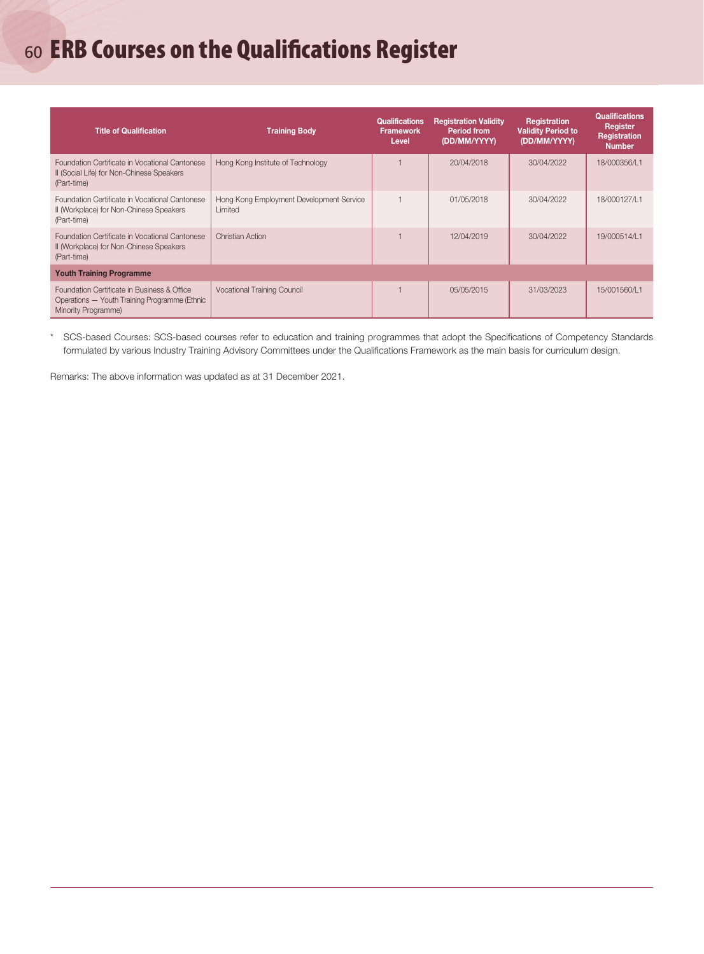# <sup>60</sup> ERB Courses on the Qualifications Register

| <b>Title of Qualification</b>                                                                                       | <b>Training Body</b>                                | <b>Qualifications</b><br><b>Framework</b><br>Level | <b>Registration Validity</b><br><b>Period from</b><br>(DD/MM/YYYY) | <b>Registration</b><br><b>Validity Period to</b><br>(DD/MM/YYYY) | <b>Qualifications</b><br>Register<br><b>Registration</b><br><b>Number</b> |  |
|---------------------------------------------------------------------------------------------------------------------|-----------------------------------------------------|----------------------------------------------------|--------------------------------------------------------------------|------------------------------------------------------------------|---------------------------------------------------------------------------|--|
| Foundation Certificate in Vocational Cantonese<br>II (Social Life) for Non-Chinese Speakers<br>(Part-time)          | Hong Kong Institute of Technology                   |                                                    | 20/04/2018                                                         | 30/04/2022                                                       | 18/000356/L1                                                              |  |
| Foundation Certificate in Vocational Cantonese<br>II (Workplace) for Non-Chinese Speakers<br>(Part-time)            | Hong Kong Employment Development Service<br>Limited |                                                    | 01/05/2018                                                         | 30/04/2022                                                       | 18/000127/L1                                                              |  |
| Foundation Certificate in Vocational Cantonese<br>II (Workplace) for Non-Chinese Speakers<br>(Part-time)            | <b>Christian Action</b>                             |                                                    | 12/04/2019                                                         | 30/04/2022                                                       | 19/000514/L1                                                              |  |
| <b>Youth Training Programme</b>                                                                                     |                                                     |                                                    |                                                                    |                                                                  |                                                                           |  |
| Foundation Certificate in Business & Office<br>Operations - Youth Training Programme (Ethnic<br>Minority Programme) | <b>Vocational Training Council</b>                  |                                                    | 05/05/2015                                                         | 31/03/2023                                                       | 15/001560/L1                                                              |  |

\* SCS-based Courses: SCS-based courses refer to education and training programmes that adopt the Specifications of Competency Standards formulated by various Industry Training Advisory Committees under the Qualifications Framework as the main basis for curriculum design.

Remarks: The above information was updated as at 31 December 2021.